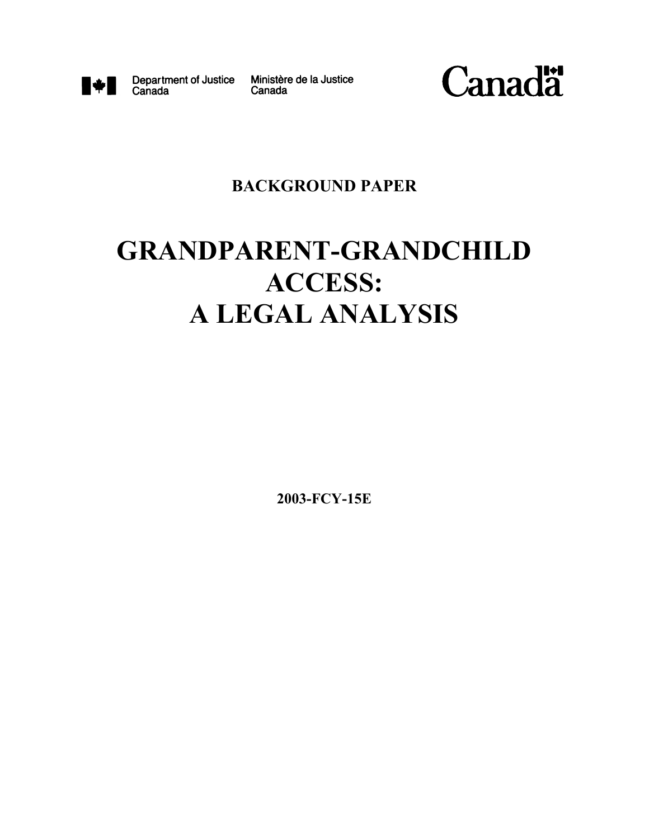

Canada

Department of Justice Ministère de la Justice Canada



# **BACKGROUND PAPER**

# **GRANDPARENT-GRANDCHILD ACCESS: A LEGAL ANALYSIS**

**2003-FCY-15E**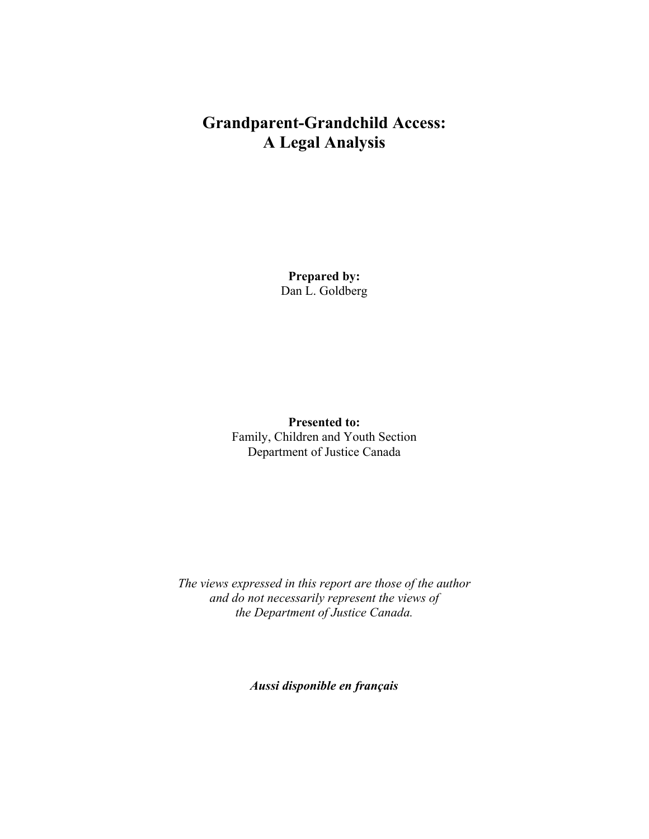# **Grandparent-Grandchild Access: A Legal Analysis**

**Prepared by:** Dan L. Goldberg

**Presented to:** Family, Children and Youth Section Department of Justice Canada

*The views expressed in this report are those of the author and do not necessarily represent the views of the Department of Justice Canada.*

*Aussi disponible en français*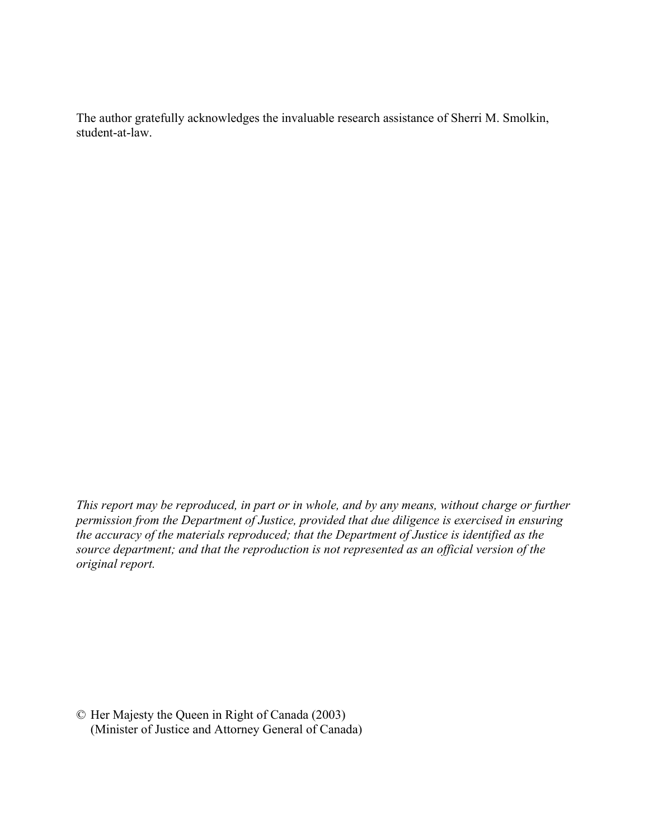The author gratefully acknowledges the invaluable research assistance of Sherri M. Smolkin, student-at-law.

*This report may be reproduced, in part or in whole, and by any means, without charge or further permission from the Department of Justice, provided that due diligence is exercised in ensuring the accuracy of the materials reproduced; that the Department of Justice is identified as the source department; and that the reproduction is not represented as an official version of the original report.*

© Her Majesty the Queen in Right of Canada (2003) (Minister of Justice and Attorney General of Canada)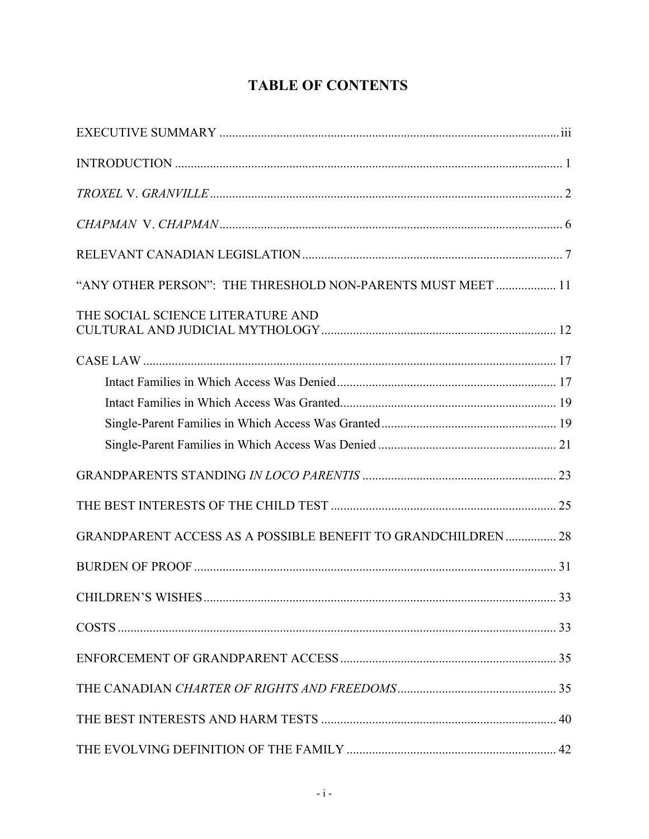# **TABLE OF CONTENTS**

| "ANY OTHER PERSON": THE THRESHOLD NON-PARENTS MUST MEET  11  |    |
|--------------------------------------------------------------|----|
| THE SOCIAL SCIENCE LITERATURE AND                            |    |
|                                                              |    |
|                                                              |    |
|                                                              |    |
|                                                              |    |
|                                                              |    |
|                                                              |    |
|                                                              |    |
| GRANDPARENT ACCESS AS A POSSIBLE BENEFIT TO GRANDCHILDREN 28 |    |
|                                                              |    |
| CHILDREN'S WISHES                                            | 33 |
|                                                              |    |
|                                                              |    |
|                                                              |    |
|                                                              |    |
|                                                              |    |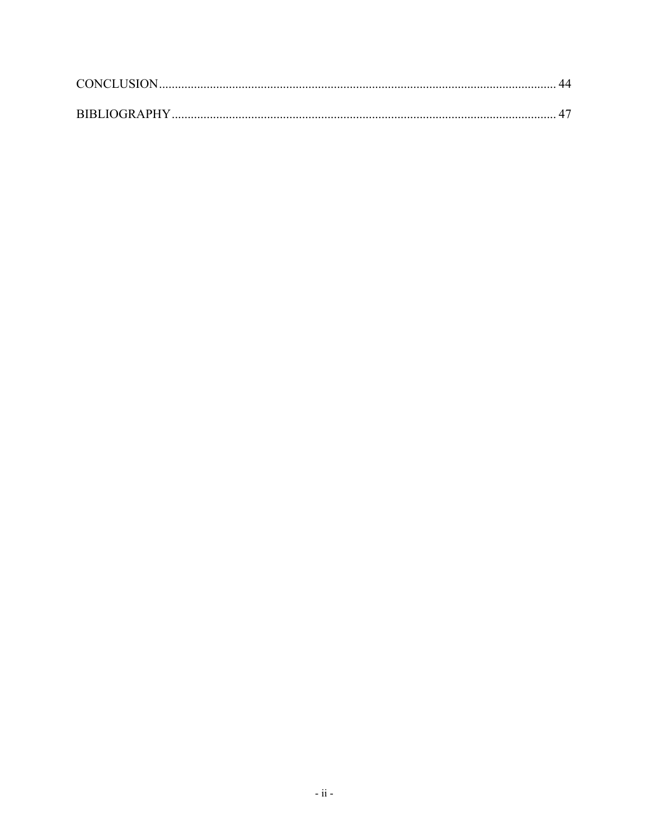| <b>CONCLUSION</b>   |  |
|---------------------|--|
|                     |  |
| <b>BIBLIOGRAPHY</b> |  |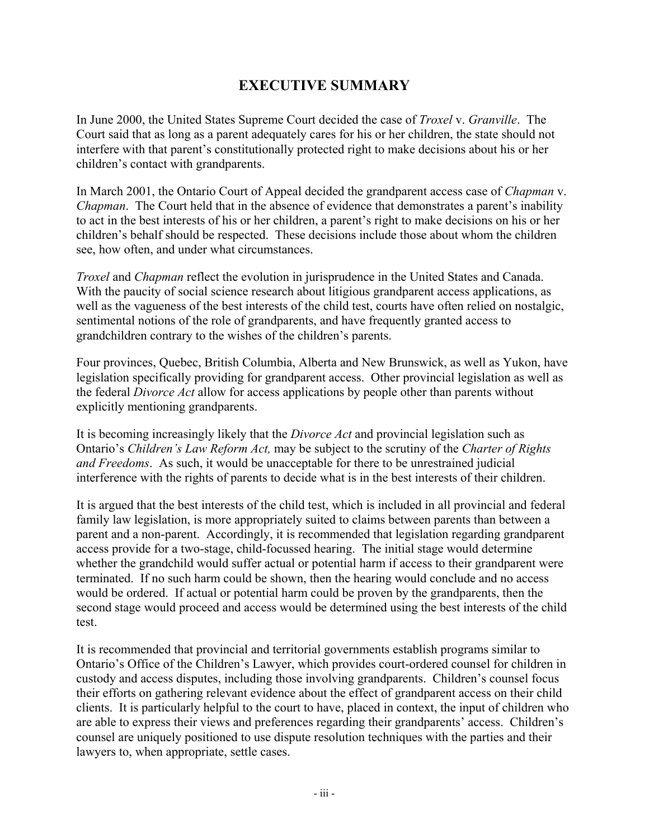### **EXECUTIVE SUMMARY**

In June 2000, the United States Supreme Court decided the case of *Troxel* v. *Granville*. The Court said that as long as a parent adequately cares for his or her children, the state should not interfere with that parent's constitutionally protected right to make decisions about his or her children's contact with grandparents.

In March 2001, the Ontario Court of Appeal decided the grandparent access case of *Chapman* v. *Chapman*. The Court held that in the absence of evidence that demonstrates a parent's inability to act in the best interests of his or her children, a parent's right to make decisions on his or her children's behalf should be respected. These decisions include those about whom the children see, how often, and under what circumstances.

*Troxel* and *Chapman* reflect the evolution in jurisprudence in the United States and Canada. With the paucity of social science research about litigious grandparent access applications, as well as the vagueness of the best interests of the child test, courts have often relied on nostalgic, sentimental notions of the role of grandparents, and have frequently granted access to grandchildren contrary to the wishes of the children's parents.

Four provinces, Quebec, British Columbia, Alberta and New Brunswick, as well as Yukon, have legislation specifically providing for grandparent access. Other provincial legislation as well as the federal *Divorce Act* allow for access applications by people other than parents without explicitly mentioning grandparents.

It is becoming increasingly likely that the *Divorce Act* and provincial legislation such as Ontario's *Children's Law Reform Act,* may be subject to the scrutiny of the *Charter of Rights and Freedoms*. As such, it would be unacceptable for there to be unrestrained judicial interference with the rights of parents to decide what is in the best interests of their children.

It is argued that the best interests of the child test, which is included in all provincial and federal family law legislation, is more appropriately suited to claims between parents than between a parent and a non-parent. Accordingly, it is recommended that legislation regarding grandparent access provide for a two-stage, child-focussed hearing. The initial stage would determine whether the grandchild would suffer actual or potential harm if access to their grandparent were terminated. If no such harm could be shown, then the hearing would conclude and no access would be ordered. If actual or potential harm could be proven by the grandparents, then the second stage would proceed and access would be determined using the best interests of the child test.

It is recommended that provincial and territorial governments establish programs similar to Ontario's Office of the Children's Lawyer, which provides court-ordered counsel for children in custody and access disputes, including those involving grandparents. Children's counsel focus their efforts on gathering relevant evidence about the effect of grandparent access on their child clients. It is particularly helpful to the court to have, placed in context, the input of children who are able to express their views and preferences regarding their grandparents' access. Children's counsel are uniquely positioned to use dispute resolution techniques with the parties and their lawyers to, when appropriate, settle cases.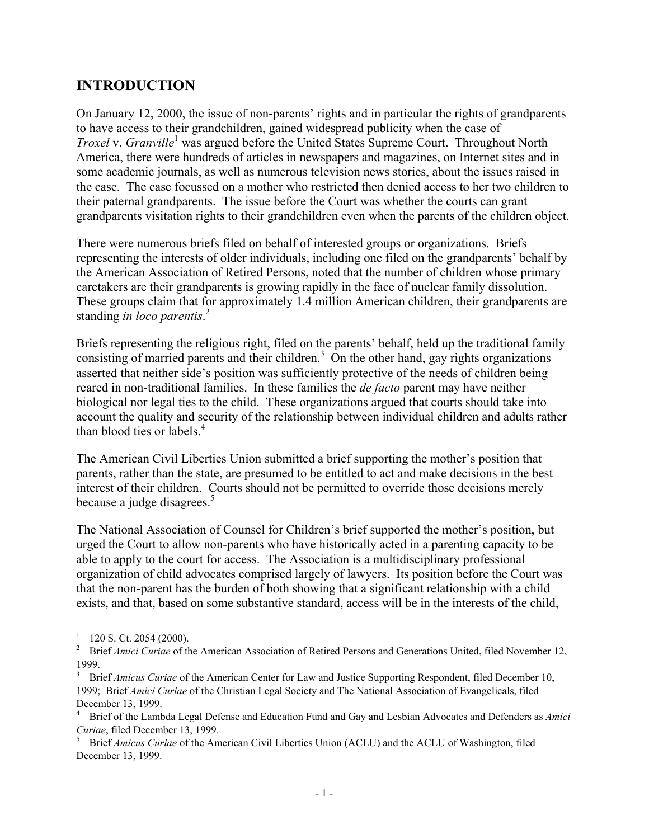### **INTRODUCTION**

On January 12, 2000, the issue of non-parents' rights and in particular the rights of grandparents to have access to their grandchildren, gained widespread publicity when the case of *Troxel v. Granville*<sup>1</sup> was argued before the United States Supreme Court. Throughout North America, there were hundreds of articles in newspapers and magazines, on Internet sites and in some academic journals, as well as numerous television news stories, about the issues raised in the case. The case focussed on a mother who restricted then denied access to her two children to their paternal grandparents. The issue before the Court was whether the courts can grant grandparents visitation rights to their grandchildren even when the parents of the children object.

There were numerous briefs filed on behalf of interested groups or organizations. Briefs representing the interests of older individuals, including one filed on the grandparents' behalf by the American Association of Retired Persons, noted that the number of children whose primary caretakers are their grandparents is growing rapidly in the face of nuclear family dissolution. These groups claim that for approximately 1.4 million American children, their grandparents are standing *in loco parentis*. 2

Briefs representing the religious right, filed on the parents' behalf, held up the traditional family consisting of married parents and their children. $3$  On the other hand, gay rights organizations asserted that neither side's position was sufficiently protective of the needs of children being reared in non-traditional families. In these families the *de facto* parent may have neither biological nor legal ties to the child. These organizations argued that courts should take into account the quality and security of the relationship between individual children and adults rather than blood ties or labels.4

The American Civil Liberties Union submitted a brief supporting the mother's position that parents, rather than the state, are presumed to be entitled to act and make decisions in the best interest of their children. Courts should not be permitted to override those decisions merely because a judge disagrees.<sup>5</sup>

The National Association of Counsel for Children's brief supported the mother's position, but urged the Court to allow non-parents who have historically acted in a parenting capacity to be able to apply to the court for access. The Association is a multidisciplinary professional organization of child advocates comprised largely of lawyers. Its position before the Court was that the non-parent has the burden of both showing that a significant relationship with a child exists, and that, based on some substantive standard, access will be in the interests of the child,

1

 $1$  120 S. Ct. 2054 (2000).

<sup>&</sup>lt;sup>2</sup> Brief *Amici Curiae* of the American Association of Retired Persons and Generations United, filed November 12,  $\frac{1999}{3}$ .

<sup>3</sup> Brief *Amicus Curiae* of the American Center for Law and Justice Supporting Respondent, filed December 10, 1999; Brief *Amici Curiae* of the Christian Legal Society and The National Association of Evangelicals, filed December 13, 1999.

<sup>4</sup> Brief of the Lambda Legal Defense and Education Fund and Gay and Lesbian Advocates and Defenders as *Amici Curiae*, filed December 13, 1999.

<sup>5</sup> Brief *Amicus Curiae* of the American Civil Liberties Union (ACLU) and the ACLU of Washington, filed December 13, 1999.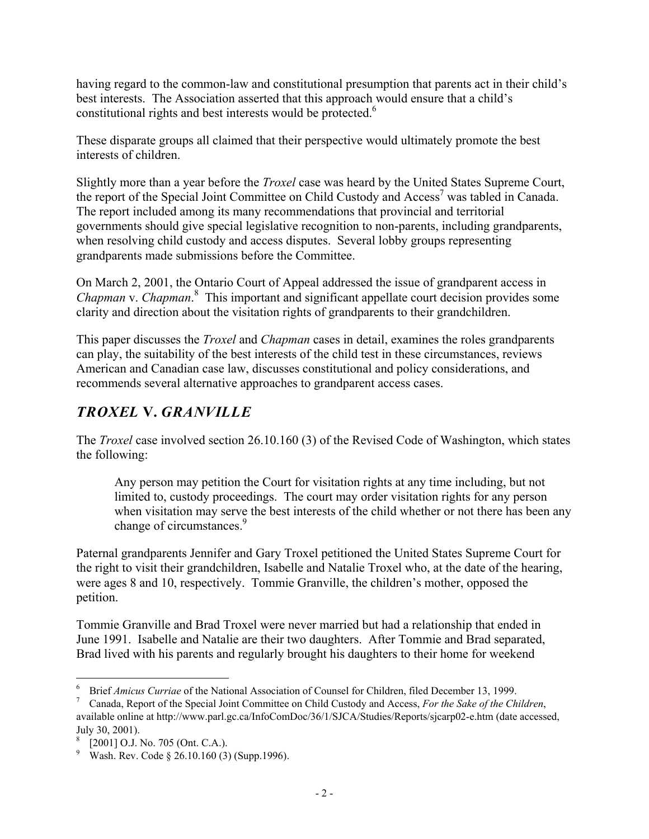having regard to the common-law and constitutional presumption that parents act in their child's best interests. The Association asserted that this approach would ensure that a child's constitutional rights and best interests would be protected.<sup>6</sup>

These disparate groups all claimed that their perspective would ultimately promote the best interests of children.

Slightly more than a year before the *Troxel* case was heard by the United States Supreme Court, the report of the Special Joint Committee on Child Custody and Access<sup>7</sup> was tabled in Canada. The report included among its many recommendations that provincial and territorial governments should give special legislative recognition to non-parents, including grandparents, when resolving child custody and access disputes. Several lobby groups representing grandparents made submissions before the Committee.

On March 2, 2001, the Ontario Court of Appeal addressed the issue of grandparent access in *Chapman* v. *Chapman*. 8 This important and significant appellate court decision provides some clarity and direction about the visitation rights of grandparents to their grandchildren.

This paper discusses the *Troxel* and *Chapman* cases in detail, examines the roles grandparents can play, the suitability of the best interests of the child test in these circumstances, reviews American and Canadian case law, discusses constitutional and policy considerations, and recommends several alternative approaches to grandparent access cases.

# *TROXEL* **V.** *GRANVILLE*

The *Troxel* case involved section 26.10.160 (3) of the Revised Code of Washington, which states the following:

Any person may petition the Court for visitation rights at any time including, but not limited to, custody proceedings. The court may order visitation rights for any person when visitation may serve the best interests of the child whether or not there has been any change of circumstances.<sup>9</sup>

Paternal grandparents Jennifer and Gary Troxel petitioned the United States Supreme Court for the right to visit their grandchildren, Isabelle and Natalie Troxel who, at the date of the hearing, were ages 8 and 10, respectively. Tommie Granville, the children's mother, opposed the petition.

Tommie Granville and Brad Troxel were never married but had a relationship that ended in June 1991. Isabelle and Natalie are their two daughters. After Tommie and Brad separated, Brad lived with his parents and regularly brought his daughters to their home for weekend

 $6\phantom{.0}$ <sup>6</sup> Brief *Amicus Curriae* of the National Association of Counsel for Children, filed December 13, 1999.

<sup>7</sup> Canada, Report of the Special Joint Committee on Child Custody and Access, *For the Sake of the Children*, available online at http://www.parl.gc.ca/InfoComDoc/36/1/SJCA/Studies/Reports/sjcarp02-e.htm (date accessed, July 30, 2001).

<sup>[2001]</sup> O.J. No. 705 (Ont. C.A.).

<sup>9</sup> Wash. Rev. Code § 26.10.160 (3) (Supp.1996).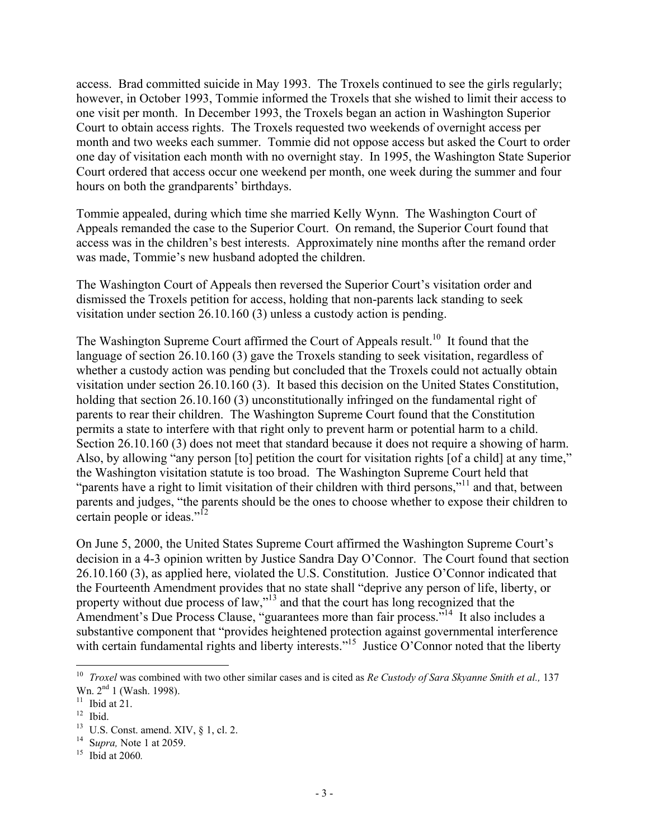access. Brad committed suicide in May 1993. The Troxels continued to see the girls regularly; however, in October 1993, Tommie informed the Troxels that she wished to limit their access to one visit per month. In December 1993, the Troxels began an action in Washington Superior Court to obtain access rights. The Troxels requested two weekends of overnight access per month and two weeks each summer. Tommie did not oppose access but asked the Court to order one day of visitation each month with no overnight stay. In 1995, the Washington State Superior Court ordered that access occur one weekend per month, one week during the summer and four hours on both the grandparents' birthdays.

Tommie appealed, during which time she married Kelly Wynn. The Washington Court of Appeals remanded the case to the Superior Court. On remand, the Superior Court found that access was in the children's best interests. Approximately nine months after the remand order was made, Tommie's new husband adopted the children.

The Washington Court of Appeals then reversed the Superior Court's visitation order and dismissed the Troxels petition for access, holding that non-parents lack standing to seek visitation under section 26.10.160 (3) unless a custody action is pending.

The Washington Supreme Court affirmed the Court of Appeals result.<sup>10</sup> It found that the language of section 26.10.160 (3) gave the Troxels standing to seek visitation, regardless of whether a custody action was pending but concluded that the Troxels could not actually obtain visitation under section 26.10.160 (3). It based this decision on the United States Constitution, holding that section 26.10.160 (3) unconstitutionally infringed on the fundamental right of parents to rear their children. The Washington Supreme Court found that the Constitution permits a state to interfere with that right only to prevent harm or potential harm to a child. Section 26.10.160 (3) does not meet that standard because it does not require a showing of harm. Also, by allowing "any person [to] petition the court for visitation rights [of a child] at any time," the Washington visitation statute is too broad. The Washington Supreme Court held that "parents have a right to limit visitation of their children with third persons,"<sup>11</sup> and that, between parents and judges, "the parents should be the ones to choose whether to expose their children to certain people or ideas."<sup>12</sup>

On June 5, 2000, the United States Supreme Court affirmed the Washington Supreme Court's decision in a 4-3 opinion written by Justice Sandra Day O'Connor. The Court found that section 26.10.160 (3), as applied here, violated the U.S. Constitution. Justice O'Connor indicated that the Fourteenth Amendment provides that no state shall "deprive any person of life, liberty, or property without due process of law,"13 and that the court has long recognized that the Amendment's Due Process Clause, "guarantees more than fair process."<sup>14</sup> It also includes a substantive component that "provides heightened protection against governmental interference with certain fundamental rights and liberty interests."<sup>15</sup> Justice O'Connor noted that the liberty

<sup>10</sup> *Troxel* was combined with two other similar cases and is cited as *Re Custody of Sara Skyanne Smith et al.,* 137 Wn. 2<sup>nd</sup> 1 (Wash. 1998).

 $11$  Ibid at 21.

 $12$  Ibid.

 $13$  U.S. Const. amend. XIV,  $\S$  1, cl. 2.

<sup>14</sup> S*upra,* Note 1 at 2059.

<sup>15</sup> Ibid at 2060*.*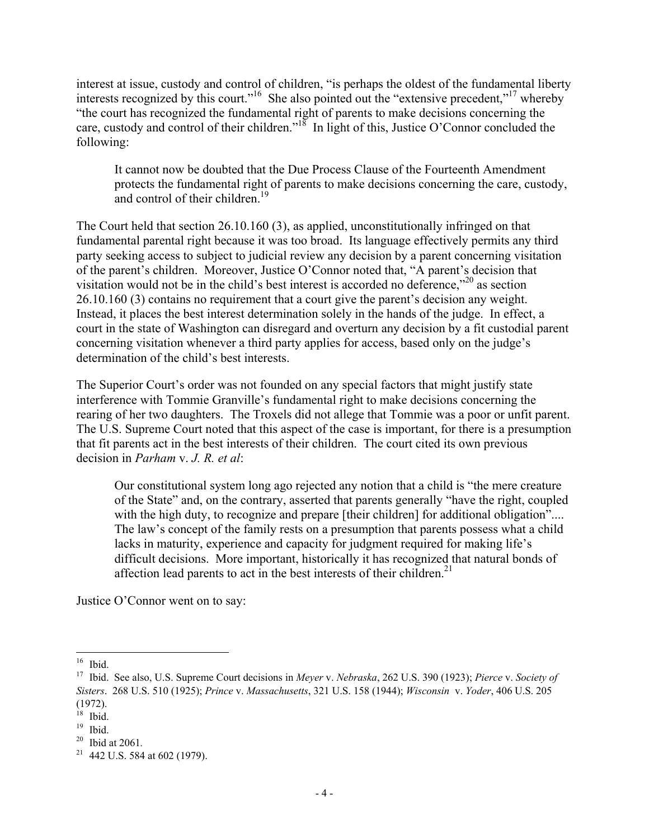interest at issue, custody and control of children, "is perhaps the oldest of the fundamental liberty interests recognized by this court."<sup>16</sup> She also pointed out the "extensive precedent,"<sup>17</sup> whereby "the court has recognized the fundamental right of parents to make decisions concerning the care, custody and control of their children."<sup>18</sup> In light of this, Justice O'Connor concluded the following:

It cannot now be doubted that the Due Process Clause of the Fourteenth Amendment protects the fundamental right of parents to make decisions concerning the care, custody, and control of their children.<sup>19</sup>

The Court held that section 26.10.160 (3), as applied, unconstitutionally infringed on that fundamental parental right because it was too broad. Its language effectively permits any third party seeking access to subject to judicial review any decision by a parent concerning visitation of the parent's children. Moreover, Justice O'Connor noted that, "A parent's decision that visitation would not be in the child's best interest is accorded no deference," $^{20}$  as section 26.10.160 (3) contains no requirement that a court give the parent's decision any weight. Instead, it places the best interest determination solely in the hands of the judge. In effect, a court in the state of Washington can disregard and overturn any decision by a fit custodial parent concerning visitation whenever a third party applies for access, based only on the judge's determination of the child's best interests.

The Superior Court's order was not founded on any special factors that might justify state interference with Tommie Granville's fundamental right to make decisions concerning the rearing of her two daughters. The Troxels did not allege that Tommie was a poor or unfit parent. The U.S. Supreme Court noted that this aspect of the case is important, for there is a presumption that fit parents act in the best interests of their children. The court cited its own previous decision in *Parham* v. *J. R. et al*:

Our constitutional system long ago rejected any notion that a child is "the mere creature of the State" and, on the contrary, asserted that parents generally "have the right, coupled with the high duty, to recognize and prepare [their children] for additional obligation".... The law's concept of the family rests on a presumption that parents possess what a child lacks in maturity, experience and capacity for judgment required for making life's difficult decisions. More important, historically it has recognized that natural bonds of affection lead parents to act in the best interests of their children.<sup>21</sup>

Justice O'Connor went on to say:

 $16$  Ibid.

<sup>17</sup> Ibid. See also, U.S. Supreme Court decisions in *Meyer* v. *Nebraska*, 262 U.S. 390 (1923); *Pierce* v. *Society of Sisters*. 268 U.S. 510 (1925); *Prince* v. *Massachusetts*, 321 U.S. 158 (1944); *Wisconsin* v. *Yoder*, 406 U.S. 205 (1972).

 $18$  Ibid.

 $19$  Ibid.

<sup>20</sup> Ibid at 2061*.*

<sup>&</sup>lt;sup>21</sup> 442 U.S. 584 at 602 (1979).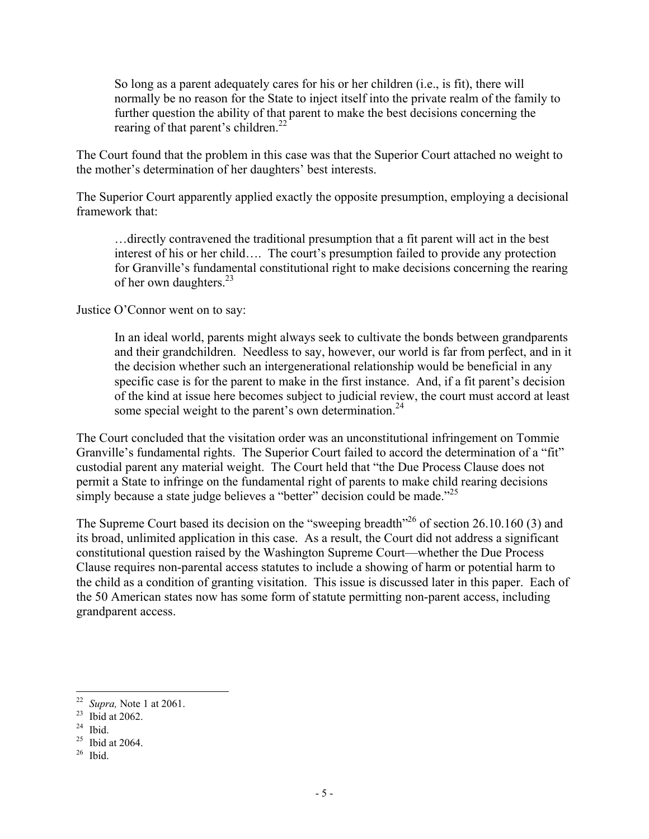So long as a parent adequately cares for his or her children (i.e., is fit), there will normally be no reason for the State to inject itself into the private realm of the family to further question the ability of that parent to make the best decisions concerning the rearing of that parent's children. $^{22}$ 

The Court found that the problem in this case was that the Superior Court attached no weight to the mother's determination of her daughters' best interests.

The Superior Court apparently applied exactly the opposite presumption, employing a decisional framework that:

…directly contravened the traditional presumption that a fit parent will act in the best interest of his or her child…. The court's presumption failed to provide any protection for Granville's fundamental constitutional right to make decisions concerning the rearing of her own daughters.<sup>23</sup>

Justice O'Connor went on to say:

In an ideal world, parents might always seek to cultivate the bonds between grandparents and their grandchildren. Needless to say, however, our world is far from perfect, and in it the decision whether such an intergenerational relationship would be beneficial in any specific case is for the parent to make in the first instance. And, if a fit parent's decision of the kind at issue here becomes subject to judicial review, the court must accord at least some special weight to the parent's own determination.<sup>24</sup>

The Court concluded that the visitation order was an unconstitutional infringement on Tommie Granville's fundamental rights. The Superior Court failed to accord the determination of a "fit" custodial parent any material weight. The Court held that "the Due Process Clause does not permit a State to infringe on the fundamental right of parents to make child rearing decisions simply because a state judge believes a "better" decision could be made. $^{25}$ 

The Supreme Court based its decision on the "sweeping breadth"<sup>26</sup> of section 26.10.160 (3) and its broad, unlimited application in this case. As a result, the Court did not address a significant constitutional question raised by the Washington Supreme Court—whether the Due Process Clause requires non-parental access statutes to include a showing of harm or potential harm to the child as a condition of granting visitation. This issue is discussed later in this paper. Each of the 50 American states now has some form of statute permitting non-parent access, including grandparent access.

 $22\,$ <sup>22</sup> *Supra,* Note 1 at 2061.

<sup>&</sup>lt;sup>23</sup> Ibid at 2062.

 $24$  Ibid.

 $25$  Ibid at 2064.

 $26$  Ibid.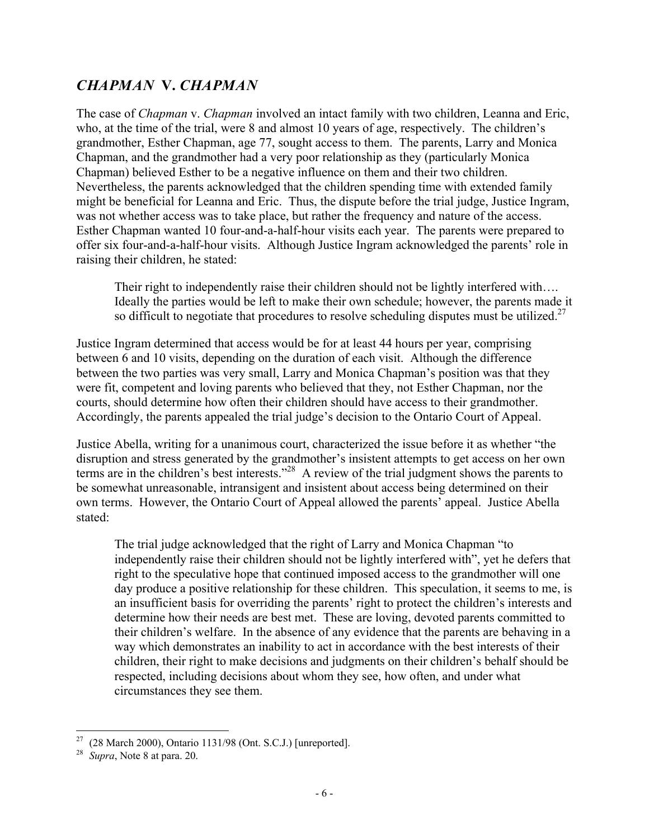# *CHAPMAN* **V.** *CHAPMAN*

The case of *Chapman* v. *Chapman* involved an intact family with two children, Leanna and Eric, who, at the time of the trial, were 8 and almost 10 years of age, respectively. The children's grandmother, Esther Chapman, age 77, sought access to them. The parents, Larry and Monica Chapman, and the grandmother had a very poor relationship as they (particularly Monica Chapman) believed Esther to be a negative influence on them and their two children. Nevertheless, the parents acknowledged that the children spending time with extended family might be beneficial for Leanna and Eric. Thus, the dispute before the trial judge, Justice Ingram, was not whether access was to take place, but rather the frequency and nature of the access. Esther Chapman wanted 10 four-and-a-half-hour visits each year. The parents were prepared to offer six four-and-a-half-hour visits. Although Justice Ingram acknowledged the parents' role in raising their children, he stated:

Their right to independently raise their children should not be lightly interfered with…. Ideally the parties would be left to make their own schedule; however, the parents made it so difficult to negotiate that procedures to resolve scheduling disputes must be utilized.<sup>27</sup>

Justice Ingram determined that access would be for at least 44 hours per year, comprising between 6 and 10 visits, depending on the duration of each visit. Although the difference between the two parties was very small, Larry and Monica Chapman's position was that they were fit, competent and loving parents who believed that they, not Esther Chapman, nor the courts, should determine how often their children should have access to their grandmother. Accordingly, the parents appealed the trial judge's decision to the Ontario Court of Appeal.

Justice Abella, writing for a unanimous court, characterized the issue before it as whether "the disruption and stress generated by the grandmother's insistent attempts to get access on her own terms are in the children's best interests."28 A review of the trial judgment shows the parents to be somewhat unreasonable, intransigent and insistent about access being determined on their own terms. However, the Ontario Court of Appeal allowed the parents' appeal. Justice Abella stated:

The trial judge acknowledged that the right of Larry and Monica Chapman "to independently raise their children should not be lightly interfered with", yet he defers that right to the speculative hope that continued imposed access to the grandmother will one day produce a positive relationship for these children. This speculation, it seems to me, is an insufficient basis for overriding the parents' right to protect the children's interests and determine how their needs are best met. These are loving, devoted parents committed to their children's welfare. In the absence of any evidence that the parents are behaving in a way which demonstrates an inability to act in accordance with the best interests of their children, their right to make decisions and judgments on their children's behalf should be respected, including decisions about whom they see, how often, and under what circumstances they see them.

 $\overline{a}$ <sup>27</sup> (28 March 2000), Ontario 1131/98 (Ont. S.C.J.) [unreported].

<sup>28</sup> *Supra*, Note 8 at para. 20.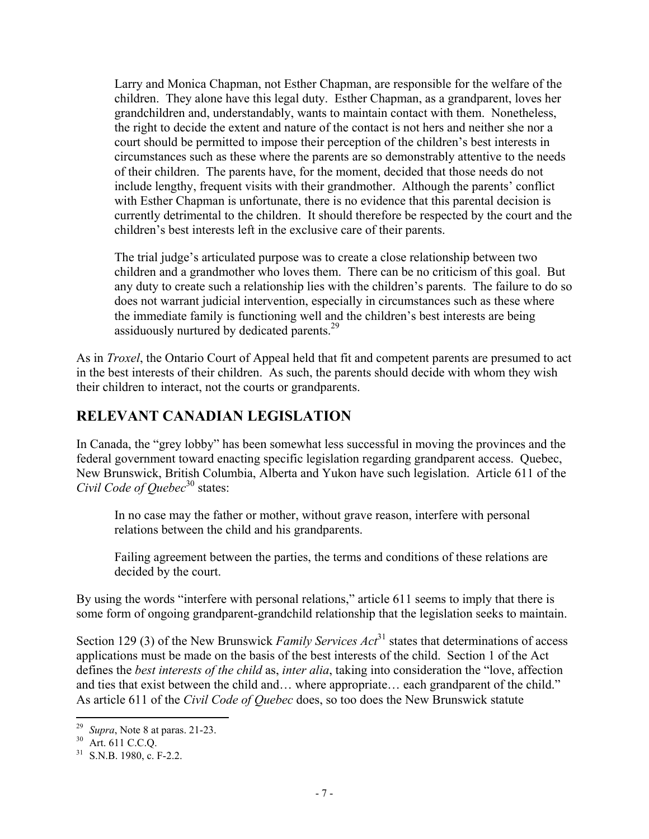Larry and Monica Chapman, not Esther Chapman, are responsible for the welfare of the children. They alone have this legal duty. Esther Chapman, as a grandparent, loves her grandchildren and, understandably, wants to maintain contact with them. Nonetheless, the right to decide the extent and nature of the contact is not hers and neither she nor a court should be permitted to impose their perception of the children's best interests in circumstances such as these where the parents are so demonstrably attentive to the needs of their children. The parents have, for the moment, decided that those needs do not include lengthy, frequent visits with their grandmother. Although the parents' conflict with Esther Chapman is unfortunate, there is no evidence that this parental decision is currently detrimental to the children. It should therefore be respected by the court and the children's best interests left in the exclusive care of their parents.

The trial judge's articulated purpose was to create a close relationship between two children and a grandmother who loves them. There can be no criticism of this goal. But any duty to create such a relationship lies with the children's parents. The failure to do so does not warrant judicial intervention, especially in circumstances such as these where the immediate family is functioning well and the children's best interests are being assiduously nurtured by dedicated parents.<sup>29</sup>

As in *Troxel*, the Ontario Court of Appeal held that fit and competent parents are presumed to act in the best interests of their children. As such, the parents should decide with whom they wish their children to interact, not the courts or grandparents.

# **RELEVANT CANADIAN LEGISLATION**

In Canada, the "grey lobby" has been somewhat less successful in moving the provinces and the federal government toward enacting specific legislation regarding grandparent access. Quebec, New Brunswick, British Columbia, Alberta and Yukon have such legislation. Article 611 of the *Civil Code of Ouebec*<sup>30</sup> states:

In no case may the father or mother, without grave reason, interfere with personal relations between the child and his grandparents.

Failing agreement between the parties, the terms and conditions of these relations are decided by the court.

By using the words "interfere with personal relations," article 611 seems to imply that there is some form of ongoing grandparent-grandchild relationship that the legislation seeks to maintain.

Section 129 (3) of the New Brunswick *Family Services Act*<sup>31</sup> states that determinations of access applications must be made on the basis of the best interests of the child. Section 1 of the Act defines the *best interests of the child* as, *inter alia*, taking into consideration the "love, affection and ties that exist between the child and… where appropriate… each grandparent of the child." As article 611 of the *Civil Code of Quebec* does, so too does the New Brunswick statute

 $\overline{a}$ <sup>29</sup> *Supra*, Note 8 at paras. 21-23.

<sup>30</sup> Art. 611 C.C.Q.

 $31$  S.N.B. 1980, c. F-2.2.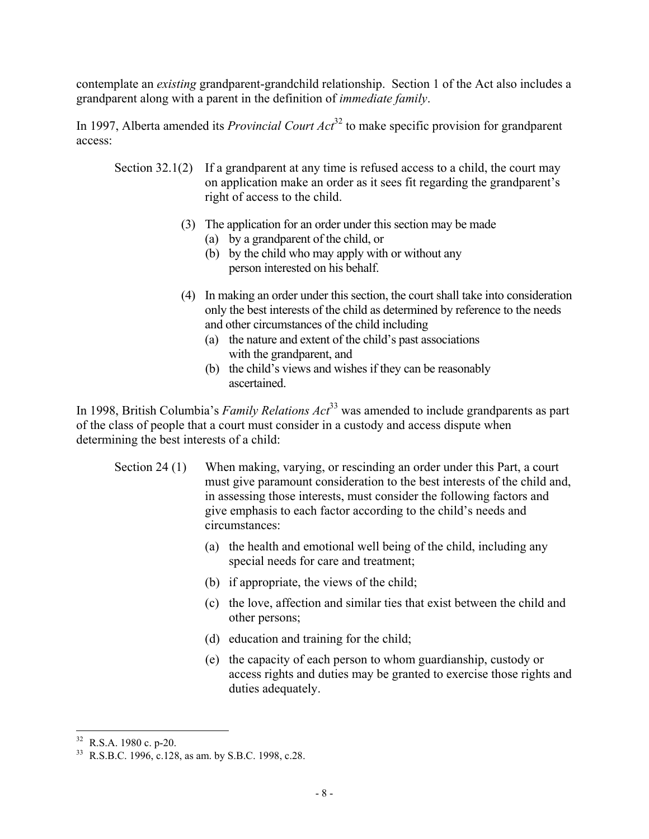contemplate an *existing* grandparent-grandchild relationship. Section 1 of the Act also includes a grandparent along with a parent in the definition of *immediate family*.

In 1997, Alberta amended its *Provincial Court Act*<sup>32</sup> to make specific provision for grandparent access:

- Section 32.1(2) If a grandparent at any time is refused access to a child, the court may on application make an order as it sees fit regarding the grandparent's right of access to the child.
	- (3) The application for an order under this section may be made
		- (a) by a grandparent of the child, or
		- (b) by the child who may apply with or without any person interested on his behalf.
	- (4) In making an order under this section, the court shall take into consideration only the best interests of the child as determined by reference to the needs and other circumstances of the child including
		- (a) the nature and extent of the child's past associations with the grandparent, and
		- (b) the child's views and wishes if they can be reasonably ascertained.

In 1998, British Columbia's *Family Relations Act*<sup>33</sup> was amended to include grandparents as part of the class of people that a court must consider in a custody and access dispute when determining the best interests of a child:

- Section 24 (1) When making, varying, or rescinding an order under this Part, a court must give paramount consideration to the best interests of the child and, in assessing those interests, must consider the following factors and give emphasis to each factor according to the child's needs and circumstances:
	- (a) the health and emotional well being of the child, including any special needs for care and treatment;
	- (b) if appropriate, the views of the child;
	- (c) the love, affection and similar ties that exist between the child and other persons;
	- (d) education and training for the child;
	- (e) the capacity of each person to whom guardianship, custody or access rights and duties may be granted to exercise those rights and duties adequately.

 $\overline{a}$  $32$  R.S.A. 1980 c. p-20.

<sup>33</sup> R.S.B.C. 1996, c.128, as am. by S.B.C. 1998, c.28.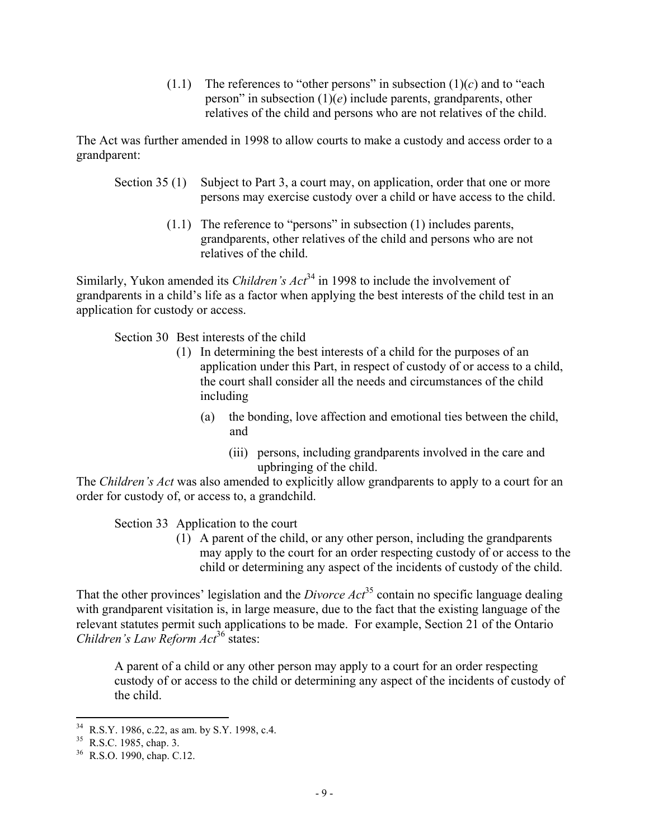(1.1) The references to "other persons" in subsection  $(1)(c)$  and to "each" person" in subsection (1)(*e*) include parents, grandparents, other relatives of the child and persons who are not relatives of the child.

The Act was further amended in 1998 to allow courts to make a custody and access order to a grandparent:

- Section 35 (1) Subject to Part 3, a court may, on application, order that one or more persons may exercise custody over a child or have access to the child.
	- (1.1) The reference to "persons" in subsection (1) includes parents, grandparents, other relatives of the child and persons who are not relatives of the child.

Similarly, Yukon amended its *Children's Act*<sup>34</sup> in 1998 to include the involvement of grandparents in a child's life as a factor when applying the best interests of the child test in an application for custody or access.

Section 30 Best interests of the child

- (1) In determining the best interests of a child for the purposes of an application under this Part, in respect of custody of or access to a child, the court shall consider all the needs and circumstances of the child including
	- (a) the bonding, love affection and emotional ties between the child, and
		- (iii) persons, including grandparents involved in the care and upbringing of the child.

The *Children's Act* was also amended to explicitly allow grandparents to apply to a court for an order for custody of, or access to, a grandchild.

Section 33 Application to the court

(1) A parent of the child, or any other person, including the grandparents may apply to the court for an order respecting custody of or access to the child or determining any aspect of the incidents of custody of the child.

That the other provinces' legislation and the *Divorce Act*<sup>35</sup> contain no specific language dealing with grandparent visitation is, in large measure, due to the fact that the existing language of the relevant statutes permit such applications to be made. For example, Section 21 of the Ontario *Children's Law Reform Act*36 states:

A parent of a child or any other person may apply to a court for an order respecting custody of or access to the child or determining any aspect of the incidents of custody of the child.

<u>.</u>

 $34$  R.S.Y. 1986, c.22, as am. by S.Y. 1998, c.4.

<sup>&</sup>lt;sup>35</sup> R.S.C. 1985, chap. 3.

<sup>36</sup> R.S.O. 1990, chap. C.12.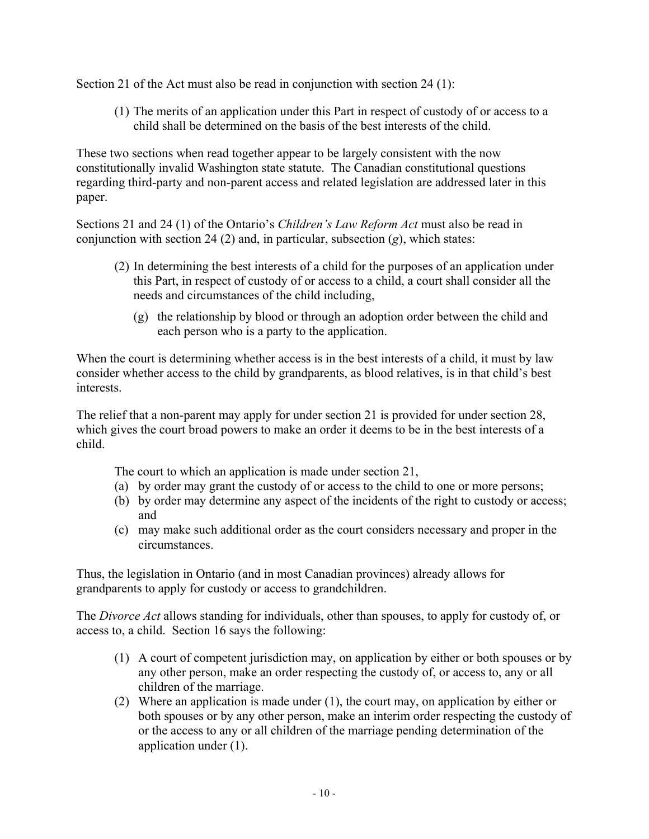Section 21 of the Act must also be read in conjunction with section 24 (1):

(1) The merits of an application under this Part in respect of custody of or access to a child shall be determined on the basis of the best interests of the child.

These two sections when read together appear to be largely consistent with the now constitutionally invalid Washington state statute. The Canadian constitutional questions regarding third-party and non-parent access and related legislation are addressed later in this paper.

Sections 21 and 24 (1) of the Ontario's *Children's Law Reform Act* must also be read in conjunction with section 24 (2) and, in particular, subsection (*g*), which states:

- (2) In determining the best interests of a child for the purposes of an application under this Part, in respect of custody of or access to a child, a court shall consider all the needs and circumstances of the child including,
	- (g) the relationship by blood or through an adoption order between the child and each person who is a party to the application.

When the court is determining whether access is in the best interests of a child, it must by law consider whether access to the child by grandparents, as blood relatives, is in that child's best interests.

The relief that a non-parent may apply for under section 21 is provided for under section 28, which gives the court broad powers to make an order it deems to be in the best interests of a child.

- The court to which an application is made under section 21,
- (a) by order may grant the custody of or access to the child to one or more persons;
- (b) by order may determine any aspect of the incidents of the right to custody or access; and
- (c) may make such additional order as the court considers necessary and proper in the circumstances.

Thus, the legislation in Ontario (and in most Canadian provinces) already allows for grandparents to apply for custody or access to grandchildren.

The *Divorce Act* allows standing for individuals, other than spouses, to apply for custody of, or access to, a child. Section 16 says the following:

- (1) A court of competent jurisdiction may, on application by either or both spouses or by any other person, make an order respecting the custody of, or access to, any or all children of the marriage.
- (2) Where an application is made under (1), the court may, on application by either or both spouses or by any other person, make an interim order respecting the custody of or the access to any or all children of the marriage pending determination of the application under (1).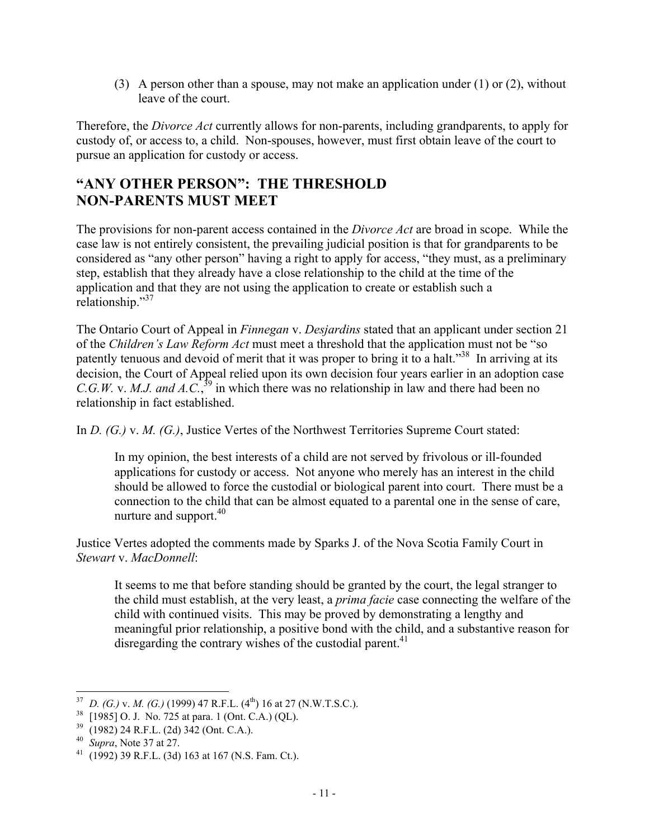(3) A person other than a spouse, may not make an application under (1) or (2), without leave of the court.

Therefore, the *Divorce Act* currently allows for non-parents, including grandparents, to apply for custody of, or access to, a child. Non-spouses, however, must first obtain leave of the court to pursue an application for custody or access.

# **"ANY OTHER PERSON": THE THRESHOLD NON-PARENTS MUST MEET**

The provisions for non-parent access contained in the *Divorce Act* are broad in scope. While the case law is not entirely consistent, the prevailing judicial position is that for grandparents to be considered as "any other person" having a right to apply for access, "they must, as a preliminary step, establish that they already have a close relationship to the child at the time of the application and that they are not using the application to create or establish such a relationship."37

The Ontario Court of Appeal in *Finnegan* v. *Desjardins* stated that an applicant under section 21 of the *Children's Law Reform Act* must meet a threshold that the application must not be "so patently tenuous and devoid of merit that it was proper to bring it to a halt."<sup>38</sup> In arriving at its decision, the Court of Appeal relied upon its own decision four years earlier in an adoption case *C.G.W.* v. *M.J. and A.C.*<sup>39</sup> in which there was no relationship in law and there had been no relationship in fact established.

In *D. (G.)* v. *M. (G.)*, Justice Vertes of the Northwest Territories Supreme Court stated:

In my opinion, the best interests of a child are not served by frivolous or ill-founded applications for custody or access. Not anyone who merely has an interest in the child should be allowed to force the custodial or biological parent into court. There must be a connection to the child that can be almost equated to a parental one in the sense of care, nurture and support.<sup>40</sup>

Justice Vertes adopted the comments made by Sparks J. of the Nova Scotia Family Court in *Stewart* v. *MacDonnell*:

It seems to me that before standing should be granted by the court, the legal stranger to the child must establish, at the very least, a *prima facie* case connecting the welfare of the child with continued visits. This may be proved by demonstrating a lengthy and meaningful prior relationship, a positive bond with the child, and a substantive reason for disregarding the contrary wishes of the custodial parent.<sup>41</sup>

 $\overline{a}$ *D. (G.) v. M. (G.)* (1999) 47 R.F.L. (4<sup>th</sup>) 16 at 27 (N.W.T.S.C.).

 $^{38}$  [1985] O. J. No. 725 at para. 1 (Ont. C.A.) (QL).<br> $^{39}$  (1982) 24 B E L (2d) 342 (Ont. C.A.)

<sup>39</sup> (1982) 24 R.F.L. (2d) 342 (Ont. C.A.).

<sup>40</sup> *Supra*, Note 37 at 27.

<sup>&</sup>lt;sup>41</sup> (1992) 39 R.F.L. (3d) 163 at 167 (N.S. Fam. Ct.).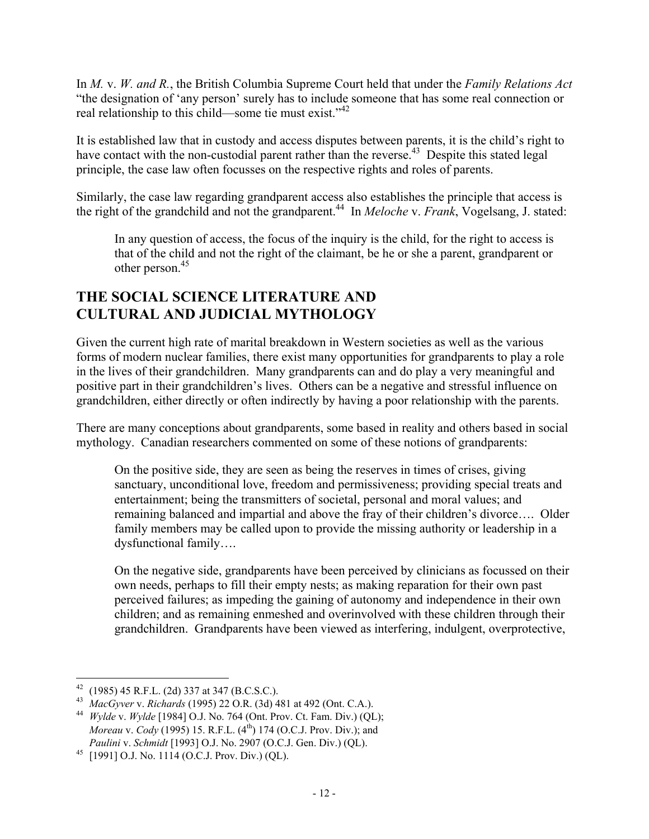In *M.* v. *W. and R.*, the British Columbia Supreme Court held that under the *Family Relations Act* "the designation of 'any person' surely has to include someone that has some real connection or real relationship to this child—some tie must exist."<sup>42</sup>

It is established law that in custody and access disputes between parents, it is the child's right to have contact with the non-custodial parent rather than the reverse.<sup>43</sup> Despite this stated legal principle, the case law often focusses on the respective rights and roles of parents.

Similarly, the case law regarding grandparent access also establishes the principle that access is the right of the grandchild and not the grandparent.<sup>44</sup> In *Meloche v. Frank*, Vogelsang, J. stated:

In any question of access, the focus of the inquiry is the child, for the right to access is that of the child and not the right of the claimant, be he or she a parent, grandparent or other person.<sup>45</sup>

# **THE SOCIAL SCIENCE LITERATURE AND CULTURAL AND JUDICIAL MYTHOLOGY**

Given the current high rate of marital breakdown in Western societies as well as the various forms of modern nuclear families, there exist many opportunities for grandparents to play a role in the lives of their grandchildren. Many grandparents can and do play a very meaningful and positive part in their grandchildren's lives. Others can be a negative and stressful influence on grandchildren, either directly or often indirectly by having a poor relationship with the parents.

There are many conceptions about grandparents, some based in reality and others based in social mythology. Canadian researchers commented on some of these notions of grandparents:

On the positive side, they are seen as being the reserves in times of crises, giving sanctuary, unconditional love, freedom and permissiveness; providing special treats and entertainment; being the transmitters of societal, personal and moral values; and remaining balanced and impartial and above the fray of their children's divorce…. Older family members may be called upon to provide the missing authority or leadership in a dysfunctional family….

On the negative side, grandparents have been perceived by clinicians as focussed on their own needs, perhaps to fill their empty nests; as making reparation for their own past perceived failures; as impeding the gaining of autonomy and independence in their own children; and as remaining enmeshed and overinvolved with these children through their grandchildren. Grandparents have been viewed as interfering, indulgent, overprotective,

 $\overline{a}$  $42$  (1985) 45 R.F.L. (2d) 337 at 347 (B.C.S.C.).

<sup>43</sup> *MacGyver* v. *Richards* (1995) 22 O.R. (3d) 481 at 492 (Ont. C.A.).

<sup>44</sup> *Wylde* v. *Wylde* [1984] O.J. No. 764 (Ont. Prov. Ct. Fam. Div.) (QL); *Moreau v. Cody* (1995) 15. R.F.L. (4<sup>th</sup>) 174 (O.C.J. Prov. Div.); and *Paulini* v. *Schmidt* [1993] O.J. No. 2907 (O.C.J. Gen. Div.) (QL).

<sup>45</sup> [1991] O.J. No. 1114 (O.C.J. Prov. Div.) (QL).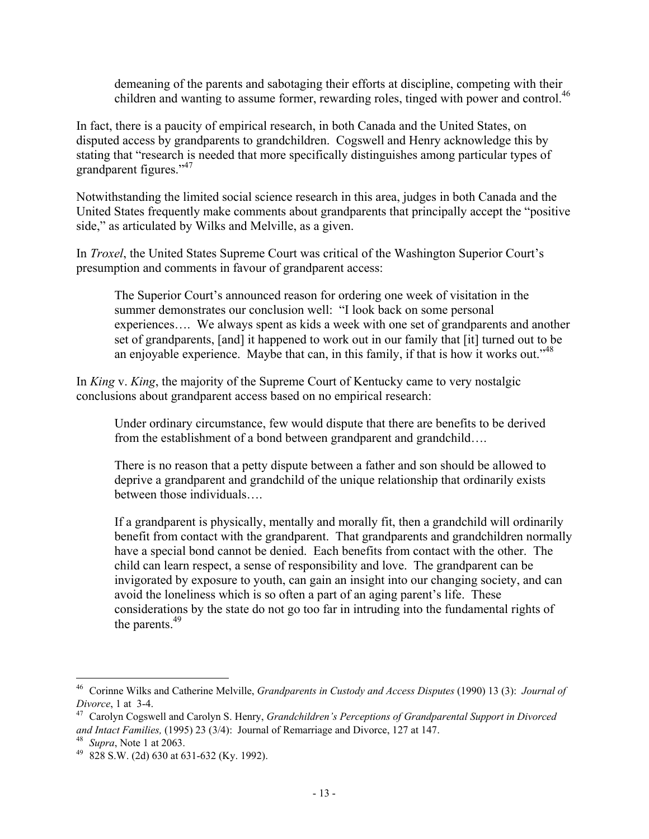demeaning of the parents and sabotaging their efforts at discipline, competing with their children and wanting to assume former, rewarding roles, tinged with power and control.<sup>46</sup>

In fact, there is a paucity of empirical research, in both Canada and the United States, on disputed access by grandparents to grandchildren. Cogswell and Henry acknowledge this by stating that "research is needed that more specifically distinguishes among particular types of grandparent figures."<sup>47</sup>

Notwithstanding the limited social science research in this area, judges in both Canada and the United States frequently make comments about grandparents that principally accept the "positive side," as articulated by Wilks and Melville, as a given.

In *Troxel*, the United States Supreme Court was critical of the Washington Superior Court's presumption and comments in favour of grandparent access:

The Superior Court's announced reason for ordering one week of visitation in the summer demonstrates our conclusion well: "I look back on some personal experiences…. We always spent as kids a week with one set of grandparents and another set of grandparents, [and] it happened to work out in our family that [it] turned out to be an enjoyable experience. Maybe that can, in this family, if that is how it works out.<sup> $348$ </sup>

In *King* v. *King*, the majority of the Supreme Court of Kentucky came to very nostalgic conclusions about grandparent access based on no empirical research:

Under ordinary circumstance, few would dispute that there are benefits to be derived from the establishment of a bond between grandparent and grandchild….

There is no reason that a petty dispute between a father and son should be allowed to deprive a grandparent and grandchild of the unique relationship that ordinarily exists between those individuals….

If a grandparent is physically, mentally and morally fit, then a grandchild will ordinarily benefit from contact with the grandparent. That grandparents and grandchildren normally have a special bond cannot be denied. Each benefits from contact with the other. The child can learn respect, a sense of responsibility and love. The grandparent can be invigorated by exposure to youth, can gain an insight into our changing society, and can avoid the loneliness which is so often a part of an aging parent's life. These considerations by the state do not go too far in intruding into the fundamental rights of the parents.<sup>49</sup>

 $\overline{a}$ <sup>46</sup> Corinne Wilks and Catherine Melville, *Grandparents in Custody and Access Disputes* (1990) 13 (3): *Journal of Divorce*, 1 at 3-4.

<sup>47</sup> Carolyn Cogswell and Carolyn S. Henry, *Grandchildren's Perceptions of Grandparental Support in Divorced and Intact Families,* (1995) 23 (3/4): Journal of Remarriage and Divorce, 127 at 147.

<sup>48</sup> *Supra*, Note 1 at 2063.

 $49$  828 S.W. (2d) 630 at 631-632 (Ky. 1992).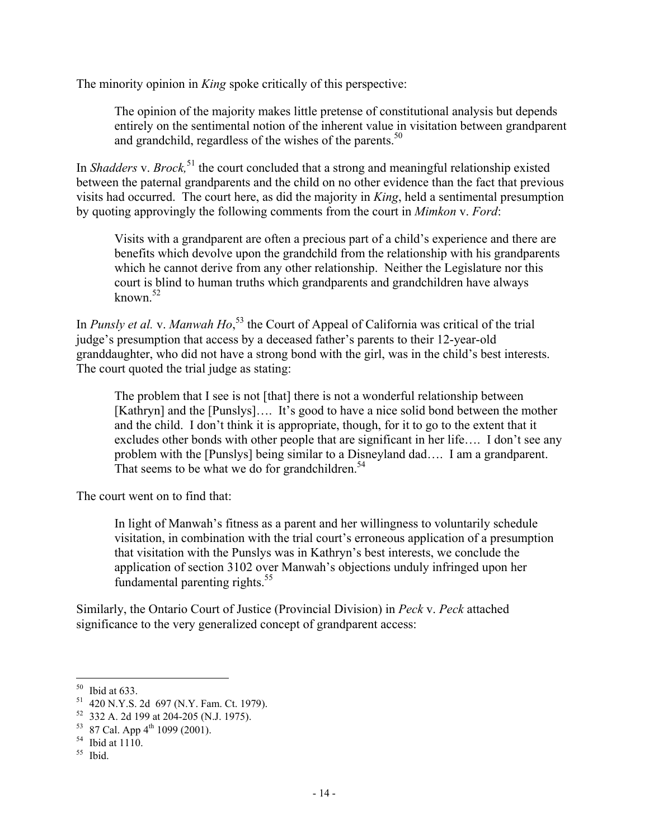The minority opinion in *King* spoke critically of this perspective:

The opinion of the majority makes little pretense of constitutional analysis but depends entirely on the sentimental notion of the inherent value in visitation between grandparent and grandchild, regardless of the wishes of the parents.<sup>50</sup>

In *Shadders* v. *Brock,*51 the court concluded that a strong and meaningful relationship existed between the paternal grandparents and the child on no other evidence than the fact that previous visits had occurred. The court here, as did the majority in *King*, held a sentimental presumption by quoting approvingly the following comments from the court in *Mimkon* v. *Ford*:

Visits with a grandparent are often a precious part of a child's experience and there are benefits which devolve upon the grandchild from the relationship with his grandparents which he cannot derive from any other relationship. Neither the Legislature nor this court is blind to human truths which grandparents and grandchildren have always known. $52$ 

In *Punsly et al.* v. *Manwah Ho*, 53 the Court of Appeal of California was critical of the trial judge's presumption that access by a deceased father's parents to their 12-year-old granddaughter, who did not have a strong bond with the girl, was in the child's best interests. The court quoted the trial judge as stating:

The problem that I see is not [that] there is not a wonderful relationship between [Kathryn] and the [Punslys].... It's good to have a nice solid bond between the mother and the child. I don't think it is appropriate, though, for it to go to the extent that it excludes other bonds with other people that are significant in her life…. I don't see any problem with the [Punslys] being similar to a Disneyland dad…. I am a grandparent. That seems to be what we do for grandchildren.<sup>54</sup>

The court went on to find that:

In light of Manwah's fitness as a parent and her willingness to voluntarily schedule visitation, in combination with the trial court's erroneous application of a presumption that visitation with the Punslys was in Kathryn's best interests, we conclude the application of section 3102 over Manwah's objections unduly infringed upon her fundamental parenting rights. $55$ 

Similarly, the Ontario Court of Justice (Provincial Division) in *Peck* v. *Peck* attached significance to the very generalized concept of grandparent access:

 $50$  Ibid at 633.

<sup>51</sup> 420 N.Y.S. 2d 697 (N.Y. Fam. Ct. 1979).

<sup>52</sup> 332 A. 2d 199 at 204-205 (N.J. 1975).

 $53$  87 Cal. App  $4^{th}$  1099 (2001).

 $54$  Ibid at 1110.

<sup>55</sup> Ibid.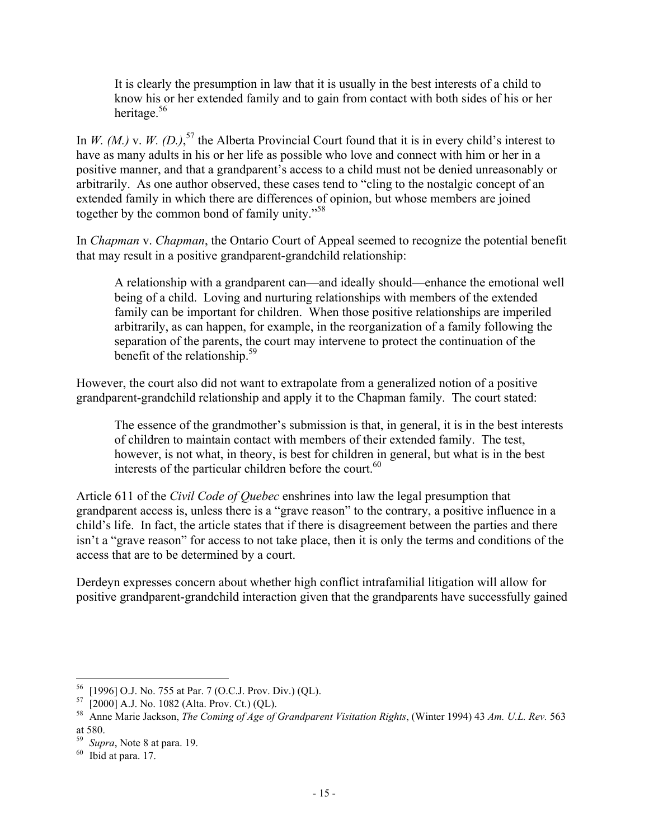It is clearly the presumption in law that it is usually in the best interests of a child to know his or her extended family and to gain from contact with both sides of his or her heritage.56

In *W. (M.)* v. *W. (D.)*<sup>57</sup> the Alberta Provincial Court found that it is in every child's interest to have as many adults in his or her life as possible who love and connect with him or her in a positive manner, and that a grandparent's access to a child must not be denied unreasonably or arbitrarily. As one author observed, these cases tend to "cling to the nostalgic concept of an extended family in which there are differences of opinion, but whose members are joined together by the common bond of family unity."58

In *Chapman* v. *Chapman*, the Ontario Court of Appeal seemed to recognize the potential benefit that may result in a positive grandparent-grandchild relationship:

A relationship with a grandparent can—and ideally should—enhance the emotional well being of a child. Loving and nurturing relationships with members of the extended family can be important for children. When those positive relationships are imperiled arbitrarily, as can happen, for example, in the reorganization of a family following the separation of the parents, the court may intervene to protect the continuation of the benefit of the relationship.<sup>59</sup>

However, the court also did not want to extrapolate from a generalized notion of a positive grandparent-grandchild relationship and apply it to the Chapman family. The court stated:

The essence of the grandmother's submission is that, in general, it is in the best interests of children to maintain contact with members of their extended family. The test, however, is not what, in theory, is best for children in general, but what is in the best interests of the particular children before the court. $^{60}$ 

Article 611 of the *Civil Code of Quebec* enshrines into law the legal presumption that grandparent access is, unless there is a "grave reason" to the contrary, a positive influence in a child's life. In fact, the article states that if there is disagreement between the parties and there isn't a "grave reason" for access to not take place, then it is only the terms and conditions of the access that are to be determined by a court.

Derdeyn expresses concern about whether high conflict intrafamilial litigation will allow for positive grandparent-grandchild interaction given that the grandparents have successfully gained

<sup>56</sup> [1996] O.J. No. 755 at Par. 7 (O.C.J. Prov. Div.) (QL).

 $57$  [2000] A.J. No. 1082 (Alta. Prov. Ct.) (QL).

<sup>58</sup> Anne Marie Jackson, *The Coming of Age of Grandparent Visitation Rights*, (Winter 1994) 43 *Am. U.L. Rev.* 563 at 580.

<sup>59</sup> *Supra*, Note 8 at para. 19.

 $60$  Ibid at para. 17.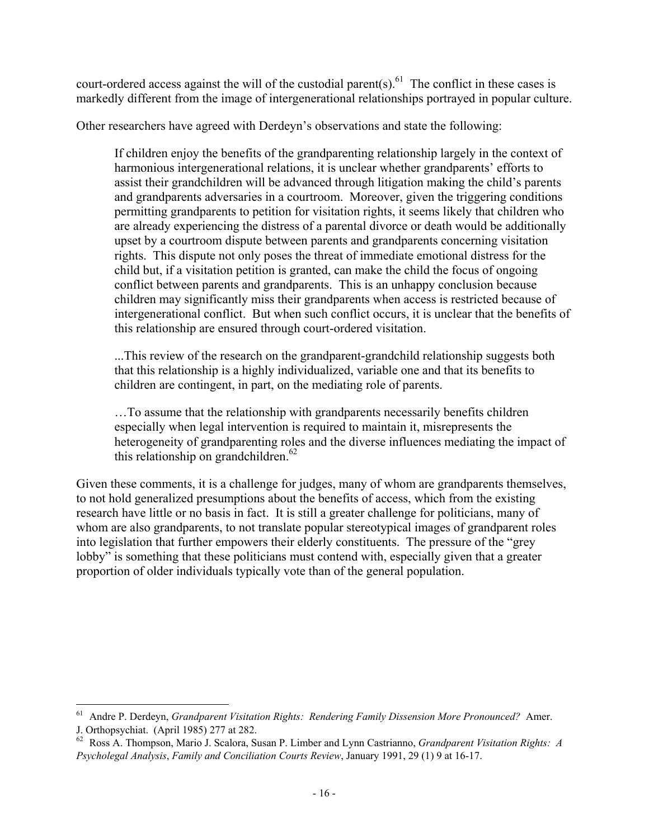court-ordered access against the will of the custodial parent(s).<sup>61</sup> The conflict in these cases is markedly different from the image of intergenerational relationships portrayed in popular culture.

Other researchers have agreed with Derdeyn's observations and state the following:

If children enjoy the benefits of the grandparenting relationship largely in the context of harmonious intergenerational relations, it is unclear whether grandparents' efforts to assist their grandchildren will be advanced through litigation making the child's parents and grandparents adversaries in a courtroom. Moreover, given the triggering conditions permitting grandparents to petition for visitation rights, it seems likely that children who are already experiencing the distress of a parental divorce or death would be additionally upset by a courtroom dispute between parents and grandparents concerning visitation rights. This dispute not only poses the threat of immediate emotional distress for the child but, if a visitation petition is granted, can make the child the focus of ongoing conflict between parents and grandparents. This is an unhappy conclusion because children may significantly miss their grandparents when access is restricted because of intergenerational conflict. But when such conflict occurs, it is unclear that the benefits of this relationship are ensured through court-ordered visitation.

...This review of the research on the grandparent-grandchild relationship suggests both that this relationship is a highly individualized, variable one and that its benefits to children are contingent, in part, on the mediating role of parents.

…To assume that the relationship with grandparents necessarily benefits children especially when legal intervention is required to maintain it, misrepresents the heterogeneity of grandparenting roles and the diverse influences mediating the impact of this relationship on grandchildren. $62$ 

Given these comments, it is a challenge for judges, many of whom are grandparents themselves, to not hold generalized presumptions about the benefits of access, which from the existing research have little or no basis in fact. It is still a greater challenge for politicians, many of whom are also grandparents, to not translate popular stereotypical images of grandparent roles into legislation that further empowers their elderly constituents. The pressure of the "grey lobby" is something that these politicians must contend with, especially given that a greater proportion of older individuals typically vote than of the general population.

<sup>61</sup> Andre P. Derdeyn, *Grandparent Visitation Rights: Rendering Family Dissension More Pronounced?* Amer. J. Orthopsychiat. (April 1985) 277 at 282.

<sup>62</sup> Ross A. Thompson, Mario J. Scalora, Susan P. Limber and Lynn Castrianno, *Grandparent Visitation Rights: A Psycholegal Analysis*, *Family and Conciliation Courts Review*, January 1991, 29 (1) 9 at 16-17.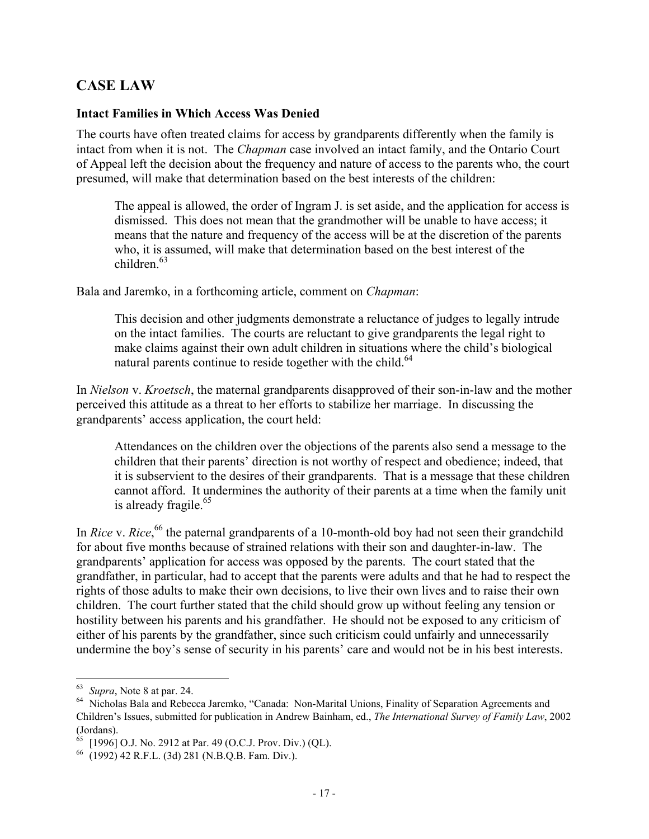### **CASE LAW**

### **Intact Families in Which Access Was Denied**

The courts have often treated claims for access by grandparents differently when the family is intact from when it is not. The *Chapman* case involved an intact family, and the Ontario Court of Appeal left the decision about the frequency and nature of access to the parents who, the court presumed, will make that determination based on the best interests of the children:

The appeal is allowed, the order of Ingram J. is set aside, and the application for access is dismissed. This does not mean that the grandmother will be unable to have access; it means that the nature and frequency of the access will be at the discretion of the parents who, it is assumed, will make that determination based on the best interest of the  $children$ <sup>63</sup>

Bala and Jaremko, in a forthcoming article, comment on *Chapman*:

This decision and other judgments demonstrate a reluctance of judges to legally intrude on the intact families. The courts are reluctant to give grandparents the legal right to make claims against their own adult children in situations where the child's biological natural parents continue to reside together with the child.<sup>64</sup>

In *Nielson* v. *Kroetsch*, the maternal grandparents disapproved of their son-in-law and the mother perceived this attitude as a threat to her efforts to stabilize her marriage. In discussing the grandparents' access application, the court held:

Attendances on the children over the objections of the parents also send a message to the children that their parents' direction is not worthy of respect and obedience; indeed, that it is subservient to the desires of their grandparents. That is a message that these children cannot afford. It undermines the authority of their parents at a time when the family unit is already fragile. $65$ 

In *Rice* v. *Rice*,<sup>66</sup> the paternal grandparents of a 10-month-old boy had not seen their grandchild for about five months because of strained relations with their son and daughter-in-law. The grandparents' application for access was opposed by the parents. The court stated that the grandfather, in particular, had to accept that the parents were adults and that he had to respect the rights of those adults to make their own decisions, to live their own lives and to raise their own children. The court further stated that the child should grow up without feeling any tension or hostility between his parents and his grandfather. He should not be exposed to any criticism of either of his parents by the grandfather, since such criticism could unfairly and unnecessarily undermine the boy's sense of security in his parents' care and would not be in his best interests.

<sup>63</sup> *Supra*, Note 8 at par. 24.

<sup>&</sup>lt;sup>64</sup> Nicholas Bala and Rebecca Jaremko, "Canada: Non-Marital Unions, Finality of Separation Agreements and Children's Issues, submitted for publication in Andrew Bainham, ed., *The International Survey of Family Law*, 2002 (Jordans).

 $65$  [1996] O.J. No. 2912 at Par. 49 (O.C.J. Prov. Div.) (QL).

<sup>66</sup> (1992) 42 R.F.L. (3d) 281 (N.B.Q.B. Fam. Div.).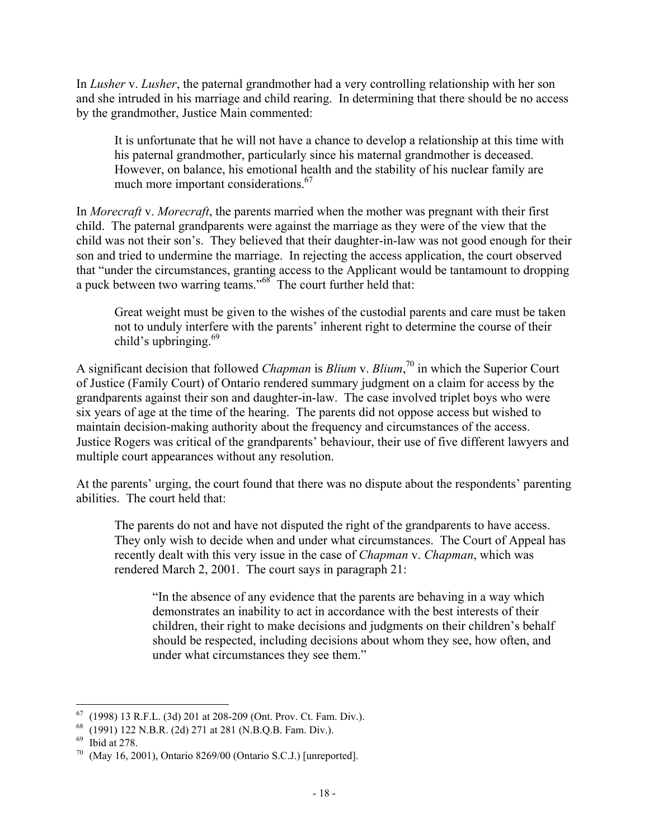In *Lusher* v. *Lusher*, the paternal grandmother had a very controlling relationship with her son and she intruded in his marriage and child rearing. In determining that there should be no access by the grandmother, Justice Main commented:

It is unfortunate that he will not have a chance to develop a relationship at this time with his paternal grandmother, particularly since his maternal grandmother is deceased. However, on balance, his emotional health and the stability of his nuclear family are much more important considerations.<sup>67</sup>

In *Morecraft* v. *Morecraft*, the parents married when the mother was pregnant with their first child. The paternal grandparents were against the marriage as they were of the view that the child was not their son's. They believed that their daughter-in-law was not good enough for their son and tried to undermine the marriage. In rejecting the access application, the court observed that "under the circumstances, granting access to the Applicant would be tantamount to dropping a puck between two warring teams."68 The court further held that:

Great weight must be given to the wishes of the custodial parents and care must be taken not to unduly interfere with the parents' inherent right to determine the course of their child's upbringing. $69$ 

A significant decision that followed *Chapman* is *Blium* v. *Blium*, 70 in which the Superior Court of Justice (Family Court) of Ontario rendered summary judgment on a claim for access by the grandparents against their son and daughter-in-law. The case involved triplet boys who were six years of age at the time of the hearing. The parents did not oppose access but wished to maintain decision-making authority about the frequency and circumstances of the access. Justice Rogers was critical of the grandparents' behaviour, their use of five different lawyers and multiple court appearances without any resolution.

At the parents' urging, the court found that there was no dispute about the respondents' parenting abilities. The court held that:

The parents do not and have not disputed the right of the grandparents to have access. They only wish to decide when and under what circumstances. The Court of Appeal has recently dealt with this very issue in the case of *Chapman* v. *Chapman*, which was rendered March 2, 2001. The court says in paragraph 21:

"In the absence of any evidence that the parents are behaving in a way which demonstrates an inability to act in accordance with the best interests of their children, their right to make decisions and judgments on their children's behalf should be respected, including decisions about whom they see, how often, and under what circumstances they see them."

1

<sup>67</sup> (1998) 13 R.F.L. (3d) 201 at 208-209 (Ont. Prov. Ct. Fam. Div.).

<sup>68</sup> (1991) 122 N.B.R. (2d) 271 at 281 (N.B.Q.B. Fam. Div.).

<sup>69</sup> Ibid at 278.

<sup>(</sup>May 16, 2001), Ontario 8269/00 (Ontario S.C.J.) [unreported].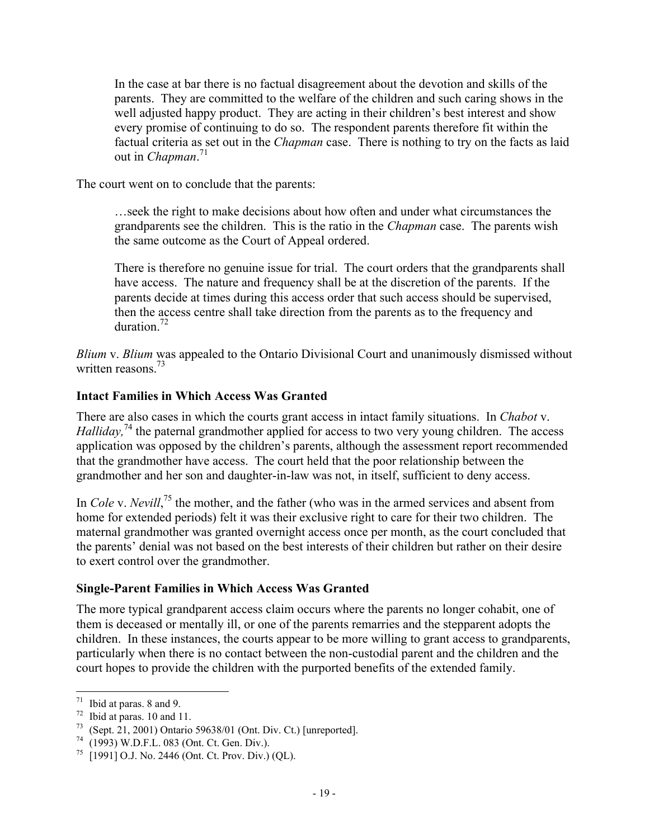In the case at bar there is no factual disagreement about the devotion and skills of the parents. They are committed to the welfare of the children and such caring shows in the well adjusted happy product. They are acting in their children's best interest and show every promise of continuing to do so. The respondent parents therefore fit within the factual criteria as set out in the *Chapman* case. There is nothing to try on the facts as laid out in *Chapman*. 71

The court went on to conclude that the parents:

…seek the right to make decisions about how often and under what circumstances the grandparents see the children. This is the ratio in the *Chapman* case. The parents wish the same outcome as the Court of Appeal ordered.

There is therefore no genuine issue for trial. The court orders that the grandparents shall have access. The nature and frequency shall be at the discretion of the parents. If the parents decide at times during this access order that such access should be supervised, then the access centre shall take direction from the parents as to the frequency and duration.<sup>72</sup>

*Blium* v. *Blium* was appealed to the Ontario Divisional Court and unanimously dismissed without written reasons.<sup>73</sup>

### **Intact Families in Which Access Was Granted**

There are also cases in which the courts grant access in intact family situations. In *Chabot* v. *Halliday*,<sup>74</sup> the paternal grandmother applied for access to two very young children. The access application was opposed by the children's parents, although the assessment report recommended that the grandmother have access. The court held that the poor relationship between the grandmother and her son and daughter-in-law was not, in itself, sufficient to deny access.

In *Cole* v. *Nevill*,<sup>75</sup> the mother, and the father (who was in the armed services and absent from home for extended periods) felt it was their exclusive right to care for their two children. The maternal grandmother was granted overnight access once per month, as the court concluded that the parents' denial was not based on the best interests of their children but rather on their desire to exert control over the grandmother.

### **Single-Parent Families in Which Access Was Granted**

The more typical grandparent access claim occurs where the parents no longer cohabit, one of them is deceased or mentally ill, or one of the parents remarries and the stepparent adopts the children. In these instances, the courts appear to be more willing to grant access to grandparents, particularly when there is no contact between the non-custodial parent and the children and the court hopes to provide the children with the purported benefits of the extended family.

 $71$  Ibid at paras. 8 and 9.

 $^{72}$  Ibid at paras. 10 and 11.<br> $^{73}$  (Sept. 21, 2001) Optario.

<sup>(</sup>Sept. 21, 2001) Ontario 59638/01 (Ont. Div. Ct.) [unreported].

<sup>74</sup> (1993) W.D.F.L. 083 (Ont. Ct. Gen. Div.).

 $^{75}$  [1991] O.J. No. 2446 (Ont. Ct. Prov. Div.) (QL).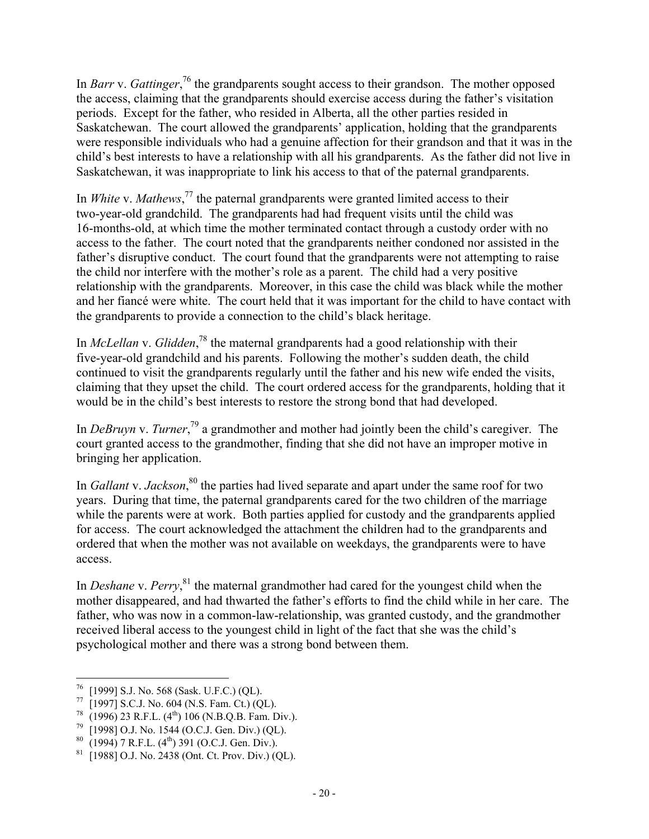In *Barr* v. *Gattinger*<sup>, 76</sup> the grandparents sought access to their grandson. The mother opposed the access, claiming that the grandparents should exercise access during the father's visitation periods. Except for the father, who resided in Alberta, all the other parties resided in Saskatchewan. The court allowed the grandparents' application, holding that the grandparents were responsible individuals who had a genuine affection for their grandson and that it was in the child's best interests to have a relationship with all his grandparents. As the father did not live in Saskatchewan, it was inappropriate to link his access to that of the paternal grandparents.

In *White* v. *Mathews*, 77 the paternal grandparents were granted limited access to their two-year-old grandchild. The grandparents had had frequent visits until the child was 16-months-old, at which time the mother terminated contact through a custody order with no access to the father. The court noted that the grandparents neither condoned nor assisted in the father's disruptive conduct. The court found that the grandparents were not attempting to raise the child nor interfere with the mother's role as a parent. The child had a very positive relationship with the grandparents. Moreover, in this case the child was black while the mother and her fiancé were white. The court held that it was important for the child to have contact with the grandparents to provide a connection to the child's black heritage.

In *McLellan* v. *Glidden*, 78 the maternal grandparents had a good relationship with their five-year-old grandchild and his parents. Following the mother's sudden death, the child continued to visit the grandparents regularly until the father and his new wife ended the visits, claiming that they upset the child. The court ordered access for the grandparents, holding that it would be in the child's best interests to restore the strong bond that had developed.

In *DeBruyn v. Turner*,<sup>79</sup> a grandmother and mother had jointly been the child's caregiver. The court granted access to the grandmother, finding that she did not have an improper motive in bringing her application.

In *Gallant* v. *Jackson*,<sup>80</sup> the parties had lived separate and apart under the same roof for two years. During that time, the paternal grandparents cared for the two children of the marriage while the parents were at work. Both parties applied for custody and the grandparents applied for access. The court acknowledged the attachment the children had to the grandparents and ordered that when the mother was not available on weekdays, the grandparents were to have access.

In *Deshane* v. Perry,<sup>81</sup> the maternal grandmother had cared for the youngest child when the mother disappeared, and had thwarted the father's efforts to find the child while in her care. The father, who was now in a common-law-relationship, was granted custody, and the grandmother received liberal access to the youngest child in light of the fact that she was the child's psychological mother and there was a strong bond between them.

 $\overline{a}$  $^{76}$  [1999] S.J. No. 568 (Sask. U.F.C.) (QL).

<sup>77</sup> [1997] S.C.J. No. 604 (N.S. Fam. Ct.) (QL).

 $^{78}$  (1996) 23 R.F.L. (4<sup>th</sup>) 106 (N.B.Q.B. Fam. Div.).

<sup>&</sup>lt;sup>79</sup> [1998] O.J. No. 1544 (O.C.J. Gen. Div.) (QL).<br><sup>80</sup> (1994) 7 **P.F.** L. (4<sup>th</sup>) 301 (O.C.J. Gen. Div.)

 $80 \over (1994)$  7 R.F.L.  $(4^{th})$  391 (O.C.J. Gen. Div.).<br> $81 \over (19881 \Omega)$  No. 2438 (Ont Ct Prov. Div.) (C

<sup>[1988]</sup> O.J. No. 2438 (Ont. Ct. Prov. Div.) (QL).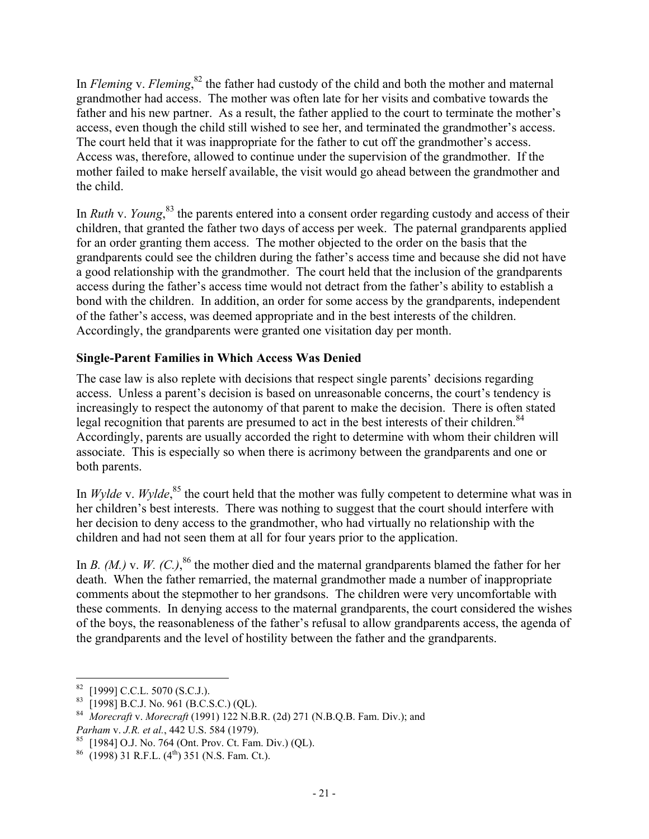In *Fleming* v. *Fleming*,<sup>82</sup> the father had custody of the child and both the mother and maternal grandmother had access. The mother was often late for her visits and combative towards the father and his new partner. As a result, the father applied to the court to terminate the mother's access, even though the child still wished to see her, and terminated the grandmother's access. The court held that it was inappropriate for the father to cut off the grandmother's access. Access was, therefore, allowed to continue under the supervision of the grandmother. If the mother failed to make herself available, the visit would go ahead between the grandmother and the child.

In *Ruth* v. *Young*, 83 the parents entered into a consent order regarding custody and access of their children, that granted the father two days of access per week. The paternal grandparents applied for an order granting them access. The mother objected to the order on the basis that the grandparents could see the children during the father's access time and because she did not have a good relationship with the grandmother. The court held that the inclusion of the grandparents access during the father's access time would not detract from the father's ability to establish a bond with the children. In addition, an order for some access by the grandparents, independent of the father's access, was deemed appropriate and in the best interests of the children. Accordingly, the grandparents were granted one visitation day per month.

### **Single-Parent Families in Which Access Was Denied**

The case law is also replete with decisions that respect single parents' decisions regarding access. Unless a parent's decision is based on unreasonable concerns, the court's tendency is increasingly to respect the autonomy of that parent to make the decision. There is often stated legal recognition that parents are presumed to act in the best interests of their children.<sup>84</sup> Accordingly, parents are usually accorded the right to determine with whom their children will associate. This is especially so when there is acrimony between the grandparents and one or both parents.

In *Wylde* v. *Wylde*,<sup>85</sup> the court held that the mother was fully competent to determine what was in her children's best interests. There was nothing to suggest that the court should interfere with her decision to deny access to the grandmother, who had virtually no relationship with the children and had not seen them at all for four years prior to the application.

In *B.* (*M.*) v. *W.* (*C.*),<sup>86</sup> the mother died and the maternal grandparents blamed the father for her death. When the father remarried, the maternal grandmother made a number of inappropriate comments about the stepmother to her grandsons. The children were very uncomfortable with these comments. In denying access to the maternal grandparents, the court considered the wishes of the boys, the reasonableness of the father's refusal to allow grandparents access, the agenda of the grandparents and the level of hostility between the father and the grandparents.

 $82$  [1999] C.C.L. 5070 (S.C.J.).

 $83$  [1998] B.C.J. No. 961 (B.C.S.C.) (QL).

<sup>84</sup> *Morecraft* v. *Morecraft* (1991) 122 N.B.R. (2d) 271 (N.B.Q.B. Fam. Div.); and *Parham* v. *J.R. et al.*, 442 U.S. 584 (1979).

<sup>85</sup> [1984] O.J. No. 764 (Ont. Prov. Ct. Fam. Div.) (QL).

 $^{86}$  (1998) 31 R.F.L. (4<sup>th</sup>) 351 (N.S. Fam. Ct.).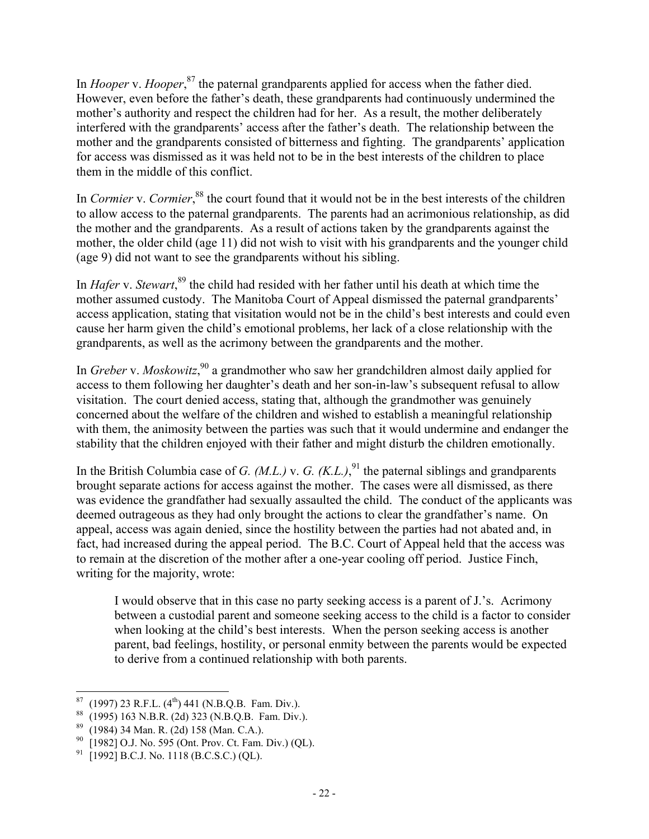In *Hooper* v. *Hooper*, 87 the paternal grandparents applied for access when the father died. However, even before the father's death, these grandparents had continuously undermined the mother's authority and respect the children had for her. As a result, the mother deliberately interfered with the grandparents' access after the father's death. The relationship between the mother and the grandparents consisted of bitterness and fighting. The grandparents' application for access was dismissed as it was held not to be in the best interests of the children to place them in the middle of this conflict.

In *Cormier* v. *Cormier*,<sup>88</sup> the court found that it would not be in the best interests of the children to allow access to the paternal grandparents. The parents had an acrimonious relationship, as did the mother and the grandparents. As a result of actions taken by the grandparents against the mother, the older child (age 11) did not wish to visit with his grandparents and the younger child (age 9) did not want to see the grandparents without his sibling.

In *Hafer* v. *Stewart*, 89 the child had resided with her father until his death at which time the mother assumed custody. The Manitoba Court of Appeal dismissed the paternal grandparents' access application, stating that visitation would not be in the child's best interests and could even cause her harm given the child's emotional problems, her lack of a close relationship with the grandparents, as well as the acrimony between the grandparents and the mother.

In *Greber* v. *Moskowitz*, 90 a grandmother who saw her grandchildren almost daily applied for access to them following her daughter's death and her son-in-law's subsequent refusal to allow visitation. The court denied access, stating that, although the grandmother was genuinely concerned about the welfare of the children and wished to establish a meaningful relationship with them, the animosity between the parties was such that it would undermine and endanger the stability that the children enjoyed with their father and might disturb the children emotionally.

In the British Columbia case of *G. (M.L.)* v. *G. (K.L.)*,<sup>91</sup> the paternal siblings and grandparents brought separate actions for access against the mother. The cases were all dismissed, as there was evidence the grandfather had sexually assaulted the child. The conduct of the applicants was deemed outrageous as they had only brought the actions to clear the grandfather's name. On appeal, access was again denied, since the hostility between the parties had not abated and, in fact, had increased during the appeal period. The B.C. Court of Appeal held that the access was to remain at the discretion of the mother after a one-year cooling off period. Justice Finch, writing for the majority, wrote:

I would observe that in this case no party seeking access is a parent of J.'s. Acrimony between a custodial parent and someone seeking access to the child is a factor to consider when looking at the child's best interests. When the person seeking access is another parent, bad feelings, hostility, or personal enmity between the parents would be expected to derive from a continued relationship with both parents.

 $\overline{a}$ <sup>87</sup> (1997) 23 R.F.L. (4<sup>th</sup>) 441 (N.B.Q.B. Fam. Div.).<br><sup>88</sup> (1995) 163 N B R (2d) 323 (N B O B. Fam. Div.)

<sup>88</sup> (1995) 163 N.B.R. (2d) 323 (N.B.Q.B. Fam. Div.).

<sup>89</sup> (1984) 34 Man. R. (2d) 158 (Man. C.A.).

<sup>&</sup>lt;sup>90</sup> [1982] O.J. No. 595 (Ont. Prov. Ct. Fam. Div.) (QL).<br><sup>91</sup> [1992] B.C. J. No. 1118 (B.C. S.C.) (OL).

<sup>[1992]</sup> B.C.J. No. 1118 (B.C.S.C.) (QL).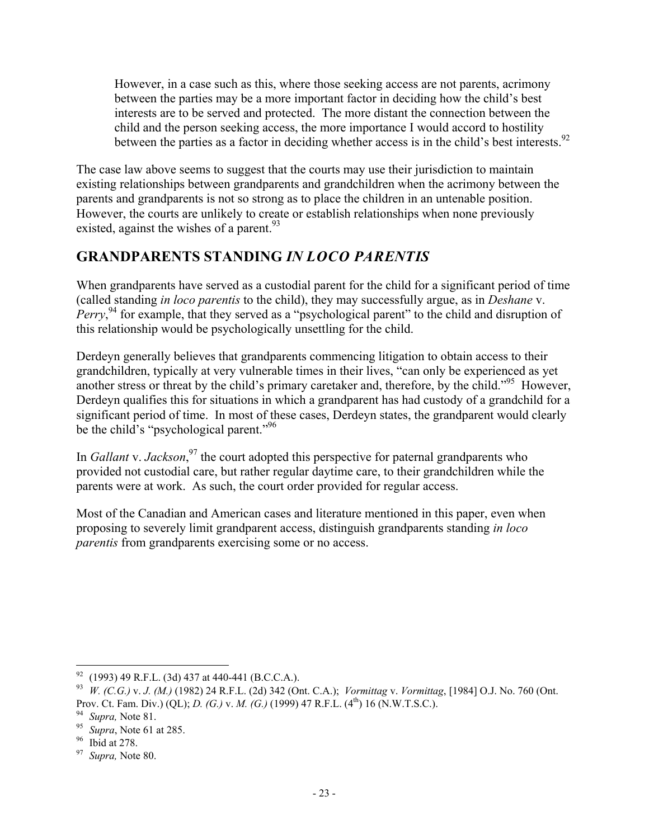However, in a case such as this, where those seeking access are not parents, acrimony between the parties may be a more important factor in deciding how the child's best interests are to be served and protected. The more distant the connection between the child and the person seeking access, the more importance I would accord to hostility between the parties as a factor in deciding whether access is in the child's best interests.<sup>92</sup>

The case law above seems to suggest that the courts may use their jurisdiction to maintain existing relationships between grandparents and grandchildren when the acrimony between the parents and grandparents is not so strong as to place the children in an untenable position. However, the courts are unlikely to create or establish relationships when none previously existed, against the wishes of a parent.<sup>93</sup>

# **GRANDPARENTS STANDING** *IN LOCO PARENTIS*

When grandparents have served as a custodial parent for the child for a significant period of time (called standing *in loco parentis* to the child), they may successfully argue, as in *Deshane* v. Perry,<sup>94</sup> for example, that they served as a "psychological parent" to the child and disruption of this relationship would be psychologically unsettling for the child.

Derdeyn generally believes that grandparents commencing litigation to obtain access to their grandchildren, typically at very vulnerable times in their lives, "can only be experienced as yet another stress or threat by the child's primary caretaker and, therefore, by the child."<sup>95</sup> However, Derdeyn qualifies this for situations in which a grandparent has had custody of a grandchild for a significant period of time. In most of these cases, Derdeyn states, the grandparent would clearly be the child's "psychological parent."<sup>96</sup>

In *Gallant* v. *Jackson*,<sup>97</sup> the court adopted this perspective for paternal grandparents who provided not custodial care, but rather regular daytime care, to their grandchildren while the parents were at work. As such, the court order provided for regular access.

Most of the Canadian and American cases and literature mentioned in this paper, even when proposing to severely limit grandparent access, distinguish grandparents standing *in loco parentis* from grandparents exercising some or no access.

<sup>1</sup>  $^{92}$  (1993) 49 R.F.L. (3d) 437 at 440-441 (B.C.C.A.).

<sup>93</sup> *W. (C.G.)* v. *J. (M.)* (1982) 24 R.F.L. (2d) 342 (Ont. C.A.); *Vormittag* v. *Vormittag*, [1984] O.J. No. 760 (Ont. Prov. Ct. Fam. Div.) (QL); *D. (G.)* v. *M. (G.)* (1999) 47 R.F.L. (4th) 16 (N.W.T.S.C.).

<sup>94</sup> *Supra,* Note 81.

<sup>95</sup> *Supra*, Note 61 at 285.

<sup>96</sup> Ibid at 278.

<sup>97</sup> *Supra,* Note 80.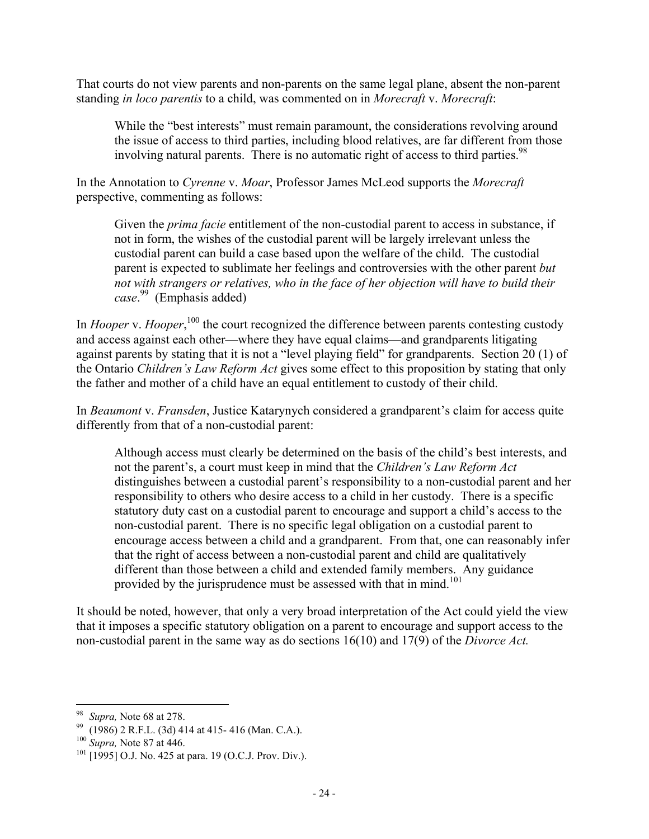That courts do not view parents and non-parents on the same legal plane, absent the non-parent standing *in loco parentis* to a child, was commented on in *Morecraft* v. *Morecraft*:

While the "best interests" must remain paramount, the considerations revolving around the issue of access to third parties, including blood relatives, are far different from those involving natural parents. There is no automatic right of access to third parties.  $98$ 

In the Annotation to *Cyrenne* v. *Moar*, Professor James McLeod supports the *Morecraft* perspective, commenting as follows:

Given the *prima facie* entitlement of the non-custodial parent to access in substance, if not in form, the wishes of the custodial parent will be largely irrelevant unless the custodial parent can build a case based upon the welfare of the child. The custodial parent is expected to sublimate her feelings and controversies with the other parent *but not with strangers or relatives, who in the face of her objection will have to build their case*. 99 (Emphasis added)

In *Hooper* v. *Hooper*,<sup>100</sup> the court recognized the difference between parents contesting custody and access against each other—where they have equal claims—and grandparents litigating against parents by stating that it is not a "level playing field" for grandparents. Section 20 (1) of the Ontario *Children's Law Reform Act* gives some effect to this proposition by stating that only the father and mother of a child have an equal entitlement to custody of their child.

In *Beaumont* v. *Fransden*, Justice Katarynych considered a grandparent's claim for access quite differently from that of a non-custodial parent:

Although access must clearly be determined on the basis of the child's best interests, and not the parent's, a court must keep in mind that the *Children's Law Reform Act* distinguishes between a custodial parent's responsibility to a non-custodial parent and her responsibility to others who desire access to a child in her custody. There is a specific statutory duty cast on a custodial parent to encourage and support a child's access to the non-custodial parent. There is no specific legal obligation on a custodial parent to encourage access between a child and a grandparent. From that, one can reasonably infer that the right of access between a non-custodial parent and child are qualitatively different than those between a child and extended family members. Any guidance provided by the jurisprudence must be assessed with that in mind.<sup>101</sup>

It should be noted, however, that only a very broad interpretation of the Act could yield the view that it imposes a specific statutory obligation on a parent to encourage and support access to the non-custodial parent in the same way as do sections 16(10) and 17(9) of the *Divorce Act.*

<sup>98</sup> *Supra,* Note 68 at 278.

<sup>99</sup> (1986) 2 R.F.L. (3d) 414 at 415- 416 (Man. C.A.).

<sup>100</sup> *Supra,* Note 87 at 446.

 $101$  [1995] O.J. No. 425 at para. 19 (O.C.J. Prov. Div.).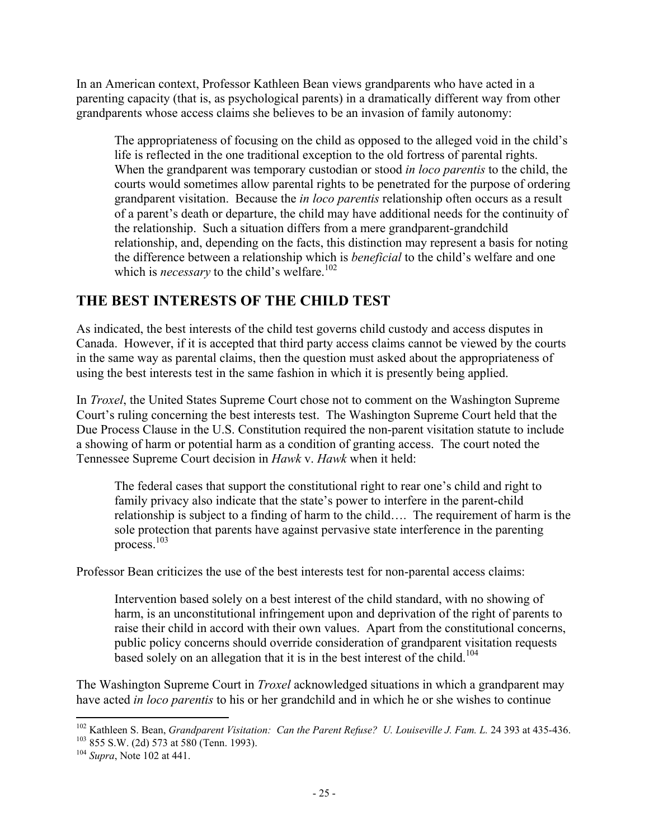In an American context, Professor Kathleen Bean views grandparents who have acted in a parenting capacity (that is, as psychological parents) in a dramatically different way from other grandparents whose access claims she believes to be an invasion of family autonomy:

The appropriateness of focusing on the child as opposed to the alleged void in the child's life is reflected in the one traditional exception to the old fortress of parental rights. When the grandparent was temporary custodian or stood *in loco parentis* to the child, the courts would sometimes allow parental rights to be penetrated for the purpose of ordering grandparent visitation. Because the *in loco parentis* relationship often occurs as a result of a parent's death or departure, the child may have additional needs for the continuity of the relationship. Such a situation differs from a mere grandparent-grandchild relationship, and, depending on the facts, this distinction may represent a basis for noting the difference between a relationship which is *beneficial* to the child's welfare and one which is *necessary* to the child's welfare.<sup>102</sup>

### **THE BEST INTERESTS OF THE CHILD TEST**

As indicated, the best interests of the child test governs child custody and access disputes in Canada. However, if it is accepted that third party access claims cannot be viewed by the courts in the same way as parental claims, then the question must asked about the appropriateness of using the best interests test in the same fashion in which it is presently being applied.

In *Troxel*, the United States Supreme Court chose not to comment on the Washington Supreme Court's ruling concerning the best interests test. The Washington Supreme Court held that the Due Process Clause in the U.S. Constitution required the non-parent visitation statute to include a showing of harm or potential harm as a condition of granting access. The court noted the Tennessee Supreme Court decision in *Hawk* v. *Hawk* when it held:

The federal cases that support the constitutional right to rear one's child and right to family privacy also indicate that the state's power to interfere in the parent-child relationship is subject to a finding of harm to the child…. The requirement of harm is the sole protection that parents have against pervasive state interference in the parenting process.<sup>103</sup>

Professor Bean criticizes the use of the best interests test for non-parental access claims:

Intervention based solely on a best interest of the child standard, with no showing of harm, is an unconstitutional infringement upon and deprivation of the right of parents to raise their child in accord with their own values. Apart from the constitutional concerns, public policy concerns should override consideration of grandparent visitation requests based solely on an allegation that it is in the best interest of the child.<sup>104</sup>

The Washington Supreme Court in *Troxel* acknowledged situations in which a grandparent may have acted *in loco parentis* to his or her grandchild and in which he or she wishes to continue

 $\overline{a}$ <sup>102</sup> Kathleen S. Bean, *Grandparent Visitation: Can the Parent Refuse? U. Louiseville J. Fam. L.* 24 393 at 435-436. <sup>103</sup> 855 S.W. (2d) 573 at 580 (Tenn. 1993).

<sup>104</sup> *Supra*, Note 102 at 441.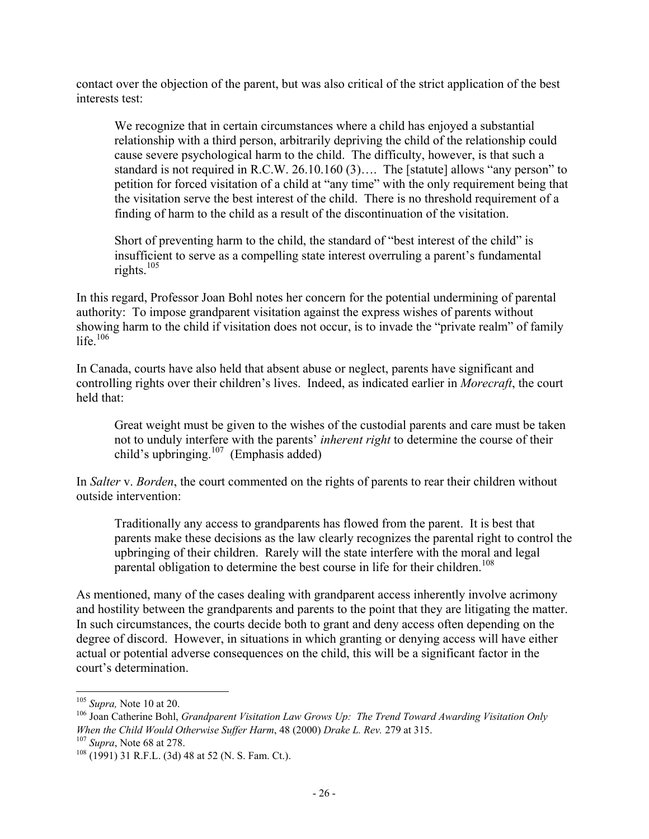contact over the objection of the parent, but was also critical of the strict application of the best interests test:

We recognize that in certain circumstances where a child has enjoyed a substantial relationship with a third person, arbitrarily depriving the child of the relationship could cause severe psychological harm to the child. The difficulty, however, is that such a standard is not required in R.C.W. 26.10.160 (3)…. The [statute] allows "any person" to petition for forced visitation of a child at "any time" with the only requirement being that the visitation serve the best interest of the child. There is no threshold requirement of a finding of harm to the child as a result of the discontinuation of the visitation.

Short of preventing harm to the child, the standard of "best interest of the child" is insufficient to serve as a compelling state interest overruling a parent's fundamental rights. $105$ 

In this regard, Professor Joan Bohl notes her concern for the potential undermining of parental authority: To impose grandparent visitation against the express wishes of parents without showing harm to the child if visitation does not occur, is to invade the "private realm" of family life. $106$ 

In Canada, courts have also held that absent abuse or neglect, parents have significant and controlling rights over their children's lives. Indeed, as indicated earlier in *Morecraft*, the court held that:

Great weight must be given to the wishes of the custodial parents and care must be taken not to unduly interfere with the parents' *inherent right* to determine the course of their child's upbringing. $107$  (Emphasis added)

In *Salter* v. *Borden*, the court commented on the rights of parents to rear their children without outside intervention:

Traditionally any access to grandparents has flowed from the parent. It is best that parents make these decisions as the law clearly recognizes the parental right to control the upbringing of their children. Rarely will the state interfere with the moral and legal parental obligation to determine the best course in life for their children.<sup>108</sup>

As mentioned, many of the cases dealing with grandparent access inherently involve acrimony and hostility between the grandparents and parents to the point that they are litigating the matter. In such circumstances, the courts decide both to grant and deny access often depending on the degree of discord. However, in situations in which granting or denying access will have either actual or potential adverse consequences on the child, this will be a significant factor in the court's determination.

<sup>105</sup> *Supra,* Note 10 at 20.

<sup>106</sup> Joan Catherine Bohl, *Grandparent Visitation Law Grows Up: The Trend Toward Awarding Visitation Only When the Child Would Otherwise Suffer Harm*, 48 (2000) *Drake L. Rev.* 279 at 315.

<sup>107</sup> *Supra*, Note 68 at 278.

<sup>108</sup> (1991) 31 R.F.L. (3d) 48 at 52 (N. S. Fam. Ct.).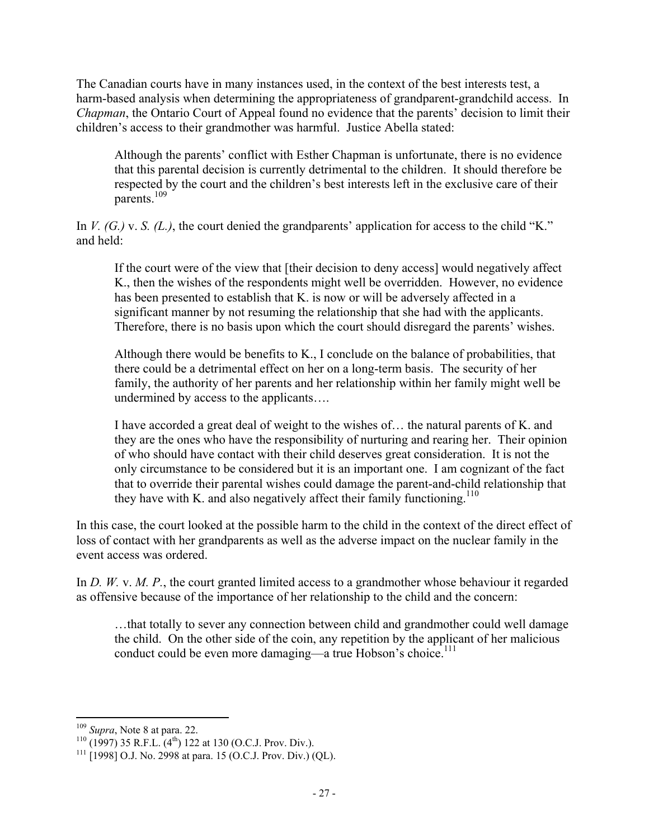The Canadian courts have in many instances used, in the context of the best interests test, a harm-based analysis when determining the appropriateness of grandparent-grandchild access. In *Chapman*, the Ontario Court of Appeal found no evidence that the parents' decision to limit their children's access to their grandmother was harmful. Justice Abella stated:

Although the parents' conflict with Esther Chapman is unfortunate, there is no evidence that this parental decision is currently detrimental to the children. It should therefore be respected by the court and the children's best interests left in the exclusive care of their parents.<sup>109</sup>

In *V. (G.)* v. *S. (L.)*, the court denied the grandparents' application for access to the child "K." and held:

If the court were of the view that [their decision to deny access] would negatively affect K., then the wishes of the respondents might well be overridden. However, no evidence has been presented to establish that K. is now or will be adversely affected in a significant manner by not resuming the relationship that she had with the applicants. Therefore, there is no basis upon which the court should disregard the parents' wishes.

Although there would be benefits to K., I conclude on the balance of probabilities, that there could be a detrimental effect on her on a long-term basis. The security of her family, the authority of her parents and her relationship within her family might well be undermined by access to the applicants….

I have accorded a great deal of weight to the wishes of… the natural parents of K. and they are the ones who have the responsibility of nurturing and rearing her. Their opinion of who should have contact with their child deserves great consideration. It is not the only circumstance to be considered but it is an important one. I am cognizant of the fact that to override their parental wishes could damage the parent-and-child relationship that they have with K, and also negatively affect their family functioning.<sup>110</sup>

In this case, the court looked at the possible harm to the child in the context of the direct effect of loss of contact with her grandparents as well as the adverse impact on the nuclear family in the event access was ordered.

In *D. W. v. M. P.*, the court granted limited access to a grandmother whose behaviour it regarded as offensive because of the importance of her relationship to the child and the concern:

…that totally to sever any connection between child and grandmother could well damage the child. On the other side of the coin, any repetition by the applicant of her malicious conduct could be even more damaging—a true Hobson's choice.<sup>111</sup>

 $\overline{a}$ <sup>109</sup> *Supra*, Note 8 at para. 22.

 $110$  (1997) 35 R.F.L. (4<sup>th</sup>) 122 at 130 (O.C.J. Prov. Div.).

<sup>&</sup>lt;sup>111</sup> [1998] O.J. No. 2998 at para. 15 (O.C.J. Prov. Div.) (QL).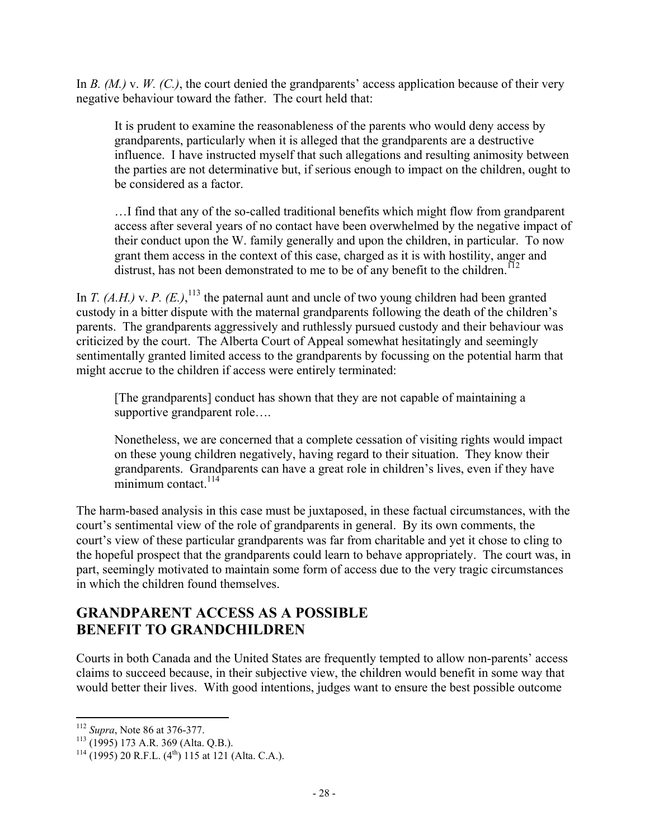In *B. (M.)* v. *W. (C.)*, the court denied the grandparents' access application because of their very negative behaviour toward the father. The court held that:

It is prudent to examine the reasonableness of the parents who would deny access by grandparents, particularly when it is alleged that the grandparents are a destructive influence. I have instructed myself that such allegations and resulting animosity between the parties are not determinative but, if serious enough to impact on the children, ought to be considered as a factor.

…I find that any of the so-called traditional benefits which might flow from grandparent access after several years of no contact have been overwhelmed by the negative impact of their conduct upon the W. family generally and upon the children, in particular. To now grant them access in the context of this case, charged as it is with hostility, anger and distrust, has not been demonstrated to me to be of any benefit to the children.<sup>112</sup>

In *T. (A.H.)* v. *P. (E.)*, <sup>113</sup> the paternal aunt and uncle of two young children had been granted custody in a bitter dispute with the maternal grandparents following the death of the children's parents. The grandparents aggressively and ruthlessly pursued custody and their behaviour was criticized by the court. The Alberta Court of Appeal somewhat hesitatingly and seemingly sentimentally granted limited access to the grandparents by focussing on the potential harm that might accrue to the children if access were entirely terminated:

[The grandparents] conduct has shown that they are not capable of maintaining a supportive grandparent role….

Nonetheless, we are concerned that a complete cessation of visiting rights would impact on these young children negatively, having regard to their situation. They know their grandparents. Grandparents can have a great role in children's lives, even if they have minimum contact.<sup>114</sup>

The harm-based analysis in this case must be juxtaposed, in these factual circumstances, with the court's sentimental view of the role of grandparents in general. By its own comments, the court's view of these particular grandparents was far from charitable and yet it chose to cling to the hopeful prospect that the grandparents could learn to behave appropriately. The court was, in part, seemingly motivated to maintain some form of access due to the very tragic circumstances in which the children found themselves.

### **GRANDPARENT ACCESS AS A POSSIBLE BENEFIT TO GRANDCHILDREN**

Courts in both Canada and the United States are frequently tempted to allow non-parents' access claims to succeed because, in their subjective view, the children would benefit in some way that would better their lives. With good intentions, judges want to ensure the best possible outcome

 $\overline{a}$ <sup>112</sup> *Supra*, Note 86 at 376-377.

<sup>113</sup> (1995) 173 A.R. 369 (Alta. Q.B.).

 $114 (1995) 20$  R.F.L.  $(4<sup>th</sup>) 115$  at 121 (Alta. C.A.).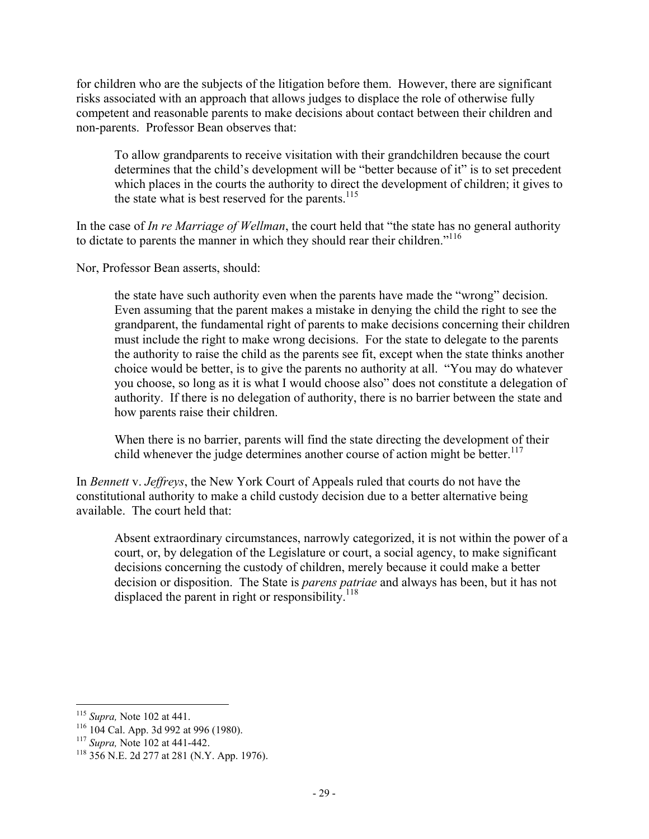for children who are the subjects of the litigation before them. However, there are significant risks associated with an approach that allows judges to displace the role of otherwise fully competent and reasonable parents to make decisions about contact between their children and non-parents. Professor Bean observes that:

To allow grandparents to receive visitation with their grandchildren because the court determines that the child's development will be "better because of it" is to set precedent which places in the courts the authority to direct the development of children; it gives to the state what is best reserved for the parents.<sup>115</sup>

In the case of *In re Marriage of Wellman*, the court held that "the state has no general authority to dictate to parents the manner in which they should rear their children."116

Nor, Professor Bean asserts, should:

the state have such authority even when the parents have made the "wrong" decision. Even assuming that the parent makes a mistake in denying the child the right to see the grandparent, the fundamental right of parents to make decisions concerning their children must include the right to make wrong decisions. For the state to delegate to the parents the authority to raise the child as the parents see fit, except when the state thinks another choice would be better, is to give the parents no authority at all. "You may do whatever you choose, so long as it is what I would choose also" does not constitute a delegation of authority. If there is no delegation of authority, there is no barrier between the state and how parents raise their children.

When there is no barrier, parents will find the state directing the development of their child whenever the judge determines another course of action might be better.<sup>117</sup>

In *Bennett* v. *Jeffreys*, the New York Court of Appeals ruled that courts do not have the constitutional authority to make a child custody decision due to a better alternative being available. The court held that:

Absent extraordinary circumstances, narrowly categorized, it is not within the power of a court, or, by delegation of the Legislature or court, a social agency, to make significant decisions concerning the custody of children, merely because it could make a better decision or disposition. The State is *parens patriae* and always has been, but it has not displaced the parent in right or responsibility.<sup>118</sup>

<sup>115</sup> *Supra,* Note 102 at 441.

<sup>116</sup> 104 Cal. App. 3d 992 at 996 (1980).

<sup>117</sup> *Supra,* Note 102 at 441-442.

<sup>118</sup> 356 N.E. 2d 277 at 281 (N.Y. App. 1976).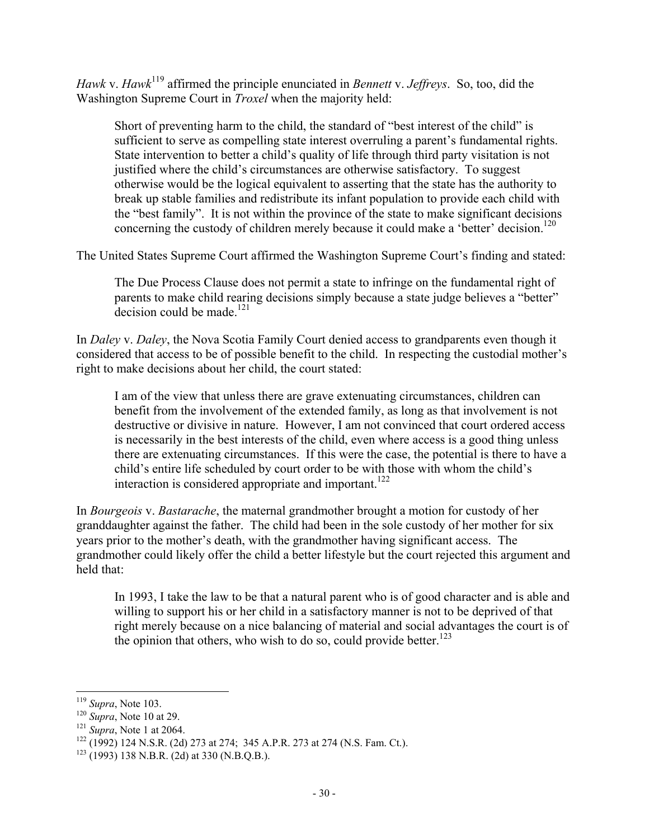*Hawk* v. *Hawk*119 affirmed the principle enunciated in *Bennett* v. *Jeffreys*. So, too, did the Washington Supreme Court in *Troxel* when the majority held:

Short of preventing harm to the child, the standard of "best interest of the child" is sufficient to serve as compelling state interest overruling a parent's fundamental rights. State intervention to better a child's quality of life through third party visitation is not justified where the child's circumstances are otherwise satisfactory. To suggest otherwise would be the logical equivalent to asserting that the state has the authority to break up stable families and redistribute its infant population to provide each child with the "best family". It is not within the province of the state to make significant decisions concerning the custody of children merely because it could make a 'better' decision.<sup>120</sup>

The United States Supreme Court affirmed the Washington Supreme Court's finding and stated:

The Due Process Clause does not permit a state to infringe on the fundamental right of parents to make child rearing decisions simply because a state judge believes a "better" decision could be made. $121$ 

In *Daley* v. *Daley*, the Nova Scotia Family Court denied access to grandparents even though it considered that access to be of possible benefit to the child. In respecting the custodial mother's right to make decisions about her child, the court stated:

I am of the view that unless there are grave extenuating circumstances, children can benefit from the involvement of the extended family, as long as that involvement is not destructive or divisive in nature. However, I am not convinced that court ordered access is necessarily in the best interests of the child, even where access is a good thing unless there are extenuating circumstances. If this were the case, the potential is there to have a child's entire life scheduled by court order to be with those with whom the child's interaction is considered appropriate and important.<sup>122</sup>

In *Bourgeois* v. *Bastarache*, the maternal grandmother brought a motion for custody of her granddaughter against the father. The child had been in the sole custody of her mother for six years prior to the mother's death, with the grandmother having significant access. The grandmother could likely offer the child a better lifestyle but the court rejected this argument and held that:

In 1993, I take the law to be that a natural parent who is of good character and is able and willing to support his or her child in a satisfactory manner is not to be deprived of that right merely because on a nice balancing of material and social advantages the court is of the opinion that others, who wish to do so, could provide better.<sup>123</sup>

<sup>119</sup> *Supra*, Note 103.

<sup>120</sup> *Supra*, Note 10 at 29.

<sup>121</sup> *Supra*, Note 1 at 2064.

 $122$  (1992) 124 N.S.R. (2d) 273 at 274; 345 A.P.R. 273 at 274 (N.S. Fam. Ct.).

 $123$  (1993) 138 N.B.R. (2d) at 330 (N.B.Q.B.).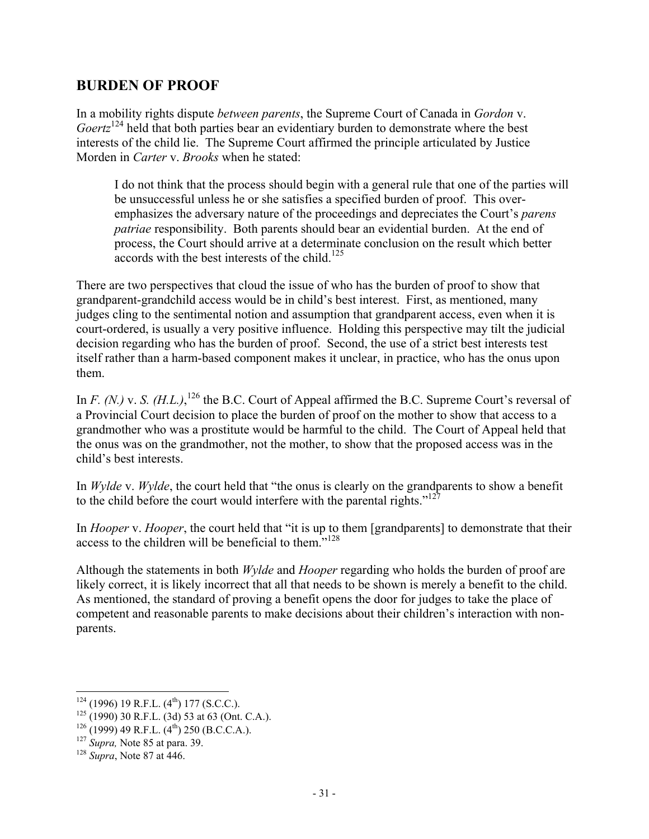### **BURDEN OF PROOF**

In a mobility rights dispute *between parents*, the Supreme Court of Canada in *Gordon* v. *Goertz*<sup>124</sup> held that both parties bear an evidentiary burden to demonstrate where the best interests of the child lie. The Supreme Court affirmed the principle articulated by Justice Morden in *Carter* v. *Brooks* when he stated:

I do not think that the process should begin with a general rule that one of the parties will be unsuccessful unless he or she satisfies a specified burden of proof. This overemphasizes the adversary nature of the proceedings and depreciates the Court's *parens patriae* responsibility. Both parents should bear an evidential burden. At the end of process, the Court should arrive at a determinate conclusion on the result which better  $\frac{125}{125}$  accords with the best interests of the child.<sup>125</sup>

There are two perspectives that cloud the issue of who has the burden of proof to show that grandparent-grandchild access would be in child's best interest. First, as mentioned, many judges cling to the sentimental notion and assumption that grandparent access, even when it is court-ordered, is usually a very positive influence. Holding this perspective may tilt the judicial decision regarding who has the burden of proof. Second, the use of a strict best interests test itself rather than a harm-based component makes it unclear, in practice, who has the onus upon them.

In *F. (N.)* v. *S. (H.L.)*, <sup>126</sup> the B.C. Court of Appeal affirmed the B.C. Supreme Court's reversal of a Provincial Court decision to place the burden of proof on the mother to show that access to a grandmother who was a prostitute would be harmful to the child. The Court of Appeal held that the onus was on the grandmother, not the mother, to show that the proposed access was in the child's best interests.

In *Wylde* v. *Wylde*, the court held that "the onus is clearly on the grandparents to show a benefit to the child before the court would interfere with the parental rights." $127$ 

In *Hooper* v. *Hooper*, the court held that "it is up to them [grandparents] to demonstrate that their access to the children will be beneficial to them."128

Although the statements in both *Wylde* and *Hooper* regarding who holds the burden of proof are likely correct, it is likely incorrect that all that needs to be shown is merely a benefit to the child. As mentioned, the standard of proving a benefit opens the door for judges to take the place of competent and reasonable parents to make decisions about their children's interaction with nonparents.

1

 $124$  (1996) 19 R.F.L. (4<sup>th</sup>) 177 (S.C.C.).

 $125$  (1990) 30 R.F.L. (3d) 53 at 63 (Ont. C.A.).

 $126 (1999)$  49 R.F.L.  $(4^{th})$  250 (B.C.C.A.).

<sup>127</sup> *Supra,* Note 85 at para. 39.

<sup>128</sup> *Supra*, Note 87 at 446.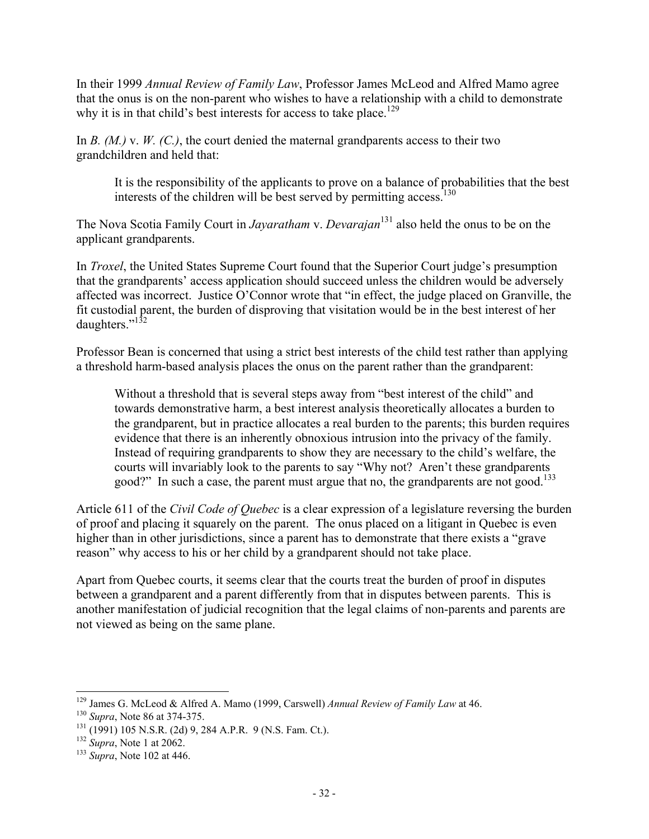In their 1999 *Annual Review of Family Law*, Professor James McLeod and Alfred Mamo agree that the onus is on the non-parent who wishes to have a relationship with a child to demonstrate why it is in that child's best interests for access to take place.<sup>129</sup>

In *B.* (*M.*) *v. W.* (*C.*), the court denied the maternal grandparents access to their two grandchildren and held that:

It is the responsibility of the applicants to prove on a balance of probabilities that the best interests of the children will be best served by permitting access.<sup>130</sup>

The Nova Scotia Family Court in *Jayaratham* v. *Devarajan*131 also held the onus to be on the applicant grandparents.

In *Troxel*, the United States Supreme Court found that the Superior Court judge's presumption that the grandparents' access application should succeed unless the children would be adversely affected was incorrect. Justice O'Connor wrote that "in effect, the judge placed on Granville, the fit custodial parent, the burden of disproving that visitation would be in the best interest of her daughters."132

Professor Bean is concerned that using a strict best interests of the child test rather than applying a threshold harm-based analysis places the onus on the parent rather than the grandparent:

Without a threshold that is several steps away from "best interest of the child" and towards demonstrative harm, a best interest analysis theoretically allocates a burden to the grandparent, but in practice allocates a real burden to the parents; this burden requires evidence that there is an inherently obnoxious intrusion into the privacy of the family. Instead of requiring grandparents to show they are necessary to the child's welfare, the courts will invariably look to the parents to say "Why not? Aren't these grandparents good?" In such a case, the parent must argue that no, the grandparents are not good.<sup>133</sup>

Article 611 of the *Civil Code of Quebec* is a clear expression of a legislature reversing the burden of proof and placing it squarely on the parent. The onus placed on a litigant in Quebec is even higher than in other jurisdictions, since a parent has to demonstrate that there exists a "grave" reason" why access to his or her child by a grandparent should not take place.

Apart from Quebec courts, it seems clear that the courts treat the burden of proof in disputes between a grandparent and a parent differently from that in disputes between parents. This is another manifestation of judicial recognition that the legal claims of non-parents and parents are not viewed as being on the same plane.

 $\overline{a}$ <sup>129</sup> James G. McLeod & Alfred A. Mamo (1999, Carswell) *Annual Review of Family Law* at 46.

<sup>130</sup> *Supra*, Note 86 at 374-375.

<sup>131</sup> (1991) 105 N.S.R. (2d) 9, 284 A.P.R. 9 (N.S. Fam. Ct.).

<sup>132</sup> *Supra*, Note 1 at 2062.

<sup>133</sup> *Supra*, Note 102 at 446.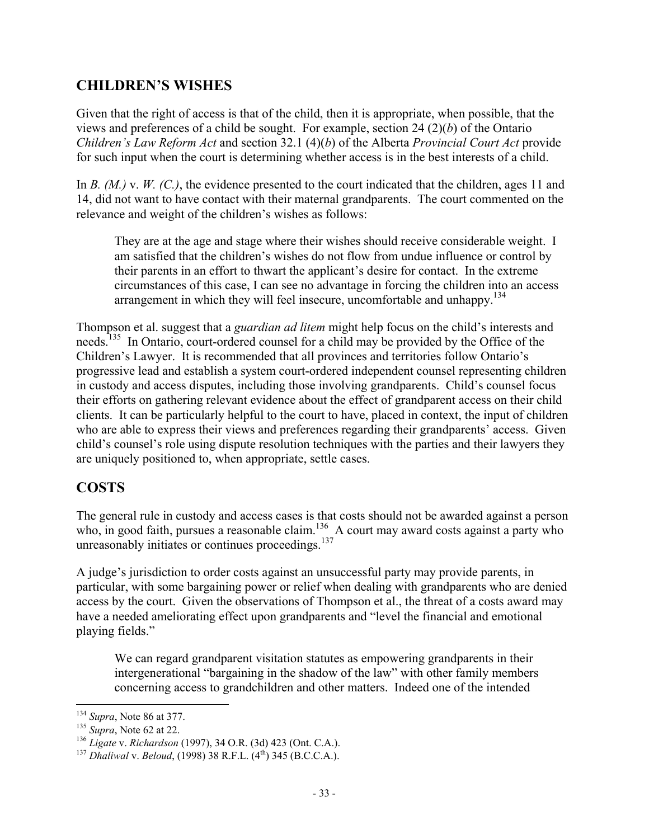# **CHILDREN'S WISHES**

Given that the right of access is that of the child, then it is appropriate, when possible, that the views and preferences of a child be sought. For example, section 24 (2)(*b*) of the Ontario *Children's Law Reform Act* and section 32.1 (4)(*b*) of the Alberta *Provincial Court Act* provide for such input when the court is determining whether access is in the best interests of a child.

In *B.* (*M.*) v. *W.* (*C.*), the evidence presented to the court indicated that the children, ages 11 and 14, did not want to have contact with their maternal grandparents. The court commented on the relevance and weight of the children's wishes as follows:

They are at the age and stage where their wishes should receive considerable weight. I am satisfied that the children's wishes do not flow from undue influence or control by their parents in an effort to thwart the applicant's desire for contact. In the extreme circumstances of this case, I can see no advantage in forcing the children into an access arrangement in which they will feel insecure, uncomfortable and unhappy. $134$ 

Thompson et al. suggest that a *guardian ad litem* might help focus on the child's interests and needs.<sup>135</sup> In Ontario, court-ordered counsel for a child may be provided by the Office of the Children's Lawyer. It is recommended that all provinces and territories follow Ontario's progressive lead and establish a system court-ordered independent counsel representing children in custody and access disputes, including those involving grandparents. Child's counsel focus their efforts on gathering relevant evidence about the effect of grandparent access on their child clients. It can be particularly helpful to the court to have, placed in context, the input of children who are able to express their views and preferences regarding their grandparents' access. Given child's counsel's role using dispute resolution techniques with the parties and their lawyers they are uniquely positioned to, when appropriate, settle cases.

# **COSTS**

The general rule in custody and access cases is that costs should not be awarded against a person who, in good faith, pursues a reasonable claim.<sup>136</sup> A court may award costs against a party who unreasonably initiates or continues proceedings.<sup>137</sup>

A judge's jurisdiction to order costs against an unsuccessful party may provide parents, in particular, with some bargaining power or relief when dealing with grandparents who are denied access by the court. Given the observations of Thompson et al., the threat of a costs award may have a needed ameliorating effect upon grandparents and "level the financial and emotional playing fields."

We can regard grandparent visitation statutes as empowering grandparents in their intergenerational "bargaining in the shadow of the law" with other family members concerning access to grandchildren and other matters. Indeed one of the intended

 $\overline{a}$ <sup>134</sup> *Supra*, Note 86 at 377.

<sup>135</sup> *Supra*, Note 62 at 22.

<sup>136</sup> *Ligate* v. *Richardson* (1997), 34 O.R. (3d) 423 (Ont. C.A.).

<sup>137</sup> *Dhaliwal* v. *Beloud*, (1998) 38 R.F.L. (4th) 345 (B.C.C.A.).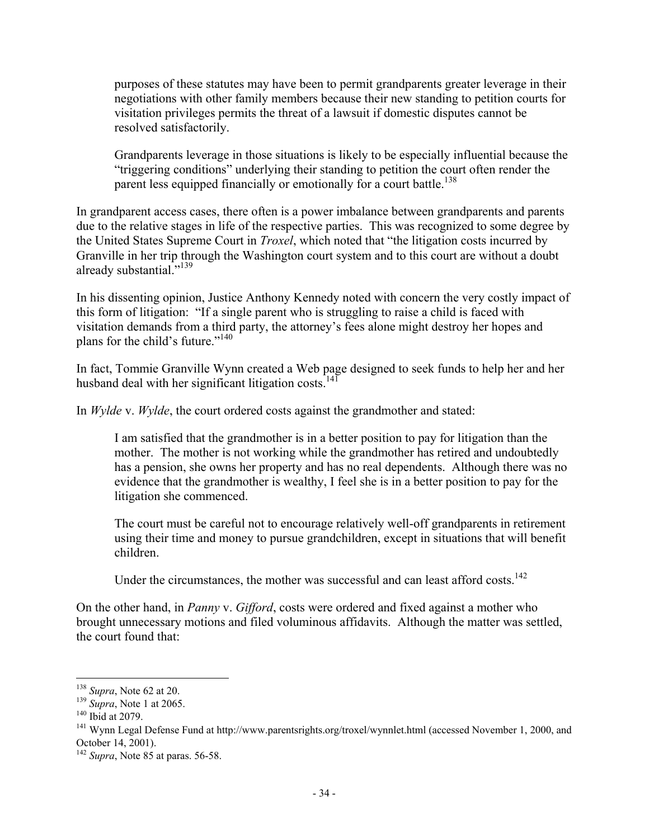purposes of these statutes may have been to permit grandparents greater leverage in their negotiations with other family members because their new standing to petition courts for visitation privileges permits the threat of a lawsuit if domestic disputes cannot be resolved satisfactorily.

Grandparents leverage in those situations is likely to be especially influential because the "triggering conditions" underlying their standing to petition the court often render the parent less equipped financially or emotionally for a court battle.<sup>138</sup>

In grandparent access cases, there often is a power imbalance between grandparents and parents due to the relative stages in life of the respective parties. This was recognized to some degree by the United States Supreme Court in *Troxel*, which noted that "the litigation costs incurred by Granville in her trip through the Washington court system and to this court are without a doubt already substantial."139

In his dissenting opinion, Justice Anthony Kennedy noted with concern the very costly impact of this form of litigation: "If a single parent who is struggling to raise a child is faced with visitation demands from a third party, the attorney's fees alone might destroy her hopes and plans for the child's future."<sup>140</sup>

In fact, Tommie Granville Wynn created a Web page designed to seek funds to help her and her husband deal with her significant litigation costs. $141$ 

In *Wylde* v. *Wylde*, the court ordered costs against the grandmother and stated:

I am satisfied that the grandmother is in a better position to pay for litigation than the mother. The mother is not working while the grandmother has retired and undoubtedly has a pension, she owns her property and has no real dependents. Although there was no evidence that the grandmother is wealthy, I feel she is in a better position to pay for the litigation she commenced.

The court must be careful not to encourage relatively well-off grandparents in retirement using their time and money to pursue grandchildren, except in situations that will benefit children.

Under the circumstances, the mother was successful and can least afford costs.<sup>142</sup>

On the other hand, in *Panny* v. *Gifford*, costs were ordered and fixed against a mother who brought unnecessary motions and filed voluminous affidavits. Although the matter was settled, the court found that:

<sup>138</sup> *Supra*, Note 62 at 20.

<sup>139</sup> *Supra*, Note 1 at 2065.

<sup>&</sup>lt;sup>140</sup> Ibid at 2079.

<sup>&</sup>lt;sup>141</sup> Wynn Legal Defense Fund at http://www.parentsrights.org/troxel/wynnlet.html (accessed November 1, 2000, and October 14, 2001).

<sup>142</sup> *Supra*, Note 85 at paras. 56-58.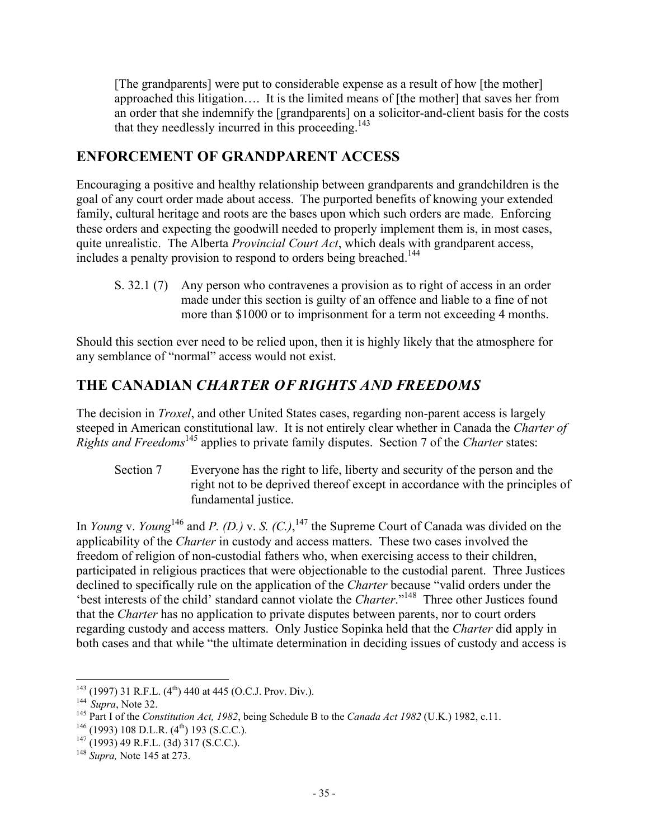[The grandparents] were put to considerable expense as a result of how [the mother] approached this litigation…. It is the limited means of [the mother] that saves her from an order that she indemnify the [grandparents] on a solicitor-and-client basis for the costs that they needlessly incurred in this proceeding.<sup>143</sup>

# **ENFORCEMENT OF GRANDPARENT ACCESS**

Encouraging a positive and healthy relationship between grandparents and grandchildren is the goal of any court order made about access. The purported benefits of knowing your extended family, cultural heritage and roots are the bases upon which such orders are made. Enforcing these orders and expecting the goodwill needed to properly implement them is, in most cases, quite unrealistic. The Alberta *Provincial Court Act*, which deals with grandparent access, includes a penalty provision to respond to orders being breached.<sup>144</sup>

S. 32.1 (7) Any person who contravenes a provision as to right of access in an order made under this section is guilty of an offence and liable to a fine of not more than \$1000 or to imprisonment for a term not exceeding 4 months.

Should this section ever need to be relied upon, then it is highly likely that the atmosphere for any semblance of "normal" access would not exist.

# **THE CANADIAN** *CHARTER OF RIGHTS AND FREEDOMS*

The decision in *Troxel*, and other United States cases, regarding non-parent access is largely steeped in American constitutional law. It is not entirely clear whether in Canada the *Charter of Rights and Freedoms*145 applies to private family disputes. Section 7 of the *Charter* states:

Section 7 Everyone has the right to life, liberty and security of the person and the right not to be deprived thereof except in accordance with the principles of fundamental justice.

In *Young* v. *Young*<sup>146</sup> and *P. (D.)* v. *S. (C.)*, <sup>147</sup> the Supreme Court of Canada was divided on the applicability of the *Charter* in custody and access matters. These two cases involved the freedom of religion of non-custodial fathers who, when exercising access to their children, participated in religious practices that were objectionable to the custodial parent. Three Justices declined to specifically rule on the application of the *Charter* because "valid orders under the 'best interests of the child' standard cannot violate the *Charter*."148 Three other Justices found that the *Charter* has no application to private disputes between parents, nor to court orders regarding custody and access matters. Only Justice Sopinka held that the *Charter* did apply in both cases and that while "the ultimate determination in deciding issues of custody and access is

<sup>1</sup>  $143$  (1997) 31 R.F.L. (4<sup>th</sup>) 440 at 445 (O.C.J. Prov. Div.).

<sup>144</sup> *Supra*, Note 32.<br><sup>145</sup> Part I of the *Constitution Act, 1982*, being Schedule B to the *Canada Act 1982* (U.K.) 1982, c.11.

 $146$  (1993) 108 D.L.R. (4<sup>th</sup>) 193 (S.C.C.).

 $147$  (1993) 49 R.F.L. (3d) 317 (S.C.C.).

<sup>148</sup> *Supra,* Note 145 at 273.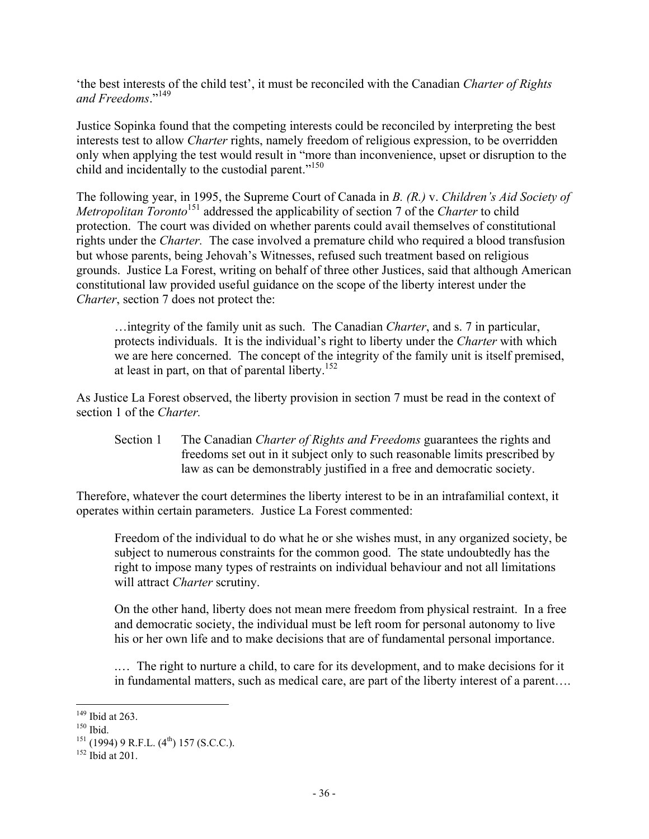'the best interests of the child test', it must be reconciled with the Canadian *Charter of Rights and Freedoms*."<sup>149</sup>

Justice Sopinka found that the competing interests could be reconciled by interpreting the best interests test to allow *Charter* rights, namely freedom of religious expression, to be overridden only when applying the test would result in "more than inconvenience, upset or disruption to the child and incidentally to the custodial parent."<sup>150</sup>

The following year, in 1995, the Supreme Court of Canada in *B. (R.)* v. *Children's Aid Society of Metropolitan Toronto*<sup>151</sup> addressed the applicability of section 7 of the *Charter* to child protection. The court was divided on whether parents could avail themselves of constitutional rights under the *Charter.* The case involved a premature child who required a blood transfusion but whose parents, being Jehovah's Witnesses, refused such treatment based on religious grounds. Justice La Forest, writing on behalf of three other Justices, said that although American constitutional law provided useful guidance on the scope of the liberty interest under the *Charter*, section 7 does not protect the:

…integrity of the family unit as such. The Canadian *Charter*, and s. 7 in particular, protects individuals. It is the individual's right to liberty under the *Charter* with which we are here concerned. The concept of the integrity of the family unit is itself premised, at least in part, on that of parental liberty.<sup>152</sup>

As Justice La Forest observed, the liberty provision in section 7 must be read in the context of section 1 of the *Charter.*

Section 1 The Canadian *Charter of Rights and Freedoms* guarantees the rights and freedoms set out in it subject only to such reasonable limits prescribed by law as can be demonstrably justified in a free and democratic society.

Therefore, whatever the court determines the liberty interest to be in an intrafamilial context, it operates within certain parameters. Justice La Forest commented:

Freedom of the individual to do what he or she wishes must, in any organized society, be subject to numerous constraints for the common good. The state undoubtedly has the right to impose many types of restraints on individual behaviour and not all limitations will attract *Charter* scrutiny.

On the other hand, liberty does not mean mere freedom from physical restraint. In a free and democratic society, the individual must be left room for personal autonomy to live his or her own life and to make decisions that are of fundamental personal importance.

.… The right to nurture a child, to care for its development, and to make decisions for it in fundamental matters, such as medical care, are part of the liberty interest of a parent….

 $149$  Ibid at 263.

<sup>150</sup> Ibid.

 $151$  (1994) 9 R.F.L. (4<sup>th</sup>) 157 (S.C.C.).

 $152$  Ibid at 201.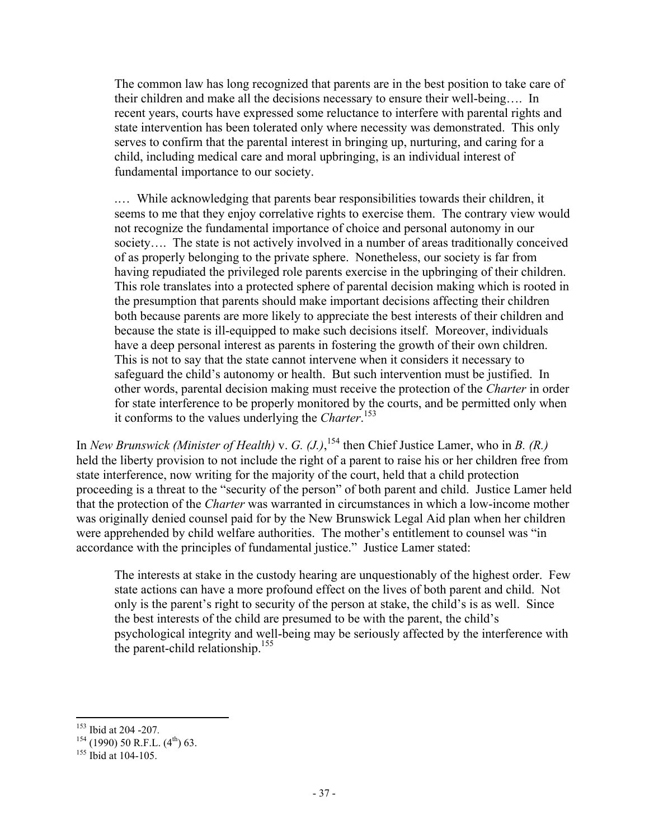The common law has long recognized that parents are in the best position to take care of their children and make all the decisions necessary to ensure their well-being…. In recent years, courts have expressed some reluctance to interfere with parental rights and state intervention has been tolerated only where necessity was demonstrated. This only serves to confirm that the parental interest in bringing up, nurturing, and caring for a child, including medical care and moral upbringing, is an individual interest of fundamental importance to our society.

.… While acknowledging that parents bear responsibilities towards their children, it seems to me that they enjoy correlative rights to exercise them. The contrary view would not recognize the fundamental importance of choice and personal autonomy in our society…. The state is not actively involved in a number of areas traditionally conceived of as properly belonging to the private sphere. Nonetheless, our society is far from having repudiated the privileged role parents exercise in the upbringing of their children. This role translates into a protected sphere of parental decision making which is rooted in the presumption that parents should make important decisions affecting their children both because parents are more likely to appreciate the best interests of their children and because the state is ill-equipped to make such decisions itself. Moreover, individuals have a deep personal interest as parents in fostering the growth of their own children. This is not to say that the state cannot intervene when it considers it necessary to safeguard the child's autonomy or health. But such intervention must be justified. In other words, parental decision making must receive the protection of the *Charter* in order for state interference to be properly monitored by the courts, and be permitted only when it conforms to the values underlying the *Charter*. 153

In *New Brunswick (Minister of Health)* v. *G. (J.)*, 154 then Chief Justice Lamer, who in *B. (R.)* held the liberty provision to not include the right of a parent to raise his or her children free from state interference, now writing for the majority of the court, held that a child protection proceeding is a threat to the "security of the person" of both parent and child. Justice Lamer held that the protection of the *Charter* was warranted in circumstances in which a low-income mother was originally denied counsel paid for by the New Brunswick Legal Aid plan when her children were apprehended by child welfare authorities. The mother's entitlement to counsel was "in accordance with the principles of fundamental justice." Justice Lamer stated:

The interests at stake in the custody hearing are unquestionably of the highest order. Few state actions can have a more profound effect on the lives of both parent and child. Not only is the parent's right to security of the person at stake, the child's is as well. Since the best interests of the child are presumed to be with the parent, the child's psychological integrity and well-being may be seriously affected by the interference with the parent-child relationship.<sup>155</sup>

 $\overline{a}$ <sup>153</sup> Ibid at 204 -207*.*

 $154$  (1990) 50 R.F.L. (4<sup>th</sup>) 63.

 $155$  Ibid at 104-105.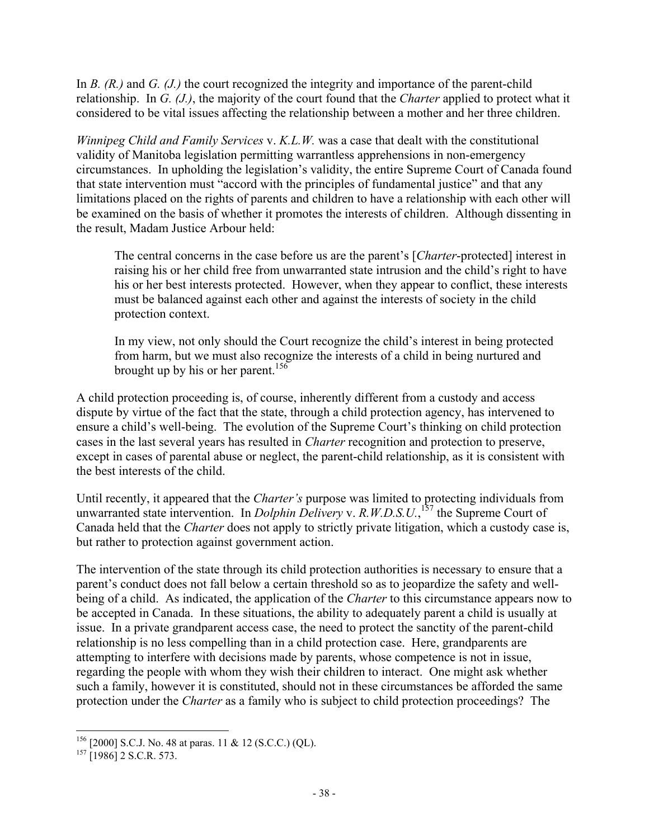In *B.* (*R.*) and *G.* (*J.*) the court recognized the integrity and importance of the parent-child relationship. In *G. (J.)*, the majority of the court found that the *Charter* applied to protect what it considered to be vital issues affecting the relationship between a mother and her three children.

*Winnipeg Child and Family Services* v. *K.L.W.* was a case that dealt with the constitutional validity of Manitoba legislation permitting warrantless apprehensions in non-emergency circumstances. In upholding the legislation's validity, the entire Supreme Court of Canada found that state intervention must "accord with the principles of fundamental justice" and that any limitations placed on the rights of parents and children to have a relationship with each other will be examined on the basis of whether it promotes the interests of children. Although dissenting in the result, Madam Justice Arbour held:

The central concerns in the case before us are the parent's [*Charter*-protected] interest in raising his or her child free from unwarranted state intrusion and the child's right to have his or her best interests protected. However, when they appear to conflict, these interests must be balanced against each other and against the interests of society in the child protection context.

In my view, not only should the Court recognize the child's interest in being protected from harm, but we must also recognize the interests of a child in being nurtured and brought up by his or her parent.<sup>156</sup>

A child protection proceeding is, of course, inherently different from a custody and access dispute by virtue of the fact that the state, through a child protection agency, has intervened to ensure a child's well-being. The evolution of the Supreme Court's thinking on child protection cases in the last several years has resulted in *Charter* recognition and protection to preserve, except in cases of parental abuse or neglect, the parent-child relationship, as it is consistent with the best interests of the child.

Until recently, it appeared that the *Charter's* purpose was limited to protecting individuals from unwarranted state intervention. In *Dolphin Delivery* v. *R.W.D.S.U.*, 157 the Supreme Court of Canada held that the *Charter* does not apply to strictly private litigation, which a custody case is, but rather to protection against government action.

The intervention of the state through its child protection authorities is necessary to ensure that a parent's conduct does not fall below a certain threshold so as to jeopardize the safety and wellbeing of a child. As indicated, the application of the *Charter* to this circumstance appears now to be accepted in Canada. In these situations, the ability to adequately parent a child is usually at issue. In a private grandparent access case, the need to protect the sanctity of the parent-child relationship is no less compelling than in a child protection case. Here, grandparents are attempting to interfere with decisions made by parents, whose competence is not in issue, regarding the people with whom they wish their children to interact. One might ask whether such a family, however it is constituted, should not in these circumstances be afforded the same protection under the *Charter* as a family who is subject to child protection proceedings? The

 $156$  [2000] S.C.J. No. 48 at paras. 11 & 12 (S.C.C.) (QL).

 $157$  [1986] 2 S.C.R. 573.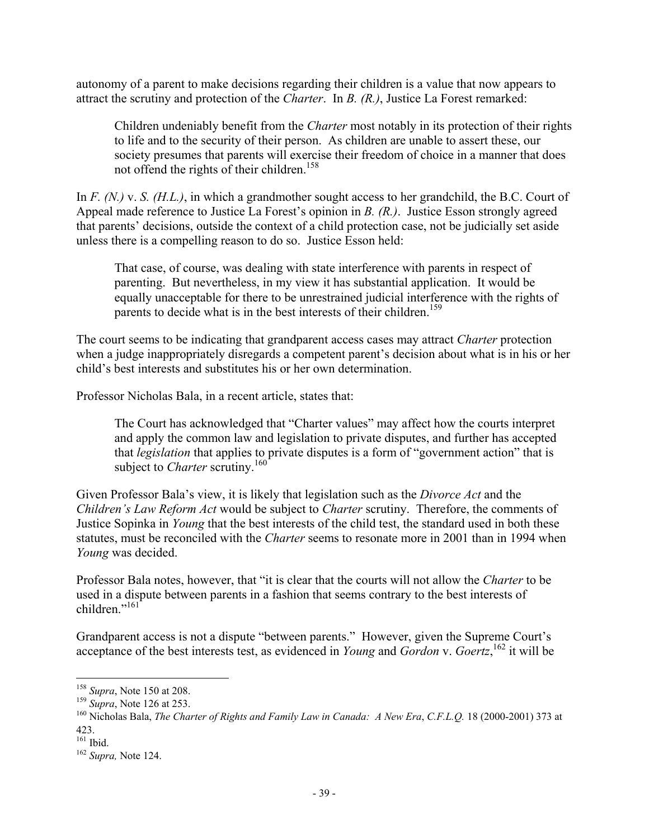autonomy of a parent to make decisions regarding their children is a value that now appears to attract the scrutiny and protection of the *Charter*. In *B. (R.)*, Justice La Forest remarked:

Children undeniably benefit from the *Charter* most notably in its protection of their rights to life and to the security of their person. As children are unable to assert these, our society presumes that parents will exercise their freedom of choice in a manner that does not offend the rights of their children.<sup>158</sup>

In *F. (N.)* v. *S. (H.L.)*, in which a grandmother sought access to her grandchild, the B.C. Court of Appeal made reference to Justice La Forest's opinion in *B. (R.)*. Justice Esson strongly agreed that parents' decisions, outside the context of a child protection case, not be judicially set aside unless there is a compelling reason to do so. Justice Esson held:

That case, of course, was dealing with state interference with parents in respect of parenting. But nevertheless, in my view it has substantial application. It would be equally unacceptable for there to be unrestrained judicial interference with the rights of parents to decide what is in the best interests of their children.<sup>159</sup>

The court seems to be indicating that grandparent access cases may attract *Charter* protection when a judge inappropriately disregards a competent parent's decision about what is in his or her child's best interests and substitutes his or her own determination.

Professor Nicholas Bala, in a recent article, states that:

The Court has acknowledged that "Charter values" may affect how the courts interpret and apply the common law and legislation to private disputes, and further has accepted that *legislation* that applies to private disputes is a form of "government action" that is subject to *Charter* scrutiny.<sup>160</sup>

Given Professor Bala's view, it is likely that legislation such as the *Divorce Act* and the *Children's Law Reform Act* would be subject to *Charter* scrutiny. Therefore, the comments of Justice Sopinka in *Young* that the best interests of the child test, the standard used in both these statutes, must be reconciled with the *Charter* seems to resonate more in 2001 than in 1994 when *Young* was decided.

Professor Bala notes, however, that "it is clear that the courts will not allow the *Charter* to be used in a dispute between parents in a fashion that seems contrary to the best interests of children<sup>"161</sup>

Grandparent access is not a dispute "between parents." However, given the Supreme Court's acceptance of the best interests test, as evidenced in *Young* and *Gordon* v. *Goertz*, 162 it will be

1

<sup>158</sup> *Supra*, Note 150 at 208.

<sup>159</sup> *Supra*, Note 126 at 253.

<sup>160</sup> Nicholas Bala, *The Charter of Rights and Family Law in Canada: A New Era*, *C.F.L.Q.* 18 (2000-2001) 373 at 423.

<sup>161</sup> Ibid.

<sup>162</sup> *Supra,* Note 124.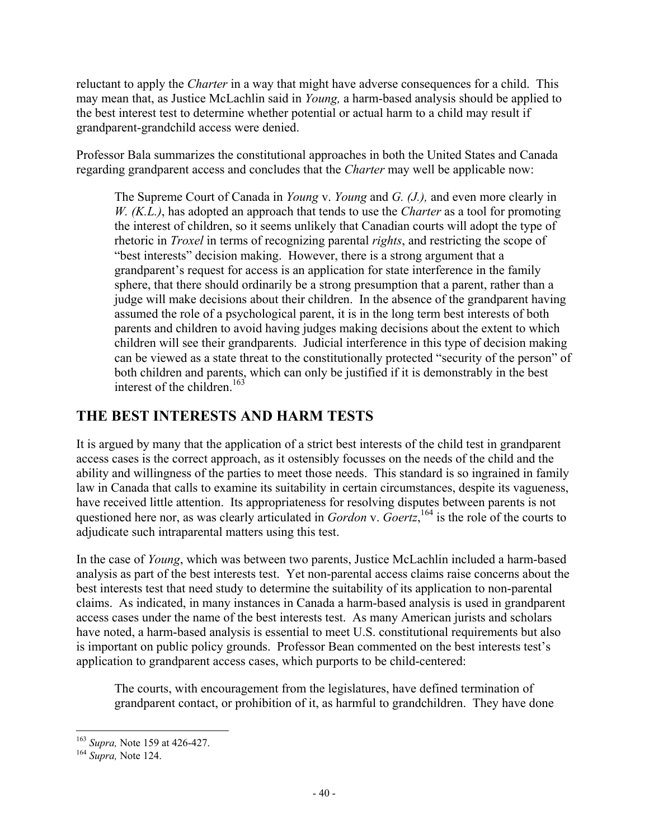reluctant to apply the *Charter* in a way that might have adverse consequences for a child. This may mean that, as Justice McLachlin said in *Young,* a harm-based analysis should be applied to the best interest test to determine whether potential or actual harm to a child may result if grandparent-grandchild access were denied.

Professor Bala summarizes the constitutional approaches in both the United States and Canada regarding grandparent access and concludes that the *Charter* may well be applicable now:

The Supreme Court of Canada in *Young* v. *Young* and *G. (J.),* and even more clearly in *W. (K.L.)*, has adopted an approach that tends to use the *Charter* as a tool for promoting the interest of children, so it seems unlikely that Canadian courts will adopt the type of rhetoric in *Troxel* in terms of recognizing parental *rights*, and restricting the scope of "best interests" decision making. However, there is a strong argument that a grandparent's request for access is an application for state interference in the family sphere, that there should ordinarily be a strong presumption that a parent, rather than a judge will make decisions about their children. In the absence of the grandparent having assumed the role of a psychological parent, it is in the long term best interests of both parents and children to avoid having judges making decisions about the extent to which children will see their grandparents. Judicial interference in this type of decision making can be viewed as a state threat to the constitutionally protected "security of the person" of both children and parents, which can only be justified if it is demonstrably in the best interest of the children.<sup>163</sup>

# **THE BEST INTERESTS AND HARM TESTS**

It is argued by many that the application of a strict best interests of the child test in grandparent access cases is the correct approach, as it ostensibly focusses on the needs of the child and the ability and willingness of the parties to meet those needs. This standard is so ingrained in family law in Canada that calls to examine its suitability in certain circumstances, despite its vagueness, have received little attention. Its appropriateness for resolving disputes between parents is not questioned here nor, as was clearly articulated in *Gordon* v. *Goertz*, 164 is the role of the courts to adjudicate such intraparental matters using this test.

In the case of *Young*, which was between two parents, Justice McLachlin included a harm-based analysis as part of the best interests test. Yet non-parental access claims raise concerns about the best interests test that need study to determine the suitability of its application to non-parental claims. As indicated, in many instances in Canada a harm-based analysis is used in grandparent access cases under the name of the best interests test. As many American jurists and scholars have noted, a harm-based analysis is essential to meet U.S. constitutional requirements but also is important on public policy grounds. Professor Bean commented on the best interests test's application to grandparent access cases, which purports to be child-centered:

The courts, with encouragement from the legislatures, have defined termination of grandparent contact, or prohibition of it, as harmful to grandchildren. They have done

<sup>163</sup> *Supra,* Note 159 at 426-427.

<sup>164</sup> *Supra,* Note 124.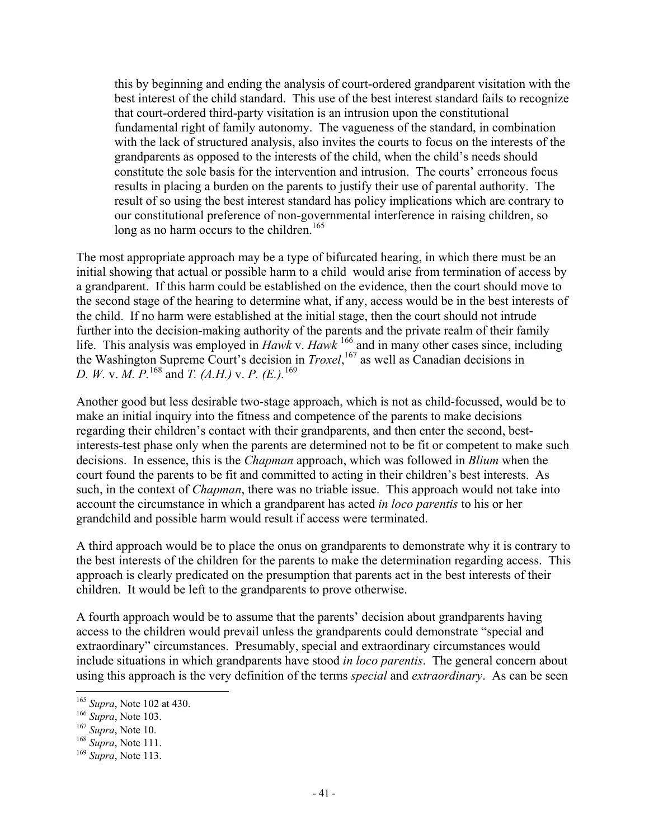this by beginning and ending the analysis of court-ordered grandparent visitation with the best interest of the child standard. This use of the best interest standard fails to recognize that court-ordered third-party visitation is an intrusion upon the constitutional fundamental right of family autonomy. The vagueness of the standard, in combination with the lack of structured analysis, also invites the courts to focus on the interests of the grandparents as opposed to the interests of the child, when the child's needs should constitute the sole basis for the intervention and intrusion. The courts' erroneous focus results in placing a burden on the parents to justify their use of parental authority. The result of so using the best interest standard has policy implications which are contrary to our constitutional preference of non-governmental interference in raising children, so long as no harm occurs to the children.<sup>165</sup>

The most appropriate approach may be a type of bifurcated hearing, in which there must be an initial showing that actual or possible harm to a child would arise from termination of access by a grandparent. If this harm could be established on the evidence, then the court should move to the second stage of the hearing to determine what, if any, access would be in the best interests of the child. If no harm were established at the initial stage, then the court should not intrude further into the decision-making authority of the parents and the private realm of their family life. This analysis was employed in *Hawk* v. *Hawk* 166 and in many other cases since, including the Washington Supreme Court's decision in *Troxel*, 167 as well as Canadian decisions in *D. W.* v. *M. P.*168 and *T. (A.H.)* v. *P. (E.).*<sup>169</sup>

Another good but less desirable two-stage approach, which is not as child-focussed, would be to make an initial inquiry into the fitness and competence of the parents to make decisions regarding their children's contact with their grandparents, and then enter the second, bestinterests-test phase only when the parents are determined not to be fit or competent to make such decisions. In essence, this is the *Chapman* approach, which was followed in *Blium* when the court found the parents to be fit and committed to acting in their children's best interests. As such, in the context of *Chapman*, there was no triable issue. This approach would not take into account the circumstance in which a grandparent has acted *in loco parentis* to his or her grandchild and possible harm would result if access were terminated.

A third approach would be to place the onus on grandparents to demonstrate why it is contrary to the best interests of the children for the parents to make the determination regarding access. This approach is clearly predicated on the presumption that parents act in the best interests of their children. It would be left to the grandparents to prove otherwise.

A fourth approach would be to assume that the parents' decision about grandparents having access to the children would prevail unless the grandparents could demonstrate "special and extraordinary" circumstances. Presumably, special and extraordinary circumstances would include situations in which grandparents have stood *in loco parentis*. The general concern about using this approach is the very definition of the terms *special* and *extraordinary*. As can be seen

<sup>165</sup> *Supra*, Note 102 at 430.

<sup>166</sup> *Supra*, Note 103.

<sup>167</sup> *Supra*, Note 10.

<sup>168</sup> *Supra*, Note 111.

<sup>169</sup> *Supra*, Note 113.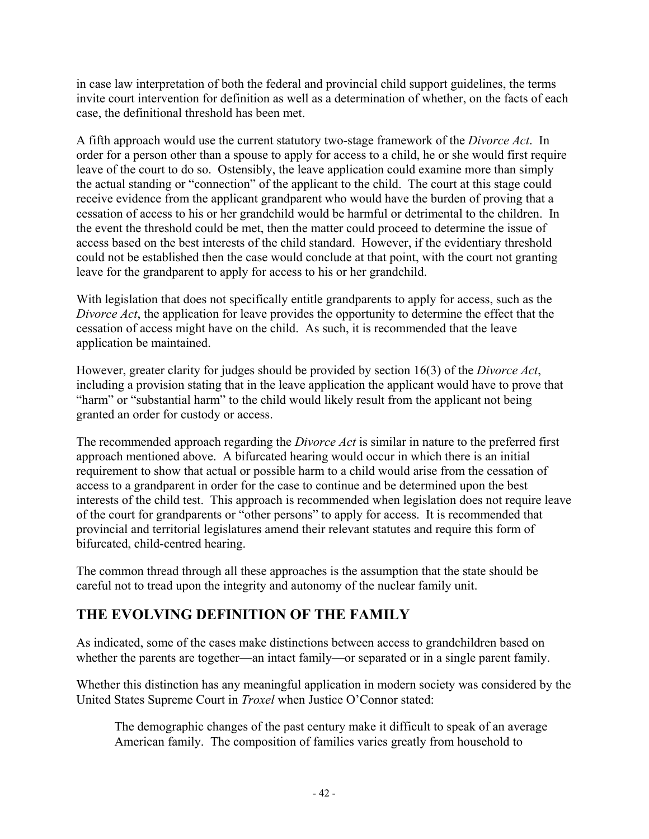in case law interpretation of both the federal and provincial child support guidelines, the terms invite court intervention for definition as well as a determination of whether, on the facts of each case, the definitional threshold has been met.

A fifth approach would use the current statutory two-stage framework of the *Divorce Act*. In order for a person other than a spouse to apply for access to a child, he or she would first require leave of the court to do so. Ostensibly, the leave application could examine more than simply the actual standing or "connection" of the applicant to the child. The court at this stage could receive evidence from the applicant grandparent who would have the burden of proving that a cessation of access to his or her grandchild would be harmful or detrimental to the children. In the event the threshold could be met, then the matter could proceed to determine the issue of access based on the best interests of the child standard. However, if the evidentiary threshold could not be established then the case would conclude at that point, with the court not granting leave for the grandparent to apply for access to his or her grandchild.

With legislation that does not specifically entitle grandparents to apply for access, such as the *Divorce Act*, the application for leave provides the opportunity to determine the effect that the cessation of access might have on the child. As such, it is recommended that the leave application be maintained.

However, greater clarity for judges should be provided by section 16(3) of the *Divorce Act*, including a provision stating that in the leave application the applicant would have to prove that "harm" or "substantial harm" to the child would likely result from the applicant not being granted an order for custody or access.

The recommended approach regarding the *Divorce Act* is similar in nature to the preferred first approach mentioned above. A bifurcated hearing would occur in which there is an initial requirement to show that actual or possible harm to a child would arise from the cessation of access to a grandparent in order for the case to continue and be determined upon the best interests of the child test. This approach is recommended when legislation does not require leave of the court for grandparents or "other persons" to apply for access. It is recommended that provincial and territorial legislatures amend their relevant statutes and require this form of bifurcated, child-centred hearing.

The common thread through all these approaches is the assumption that the state should be careful not to tread upon the integrity and autonomy of the nuclear family unit.

# **THE EVOLVING DEFINITION OF THE FAMILY**

As indicated, some of the cases make distinctions between access to grandchildren based on whether the parents are together—an intact family—or separated or in a single parent family.

Whether this distinction has any meaningful application in modern society was considered by the United States Supreme Court in *Troxel* when Justice O'Connor stated:

The demographic changes of the past century make it difficult to speak of an average American family. The composition of families varies greatly from household to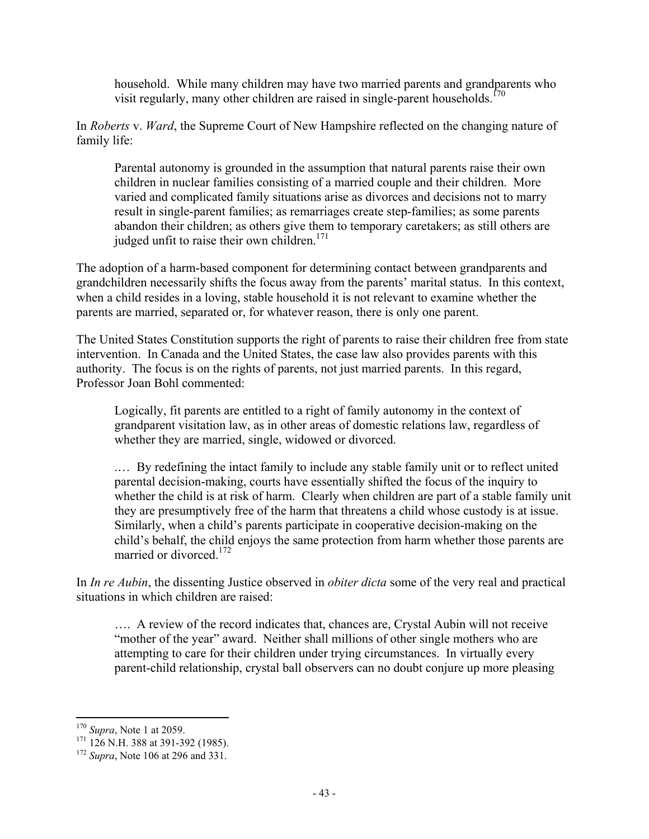household. While many children may have two married parents and grandparents who visit regularly, many other children are raised in single-parent households.<sup>170</sup>

In *Roberts* v. *Ward*, the Supreme Court of New Hampshire reflected on the changing nature of family life:

Parental autonomy is grounded in the assumption that natural parents raise their own children in nuclear families consisting of a married couple and their children. More varied and complicated family situations arise as divorces and decisions not to marry result in single-parent families; as remarriages create step-families; as some parents abandon their children; as others give them to temporary caretakers; as still others are judged unfit to raise their own children.<sup>171</sup>

The adoption of a harm-based component for determining contact between grandparents and grandchildren necessarily shifts the focus away from the parents' marital status. In this context, when a child resides in a loving, stable household it is not relevant to examine whether the parents are married, separated or, for whatever reason, there is only one parent.

The United States Constitution supports the right of parents to raise their children free from state intervention. In Canada and the United States, the case law also provides parents with this authority. The focus is on the rights of parents, not just married parents. In this regard, Professor Joan Bohl commented:

Logically, fit parents are entitled to a right of family autonomy in the context of grandparent visitation law, as in other areas of domestic relations law, regardless of whether they are married, single, widowed or divorced.

.… By redefining the intact family to include any stable family unit or to reflect united parental decision-making, courts have essentially shifted the focus of the inquiry to whether the child is at risk of harm. Clearly when children are part of a stable family unit they are presumptively free of the harm that threatens a child whose custody is at issue. Similarly, when a child's parents participate in cooperative decision-making on the child's behalf, the child enjoys the same protection from harm whether those parents are married or divorced  $^{172}$ 

In *In re Aubin*, the dissenting Justice observed in *obiter dicta* some of the very real and practical situations in which children are raised:

…. A review of the record indicates that, chances are, Crystal Aubin will not receive "mother of the year" award. Neither shall millions of other single mothers who are attempting to care for their children under trying circumstances. In virtually every parent-child relationship, crystal ball observers can no doubt conjure up more pleasing

 $\overline{a}$ <sup>170</sup> *Supra*, Note 1 at 2059.

<sup>&</sup>lt;sup>171</sup> 126 N.H. 388 at 391-392 (1985).

<sup>172</sup> *Supra*, Note 106 at 296 and 331.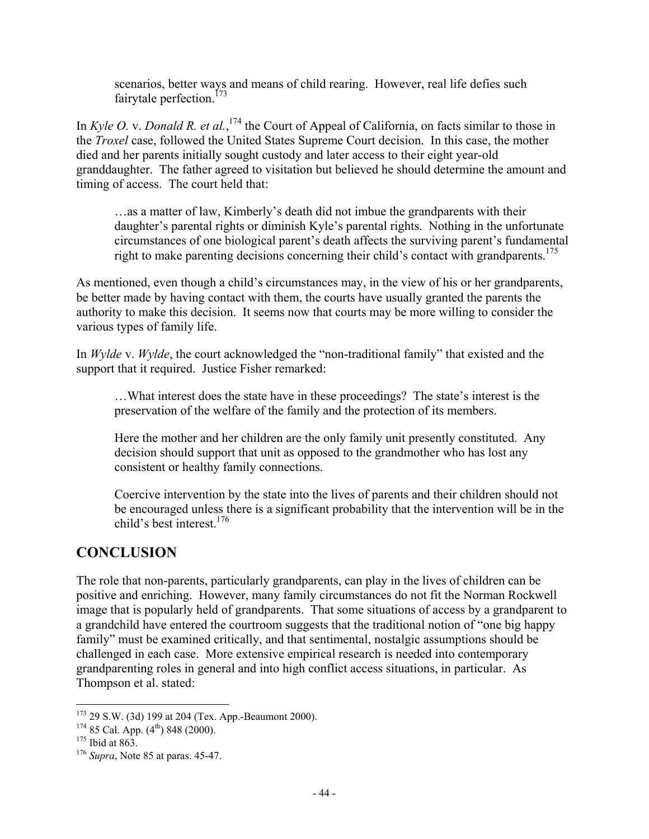scenarios, better ways and means of child rearing. However, real life defies such fairytale perfection.<sup>173</sup>

In *Kyle O.* v. *Donald R. et al.*, <sup>174</sup> the Court of Appeal of California, on facts similar to those in the *Troxel* case, followed the United States Supreme Court decision. In this case, the mother died and her parents initially sought custody and later access to their eight year-old granddaughter. The father agreed to visitation but believed he should determine the amount and timing of access. The court held that:

…as a matter of law, Kimberly's death did not imbue the grandparents with their daughter's parental rights or diminish Kyle's parental rights. Nothing in the unfortunate circumstances of one biological parent's death affects the surviving parent's fundamental right to make parenting decisions concerning their child's contact with grandparents.<sup>175</sup>

As mentioned, even though a child's circumstances may, in the view of his or her grandparents, be better made by having contact with them, the courts have usually granted the parents the authority to make this decision. It seems now that courts may be more willing to consider the various types of family life.

In *Wylde* v. *Wylde*, the court acknowledged the "non-traditional family" that existed and the support that it required. Justice Fisher remarked:

…What interest does the state have in these proceedings? The state's interest is the preservation of the welfare of the family and the protection of its members.

Here the mother and her children are the only family unit presently constituted. Any decision should support that unit as opposed to the grandmother who has lost any consistent or healthy family connections.

Coercive intervention by the state into the lives of parents and their children should not be encouraged unless there is a significant probability that the intervention will be in the child's best interest.<sup>176</sup>

# **CONCLUSION**

The role that non-parents, particularly grandparents, can play in the lives of children can be positive and enriching. However, many family circumstances do not fit the Norman Rockwell image that is popularly held of grandparents. That some situations of access by a grandparent to a grandchild have entered the courtroom suggests that the traditional notion of "one big happy family" must be examined critically, and that sentimental, nostalgic assumptions should be challenged in each case. More extensive empirical research is needed into contemporary grandparenting roles in general and into high conflict access situations, in particular. As Thompson et al. stated:

<sup>173</sup> 29 S.W. (3d) 199 at 204 (Tex. App.-Beaumont 2000).

 $174$  85 Cal. App.  $(4<sup>th</sup>)$  848 (2000).

 $175$  Ibid at 863.

<sup>176</sup> *Supra*, Note 85 at paras. 45-47.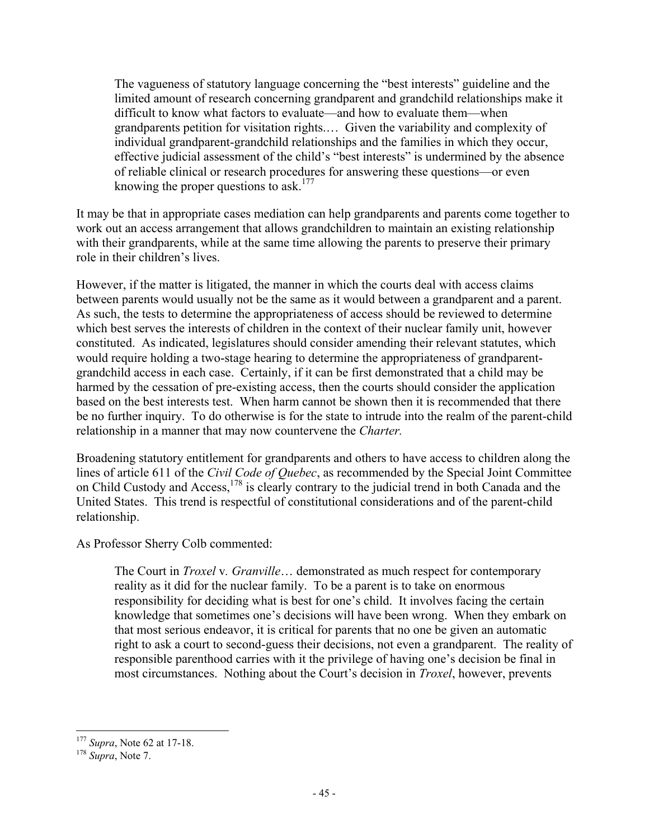The vagueness of statutory language concerning the "best interests" guideline and the limited amount of research concerning grandparent and grandchild relationships make it difficult to know what factors to evaluate—and how to evaluate them—when grandparents petition for visitation rights.… Given the variability and complexity of individual grandparent-grandchild relationships and the families in which they occur, effective judicial assessment of the child's "best interests" is undermined by the absence of reliable clinical or research procedures for answering these questions—or even knowing the proper questions to ask.<sup>177</sup>

It may be that in appropriate cases mediation can help grandparents and parents come together to work out an access arrangement that allows grandchildren to maintain an existing relationship with their grandparents, while at the same time allowing the parents to preserve their primary role in their children's lives.

However, if the matter is litigated, the manner in which the courts deal with access claims between parents would usually not be the same as it would between a grandparent and a parent. As such, the tests to determine the appropriateness of access should be reviewed to determine which best serves the interests of children in the context of their nuclear family unit, however constituted. As indicated, legislatures should consider amending their relevant statutes, which would require holding a two-stage hearing to determine the appropriateness of grandparentgrandchild access in each case. Certainly, if it can be first demonstrated that a child may be harmed by the cessation of pre-existing access, then the courts should consider the application based on the best interests test. When harm cannot be shown then it is recommended that there be no further inquiry. To do otherwise is for the state to intrude into the realm of the parent-child relationship in a manner that may now countervene the *Charter.*

Broadening statutory entitlement for grandparents and others to have access to children along the lines of article 611 of the *Civil Code of Quebec*, as recommended by the Special Joint Committee on Child Custody and Access,<sup>178</sup> is clearly contrary to the judicial trend in both Canada and the United States. This trend is respectful of constitutional considerations and of the parent-child relationship.

As Professor Sherry Colb commented:

The Court in *Troxel* v*. Granville*… demonstrated as much respect for contemporary reality as it did for the nuclear family. To be a parent is to take on enormous responsibility for deciding what is best for one's child. It involves facing the certain knowledge that sometimes one's decisions will have been wrong. When they embark on that most serious endeavor, it is critical for parents that no one be given an automatic right to ask a court to second-guess their decisions, not even a grandparent. The reality of responsible parenthood carries with it the privilege of having one's decision be final in most circumstances. Nothing about the Court's decision in *Troxel*, however, prevents

<sup>177</sup> *Supra*, Note 62 at 17-18.

<sup>178</sup> *Supra*, Note 7.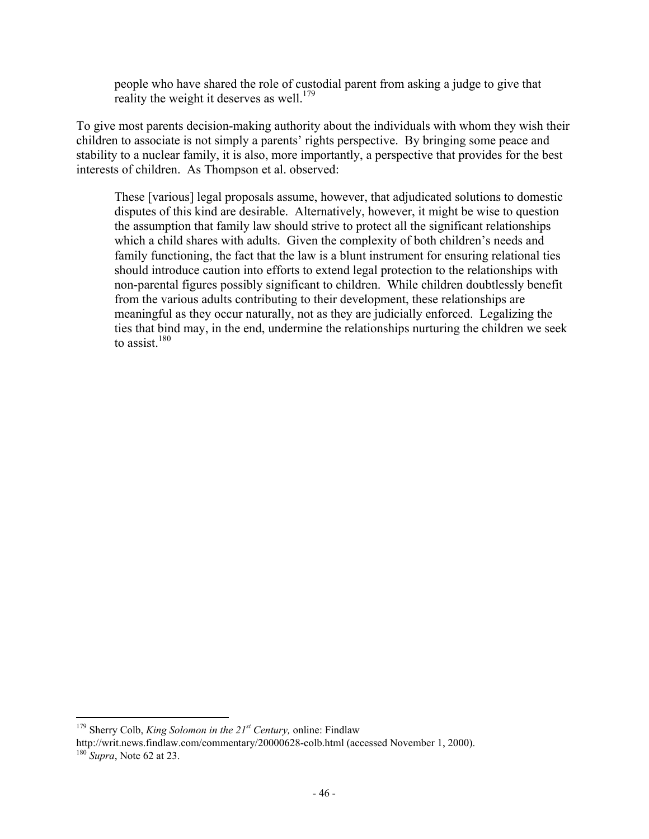people who have shared the role of custodial parent from asking a judge to give that reality the weight it deserves as well.<sup>179</sup>

To give most parents decision-making authority about the individuals with whom they wish their children to associate is not simply a parents' rights perspective. By bringing some peace and stability to a nuclear family, it is also, more importantly, a perspective that provides for the best interests of children. As Thompson et al. observed:

These [various] legal proposals assume, however, that adjudicated solutions to domestic disputes of this kind are desirable. Alternatively, however, it might be wise to question the assumption that family law should strive to protect all the significant relationships which a child shares with adults. Given the complexity of both children's needs and family functioning, the fact that the law is a blunt instrument for ensuring relational ties should introduce caution into efforts to extend legal protection to the relationships with non-parental figures possibly significant to children. While children doubtlessly benefit from the various adults contributing to their development, these relationships are meaningful as they occur naturally, not as they are judicially enforced. Legalizing the ties that bind may, in the end, undermine the relationships nurturing the children we seek to assist. $180$ 

 $\overline{a}$ <sup>179</sup> Sherry Colb, *King Solomon in the 21<sup>st</sup> Century*, online: Findlaw

http://writ.news.findlaw.com/commentary/20000628-colb.html (accessed November 1, 2000). <sup>180</sup> *Supra*, Note 62 at 23.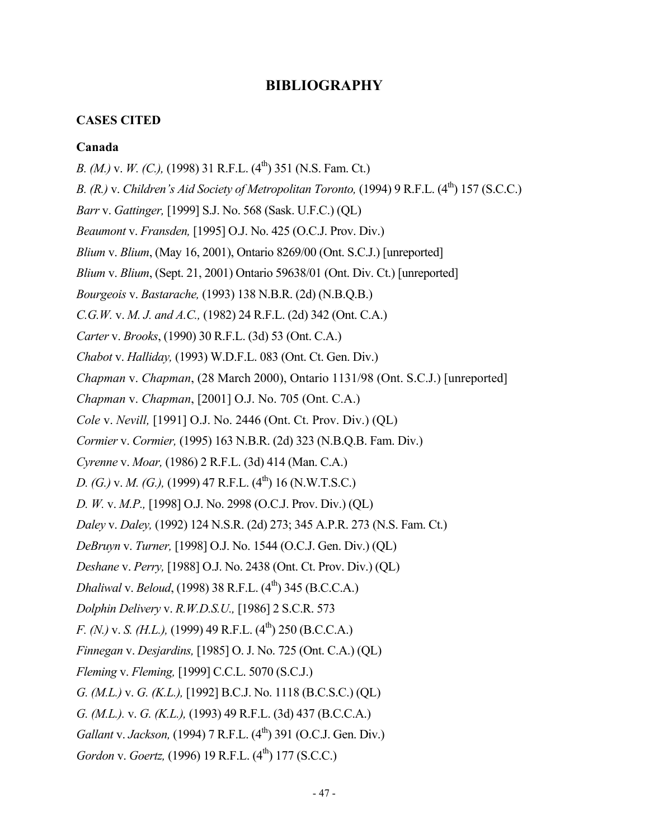### **BIBLIOGRAPHY**

### **CASES CITED**

#### **Canada**

*B. (M.) v. W. (C.),* (1998) 31 R.F.L. (4<sup>th</sup>) 351 (N.S. Fam. Ct.) *B. (R.) v. Children's Aid Society of Metropolitan Toronto, (1994) 9 R.F.L. (4<sup>th</sup>) 157 (S.C.C.) Barr* v. *Gattinger,* [1999] S.J. No. 568 (Sask. U.F.C.) (QL) *Beaumont* v. *Fransden,* [1995] O.J. No. 425 (O.C.J. Prov. Div.) *Blium* v. *Blium*, (May 16, 2001), Ontario 8269/00 (Ont. S.C.J.) [unreported] *Blium* v. *Blium*, (Sept. 21, 2001) Ontario 59638/01 (Ont. Div. Ct.) [unreported] *Bourgeois* v. *Bastarache,* (1993) 138 N.B.R. (2d) (N.B.Q.B.) *C.G.W.* v. *M. J. and A.C.,* (1982) 24 R.F.L. (2d) 342 (Ont. C.A.) *Carter* v. *Brooks*, (1990) 30 R.F.L. (3d) 53 (Ont. C.A.) *Chabot* v. *Halliday,* (1993) W.D.F.L. 083 (Ont. Ct. Gen. Div.) *Chapman* v. *Chapman*, (28 March 2000), Ontario 1131/98 (Ont. S.C.J.) [unreported] *Chapman* v. *Chapman*, [2001] O.J. No. 705 (Ont. C.A.) *Cole* v. *Nevill,* [1991] O.J. No. 2446 (Ont. Ct. Prov. Div.) (QL) *Cormier* v. *Cormier,* (1995) 163 N.B.R. (2d) 323 (N.B.Q.B. Fam. Div.) *Cyrenne* v. *Moar,* (1986) 2 R.F.L. (3d) 414 (Man. C.A.) *D. (G.) v. M. (G.),* (1999) 47 R.F.L. (4<sup>th</sup>) 16 (N.W.T.S.C.) *D. W.* v. *M.P.,* [1998] O.J. No. 2998 (O.C.J. Prov. Div.) (QL) *Daley* v. *Daley,* (1992) 124 N.S.R. (2d) 273; 345 A.P.R. 273 (N.S. Fam. Ct.) *DeBruyn* v. *Turner,* [1998] O.J. No. 1544 (O.C.J. Gen. Div.) (QL) *Deshane* v. *Perry,* [1988] O.J. No. 2438 (Ont. Ct. Prov. Div.) (QL) *Dhaliwal* v. *Beloud*, (1998) 38 R.F.L. (4<sup>th</sup>) 345 (B.C.C.A.) *Dolphin Delivery* v. *R.W.D.S.U.,* [1986] 2 S.C.R. 573 *F. (N.) v. S. (H.L.),* (1999) 49 R.F.L. (4<sup>th</sup>) 250 (B.C.C.A.) *Finnegan* v. *Desjardins,* [1985] O. J. No. 725 (Ont. C.A.) (QL) *Fleming* v. *Fleming,* [1999] C.C.L. 5070 (S.C.J.) *G. (M.L.)* v. *G. (K.L.),* [1992] B.C.J. No. 1118 (B.C.S.C.) (QL) *G. (M.L.).* v. *G. (K.L.),* (1993) 49 R.F.L. (3d) 437 (B.C.C.A.) *Gallant v. Jackson,* (1994) 7 R.F.L. (4<sup>th</sup>) 391 (O.C.J. Gen. Div.) *Gordon v. Goertz,* (1996) 19 R.F.L. (4<sup>th</sup>) 177 (S.C.C.)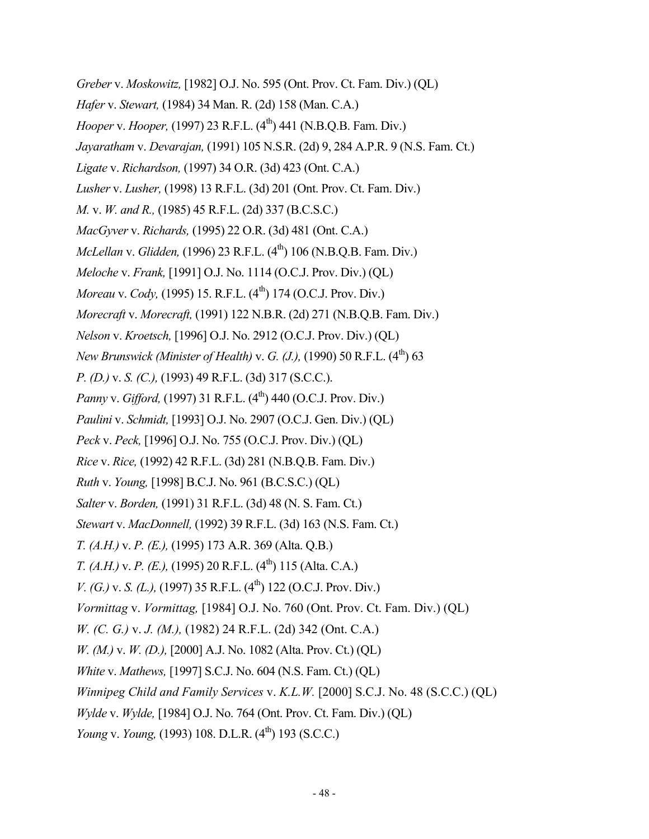*Greber* v. *Moskowitz,* [1982] O.J. No. 595 (Ont. Prov. Ct. Fam. Div.) (QL) *Hafer* v. *Stewart,* (1984) 34 Man. R. (2d) 158 (Man. C.A.) *Hooper v. Hooper,* (1997) 23 R.F.L. (4<sup>th</sup>) 441 (N.B.O.B. Fam. Div.) *Jayaratham* v. *Devarajan,* (1991) 105 N.S.R. (2d) 9, 284 A.P.R. 9 (N.S. Fam. Ct.) *Ligate* v. *Richardson,* (1997) 34 O.R. (3d) 423 (Ont. C.A.) *Lusher* v. *Lusher,* (1998) 13 R.F.L. (3d) 201 (Ont. Prov. Ct. Fam. Div.) *M.* v. *W. and R.,* (1985) 45 R.F.L. (2d) 337 (B.C.S.C.) *MacGyver* v. *Richards,* (1995) 22 O.R. (3d) 481 (Ont. C.A.) *McLellan v. Glidden,* (1996) 23 R.F.L. (4<sup>th</sup>) 106 (N.B.Q.B. Fam. Div.) *Meloche* v. *Frank,* [1991] O.J. No. 1114 (O.C.J. Prov. Div.) (QL) *Moreau v. Cody,* (1995) 15. R.F.L. (4<sup>th</sup>) 174 (O.C.J. Prov. Div.) *Morecraft* v. *Morecraft,* (1991) 122 N.B.R. (2d) 271 (N.B.Q.B. Fam. Div.) *Nelson* v. *Kroetsch,* [1996] O.J. No. 2912 (O.C.J. Prov. Div.) (QL) *New Brunswick (Minister of Health) v. G. (J.), (1990) 50 R.F.L.* (4<sup>th</sup>) 63 *P. (D.)* v. *S. (C.),* (1993) 49 R.F.L. (3d) 317 (S.C.C.). *Panny v. Gifford,* (1997) 31 R.F.L. (4<sup>th</sup>) 440 (O.C.J. Prov. Div.) *Paulini* v. *Schmidt,* [1993] O.J. No. 2907 (O.C.J. Gen. Div.) (QL) *Peck* v. *Peck,* [1996] O.J. No. 755 (O.C.J. Prov. Div.) (QL) *Rice* v. *Rice,* (1992) 42 R.F.L. (3d) 281 (N.B.Q.B. Fam. Div.) *Ruth* v. *Young,* [1998] B.C.J. No. 961 (B.C.S.C.) (QL) *Salter* v. *Borden,* (1991) 31 R.F.L. (3d) 48 (N. S. Fam. Ct.) *Stewart* v. *MacDonnell,* (1992) 39 R.F.L. (3d) 163 (N.S. Fam. Ct.) *T. (A.H.)* v. *P. (E.),* (1995) 173 A.R. 369 (Alta. Q.B.) *T. (A.H.) v. P. (E.),* (1995) 20 R.F.L. (4<sup>th</sup>) 115 (Alta. C.A.) *V. (G.)* v. *S. (L.),* (1997) 35 R.F.L. (4<sup>th</sup>) 122 (O.C.J. Prov. Div.) *Vormittag* v. *Vormittag,* [1984] O.J. No. 760 (Ont. Prov. Ct. Fam. Div.) (QL) *W. (C. G.)* v. *J. (M.),* (1982) 24 R.F.L. (2d) 342 (Ont. C.A.) *W. (M.)* v. *W. (D.),* [2000] A.J. No. 1082 (Alta. Prov. Ct.) (QL) *White* v. *Mathews,* [1997] S.C.J. No. 604 (N.S. Fam. Ct.) (QL) *Winnipeg Child and Family Services* v. *K.L.W.* [2000] S.C.J. No. 48 (S.C.C.) (QL) *Wylde* v. *Wylde,* [1984] O.J. No. 764 (Ont. Prov. Ct. Fam. Div.) (QL) *Young v. Young, (1993) 108. D.L.R.* (4<sup>th</sup>) 193 (S.C.C.)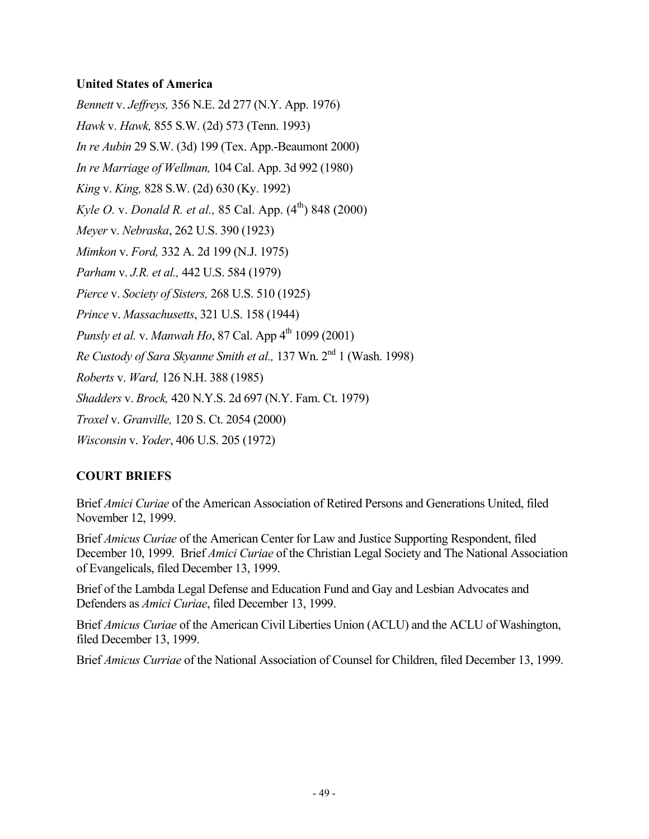### **United States of America**

*Bennett* v. *Jeffreys,* 356 N.E. 2d 277 (N.Y. App. 1976) *Hawk* v. *Hawk,* 855 S.W. (2d) 573 (Tenn. 1993) *In re Aubin* 29 S.W. (3d) 199 (Tex. App.-Beaumont 2000) *In re Marriage of Wellman,* 104 Cal. App. 3d 992 (1980) *King* v. *King,* 828 S.W. (2d) 630 (Ky. 1992) *Kyle O. v. Donald R. et al., 85 Cal. App.*  $(4^{th})$  848 (2000) *Meyer* v. *Nebraska*, 262 U.S. 390 (1923) *Mimkon* v. *Ford,* 332 A. 2d 199 (N.J. 1975) *Parham* v. *J.R. et al.,* 442 U.S. 584 (1979) *Pierce* v. *Society of Sisters,* 268 U.S. 510 (1925) *Prince* v. *Massachusetts*, 321 U.S. 158 (1944) *Punsly et al. v. Manwah Ho, 87 Cal. App*  $4^{th}$  1099 (2001) *Re Custody of Sara Skyanne Smith et al.,* 137 Wn. 2<sup>nd</sup> 1 (Wash. 1998) *Roberts* v. *Ward,* 126 N.H. 388 (1985) *Shadders* v. *Brock,* 420 N.Y.S. 2d 697 (N.Y. Fam. Ct. 1979) *Troxel* v. *Granville,* 120 S. Ct. 2054 (2000) *Wisconsin* v. *Yoder*, 406 U.S. 205 (1972)

### **COURT BRIEFS**

Brief *Amici Curiae* of the American Association of Retired Persons and Generations United, filed November 12, 1999.

Brief *Amicus Curiae* of the American Center for Law and Justice Supporting Respondent, filed December 10, 1999. Brief *Amici Curiae* of the Christian Legal Society and The National Association of Evangelicals, filed December 13, 1999.

Brief of the Lambda Legal Defense and Education Fund and Gay and Lesbian Advocates and Defenders as *Amici Curiae*, filed December 13, 1999.

Brief *Amicus Curiae* of the American Civil Liberties Union (ACLU) and the ACLU of Washington, filed December 13, 1999.

Brief *Amicus Curriae* of the National Association of Counsel for Children, filed December 13, 1999.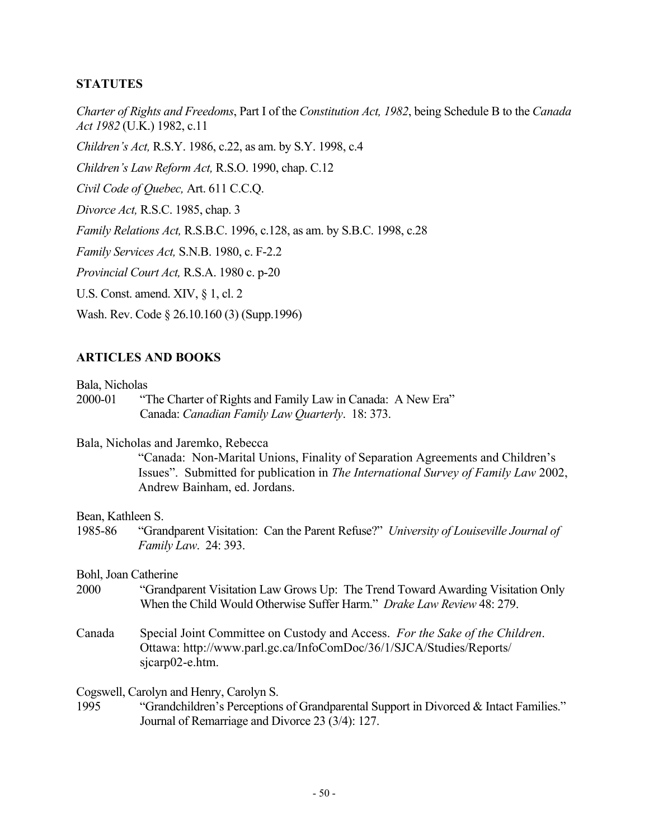### **STATUTES**

*Charter of Rights and Freedoms*, Part I of the *Constitution Act, 1982*, being Schedule B to the *Canada Act 1982* (U.K.) 1982, c.11

*Children's Act,* R.S.Y. 1986, c.22, as am. by S.Y. 1998, c.4

*Children's Law Reform Act,* R.S.O. 1990, chap. C.12

*Civil Code of Quebec,* Art. 611 C.C.Q.

*Divorce Act,* R.S.C. 1985, chap. 3

*Family Relations Act,* R.S.B.C. 1996, c.128, as am. by S.B.C. 1998, c.28

*Family Services Act,* S.N.B. 1980, c. F-2.2

*Provincial Court Act,* R.S.A. 1980 c. p-20

U.S. Const. amend. XIV, § 1, cl. 2

Wash. Rev. Code § 26.10.160 (3) (Supp.1996)

### **ARTICLES AND BOOKS**

Bala, Nicholas

2000-01 "The Charter of Rights and Family Law in Canada: A New Era" Canada: *Canadian Family Law Quarterly*. 18: 373.

### Bala, Nicholas and Jaremko, Rebecca

"Canada: Non-Marital Unions, Finality of Separation Agreements and Children's Issues". Submitted for publication in *The International Survey of Family Law* 2002, Andrew Bainham, ed. Jordans.

### Bean, Kathleen S.

1985-86 "Grandparent Visitation: Can the Parent Refuse?" *University of Louiseville Journal of Family Law*. 24: 393.

Bohl, Joan Catherine

- 2000 "Grandparent Visitation Law Grows Up: The Trend Toward Awarding Visitation Only When the Child Would Otherwise Suffer Harm." *Drake Law Review* 48: 279.
- Canada Special Joint Committee on Custody and Access. *For the Sake of the Children*. Ottawa: http://www.parl.gc.ca/InfoComDoc/36/1/SJCA/Studies/Reports/ sjcarp02-e.htm.

### Cogswell, Carolyn and Henry, Carolyn S.

1995 "Grandchildren's Perceptions of Grandparental Support in Divorced & Intact Families." Journal of Remarriage and Divorce 23 (3/4): 127.